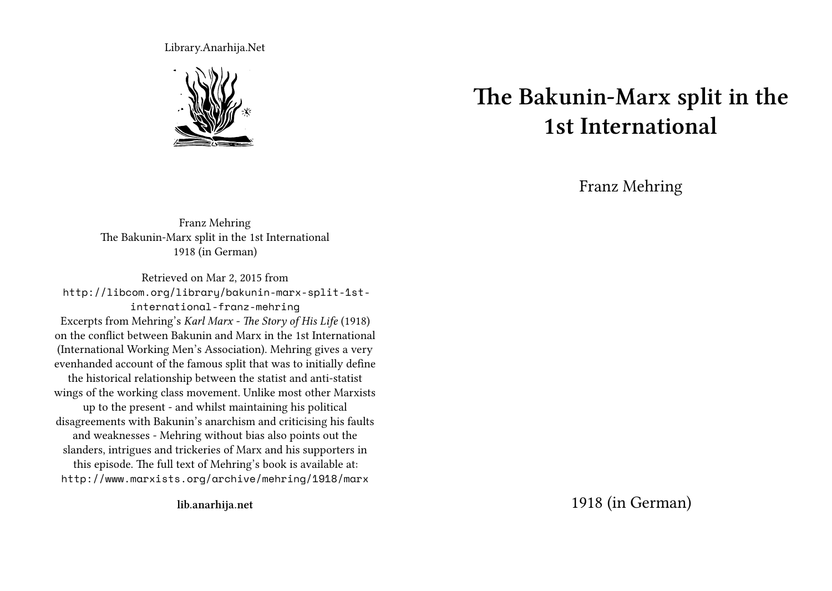Library.Anarhija.Net



# **The Bakunin-Marx split in the 1st International**

Franz Mehring

Franz Mehring The Bakunin-Marx split in the 1st International 1918 (in German)

Retrieved on Mar 2, 2015 from http://libcom.org/library/bakunin-marx-split-1stinternational-franz-mehring Excerpts from Mehring's *Karl Marx - The Story of His Life* (1918) on the conflict between Bakunin and Marx in the 1st International (International Working Men's Association). Mehring gives a very evenhanded account of the famous split that was to initially define the historical relationship between the statist and anti-statist wings of the working class movement. Unlike most other Marxists up to the present - and whilst maintaining his political disagreements with Bakunin's anarchism and criticising his faults and weaknesses - Mehring without bias also points out the slanders, intrigues and trickeries of Marx and his supporters in this episode. The full text of Mehring's book is available at: http://www.marxists.org/archive/mehring/1918/marx

**lib.anarhija.net**

1918 (in German)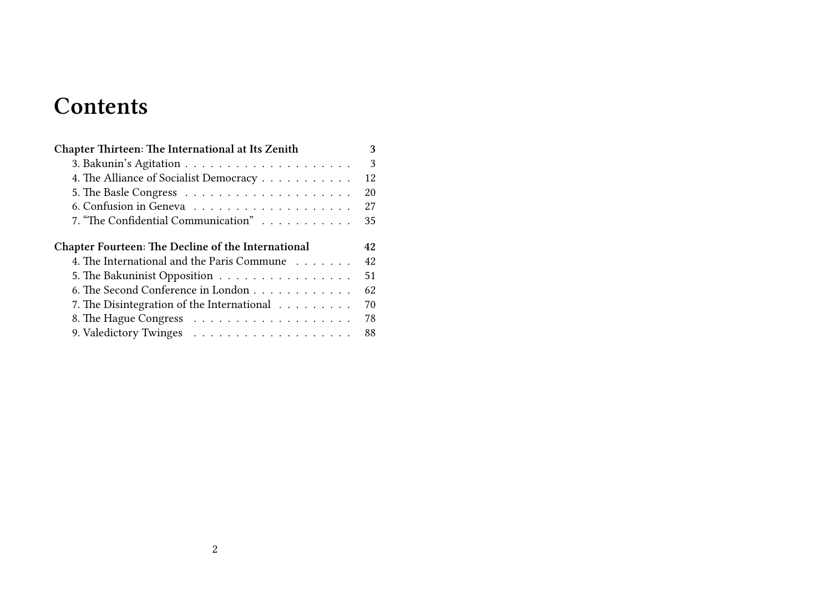## **Contents**

| Chapter Thirteen: The International at Its Zenith         | 3  |
|-----------------------------------------------------------|----|
|                                                           | 3  |
| 4. The Alliance of Socialist Democracy                    | 12 |
|                                                           | 20 |
|                                                           | 27 |
| 7. "The Confidential Communication"                       | 35 |
| <b>Chapter Fourteen: The Decline of the International</b> | 42 |
| 4. The International and the Paris Commune                | 42 |
| 5. The Bakuninist Opposition                              | 51 |
| 6. The Second Conference in London                        | 62 |
|                                                           |    |
| 7. The Disintegration of the International                | 70 |
|                                                           | 78 |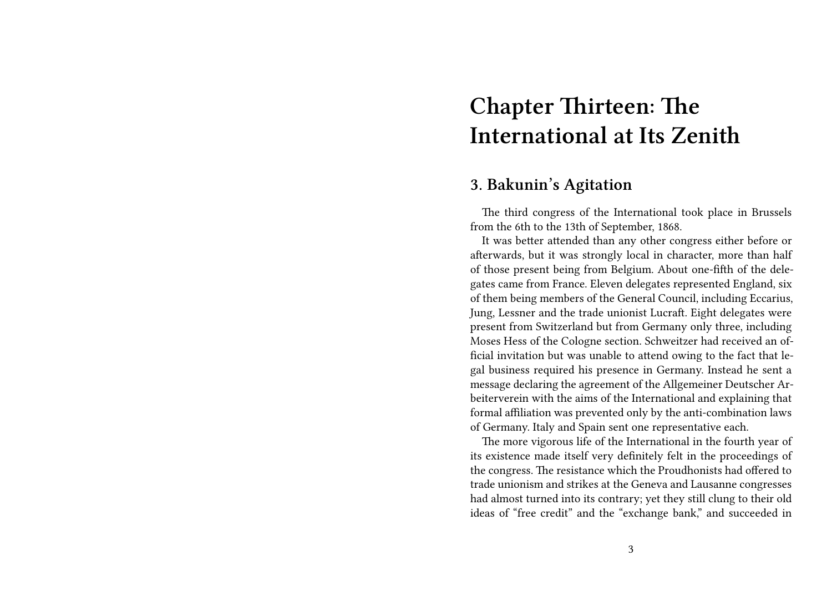# **Chapter Thirteen: The International at Its Zenith**

### **3. Bakunin's Agitation**

The third congress of the International took place in Brussels from the 6th to the 13th of September, 1868.

It was better attended than any other congress either before or afterwards, but it was strongly local in character, more than half of those present being from Belgium. About one-fifth of the delegates came from France. Eleven delegates represented England, six of them being members of the General Council, including Eccarius, Jung, Lessner and the trade unionist Lucraft. Eight delegates were present from Switzerland but from Germany only three, including Moses Hess of the Cologne section. Schweitzer had received an official invitation but was unable to attend owing to the fact that legal business required his presence in Germany. Instead he sent a message declaring the agreement of the Allgemeiner Deutscher Arbeiterverein with the aims of the International and explaining that formal affiliation was prevented only by the anti-combination laws of Germany. Italy and Spain sent one representative each.

The more vigorous life of the International in the fourth year of its existence made itself very definitely felt in the proceedings of the congress. The resistance which the Proudhonists had offered to trade unionism and strikes at the Geneva and Lausanne congresses had almost turned into its contrary; yet they still clung to their old ideas of "free credit" and the "exchange bank," and succeeded in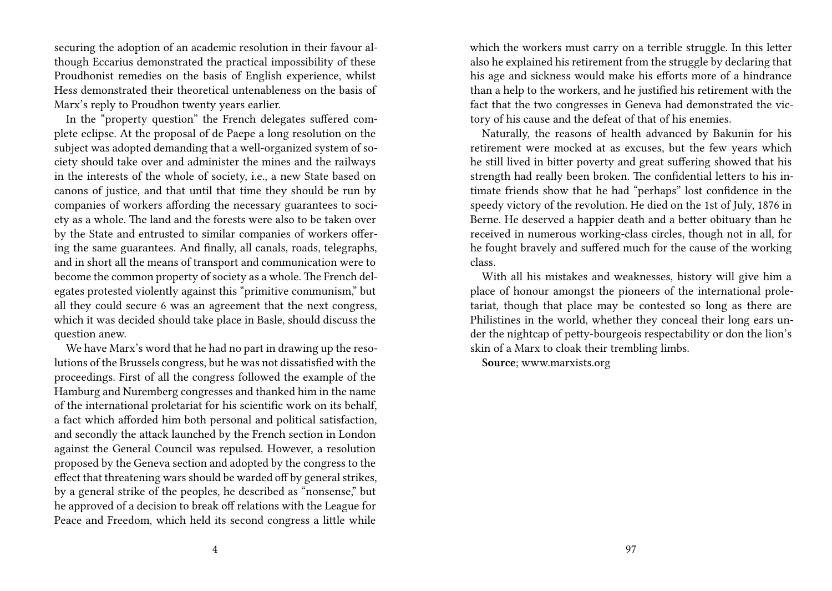securing the adoption of an academic resolution in their favour although Eccarius demonstrated the practical impossibility of these Proudhonist remedies on the basis of English experience, whilst Hess demonstrated their theoretical untenableness on the basis of Marx's reply to Proudhon twenty years earlier.

In the "property question" the French delegates suffered complete eclipse. At the proposal of de Paepe a long resolution on the subject was adopted demanding that a well-organized system of society should take over and administer the mines and the railways in the interests of the whole of society, i.e., a new State based on canons of justice, and that until that time they should be run by companies of workers affording the necessary guarantees to society as a whole. The land and the forests were also to be taken over by the State and entrusted to similar companies of workers offering the same guarantees. And finally, all canals, roads, telegraphs, and in short all the means of transport and communication were to become the common property of society as a whole. The French delegates protested violently against this "primitive communism," but all they could secure 6 was an agreement that the next congress, which it was decided should take place in Basle, should discuss the question anew.

We have Marx's word that he had no part in drawing up the resolutions of the Brussels congress, but he was not dissatisfied with the proceedings. First of all the congress followed the example of the Hamburg and Nuremberg congresses and thanked him in the name of the international proletariat for his scientific work on its behalf, a fact which afforded him both personal and political satisfaction, and secondly the attack launched by the French section in London against the General Council was repulsed. However, a resolution proposed by the Geneva section and adopted by the congress to the effect that threatening wars should be warded off by general strikes, by a general strike of the peoples, he described as "nonsense," but he approved of a decision to break off relations with the League for Peace and Freedom, which held its second congress a little while

which the workers must carry on a terrible struggle. In this letter also he explained his retirement from the struggle by declaring that his age and sickness would make his efforts more of a hindrance than a help to the workers, and he justified his retirement with the fact that the two congresses in Geneva had demonstrated the victory of his cause and the defeat of that of his enemies.

Naturally, the reasons of health advanced by Bakunin for his retirement were mocked at as excuses, but the few years which he still lived in bitter poverty and great suffering showed that his strength had really been broken. The confidential letters to his intimate friends show that he had "perhaps" lost confidence in the speedy victory of the revolution. He died on the 1st of July, 1876 in Berne. He deserved a happier death and a better obituary than he received in numerous working-class circles, though not in all, for he fought bravely and suffered much for the cause of the working class.

With all his mistakes and weaknesses, history will give him a place of honour amongst the pioneers of the international proletariat, though that place may be contested so long as there are Philistines in the world, whether they conceal their long ears under the nightcap of petty-bourgeois respectability or don the lion's skin of a Marx to cloak their trembling limbs.

**Source**; www.marxists.org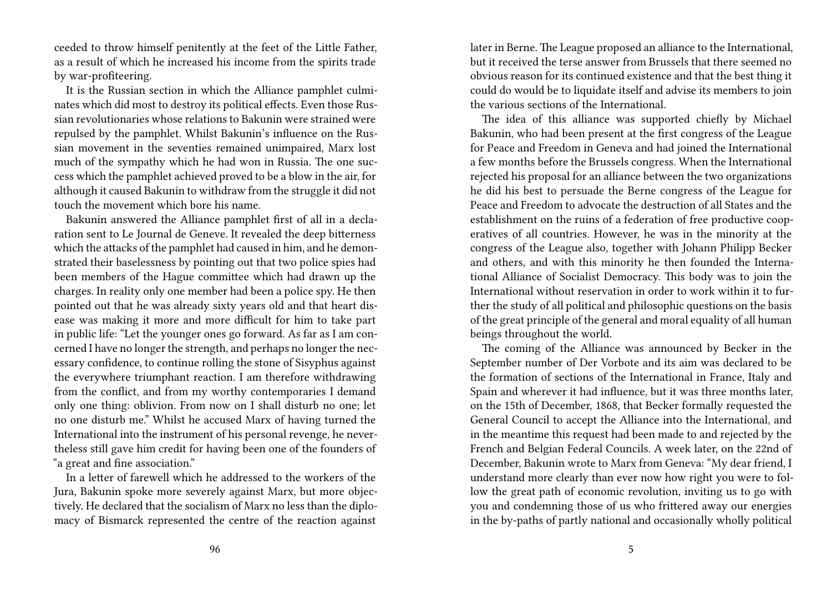ceeded to throw himself penitently at the feet of the Little Father, as a result of which he increased his income from the spirits trade by war-profiteering.

It is the Russian section in which the Alliance pamphlet culminates which did most to destroy its political effects. Even those Russian revolutionaries whose relations to Bakunin were strained were repulsed by the pamphlet. Whilst Bakunin's influence on the Russian movement in the seventies remained unimpaired, Marx lost much of the sympathy which he had won in Russia. The one success which the pamphlet achieved proved to be a blow in the air, for although it caused Bakunin to withdraw from the struggle it did not touch the movement which bore his name.

Bakunin answered the Alliance pamphlet first of all in a declaration sent to Le Journal de Geneve. It revealed the deep bitterness which the attacks of the pamphlet had caused in him, and he demonstrated their baselessness by pointing out that two police spies had been members of the Hague committee which had drawn up the charges. In reality only one member had been a police spy. He then pointed out that he was already sixty years old and that heart disease was making it more and more difficult for him to take part in public life: "Let the younger ones go forward. As far as I am concerned I have no longer the strength, and perhaps no longer the necessary confidence, to continue rolling the stone of Sisyphus against the everywhere triumphant reaction. I am therefore withdrawing from the conflict, and from my worthy contemporaries I demand only one thing: oblivion. From now on I shall disturb no one; let no one disturb me." Whilst he accused Marx of having turned the International into the instrument of his personal revenge, he nevertheless still gave him credit for having been one of the founders of "a great and fine association."

In a letter of farewell which he addressed to the workers of the Jura, Bakunin spoke more severely against Marx, but more objectively. He declared that the socialism of Marx no less than the diplomacy of Bismarck represented the centre of the reaction against

later in Berne. The League proposed an alliance to the International, but it received the terse answer from Brussels that there seemed no obvious reason for its continued existence and that the best thing it could do would be to liquidate itself and advise its members to join the various sections of the International.

The idea of this alliance was supported chiefly by Michael Bakunin, who had been present at the first congress of the League for Peace and Freedom in Geneva and had joined the International a few months before the Brussels congress. When the International rejected his proposal for an alliance between the two organizations he did his best to persuade the Berne congress of the League for Peace and Freedom to advocate the destruction of all States and the establishment on the ruins of a federation of free productive cooperatives of all countries. However, he was in the minority at the congress of the League also, together with Johann Philipp Becker and others, and with this minority he then founded the International Alliance of Socialist Democracy. This body was to join the International without reservation in order to work within it to further the study of all political and philosophic questions on the basis of the great principle of the general and moral equality of all human beings throughout the world.

The coming of the Alliance was announced by Becker in the September number of Der Vorbote and its aim was declared to be the formation of sections of the International in France, Italy and Spain and wherever it had influence, but it was three months later, on the 15th of December, 1868, that Becker formally requested the General Council to accept the Alliance into the International, and in the meantime this request had been made to and rejected by the French and Belgian Federal Councils. A week later, on the 22nd of December, Bakunin wrote to Marx from Geneva: "My dear friend, I understand more clearly than ever now how right you were to follow the great path of economic revolution, inviting us to go with you and condemning those of us who frittered away our energies in the by-paths of partly national and occasionally wholly political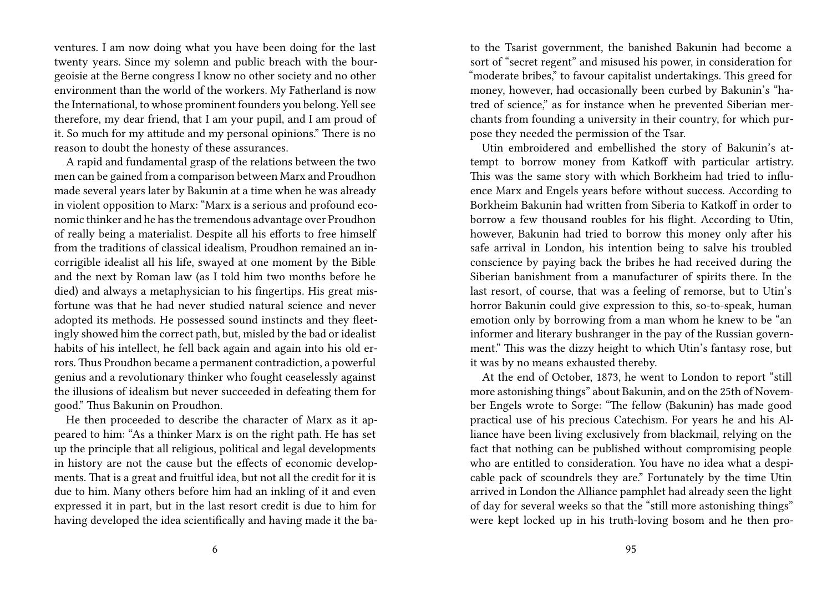ventures. I am now doing what you have been doing for the last twenty years. Since my solemn and public breach with the bourgeoisie at the Berne congress I know no other society and no other environment than the world of the workers. My Fatherland is now the International, to whose prominent founders you belong. Yell see therefore, my dear friend, that I am your pupil, and I am proud of it. So much for my attitude and my personal opinions." There is no reason to doubt the honesty of these assurances.

A rapid and fundamental grasp of the relations between the two men can be gained from a comparison between Marx and Proudhon made several years later by Bakunin at a time when he was already in violent opposition to Marx: "Marx is a serious and profound economic thinker and he has the tremendous advantage over Proudhon of really being a materialist. Despite all his efforts to free himself from the traditions of classical idealism, Proudhon remained an incorrigible idealist all his life, swayed at one moment by the Bible and the next by Roman law (as I told him two months before he died) and always a metaphysician to his fingertips. His great misfortune was that he had never studied natural science and never adopted its methods. He possessed sound instincts and they fleetingly showed him the correct path, but, misled by the bad or idealist habits of his intellect, he fell back again and again into his old errors. Thus Proudhon became a permanent contradiction, a powerful genius and a revolutionary thinker who fought ceaselessly against the illusions of idealism but never succeeded in defeating them for good." Thus Bakunin on Proudhon.

He then proceeded to describe the character of Marx as it appeared to him: "As a thinker Marx is on the right path. He has set up the principle that all religious, political and legal developments in history are not the cause but the effects of economic developments. That is a great and fruitful idea, but not all the credit for it is due to him. Many others before him had an inkling of it and even expressed it in part, but in the last resort credit is due to him for having developed the idea scientifically and having made it the bato the Tsarist government, the banished Bakunin had become a sort of "secret regent" and misused his power, in consideration for "moderate bribes," to favour capitalist undertakings. This greed for money, however, had occasionally been curbed by Bakunin's "hatred of science," as for instance when he prevented Siberian merchants from founding a university in their country, for which purpose they needed the permission of the Tsar.

Utin embroidered and embellished the story of Bakunin's attempt to borrow money from Katkoff with particular artistry. This was the same story with which Borkheim had tried to influence Marx and Engels years before without success. According to Borkheim Bakunin had written from Siberia to Katkoff in order to borrow a few thousand roubles for his flight. According to Utin, however, Bakunin had tried to borrow this money only after his safe arrival in London, his intention being to salve his troubled conscience by paying back the bribes he had received during the Siberian banishment from a manufacturer of spirits there. In the last resort, of course, that was a feeling of remorse, but to Utin's horror Bakunin could give expression to this, so-to-speak, human emotion only by borrowing from a man whom he knew to be "an informer and literary bushranger in the pay of the Russian government." This was the dizzy height to which Utin's fantasy rose, but it was by no means exhausted thereby.

At the end of October, 1873, he went to London to report "still more astonishing things" about Bakunin, and on the 25th of November Engels wrote to Sorge: "The fellow (Bakunin) has made good practical use of his precious Catechism. For years he and his Alliance have been living exclusively from blackmail, relying on the fact that nothing can be published without compromising people who are entitled to consideration. You have no idea what a despicable pack of scoundrels they are." Fortunately by the time Utin arrived in London the Alliance pamphlet had already seen the light of day for several weeks so that the "still more astonishing things" were kept locked up in his truth-loving bosom and he then pro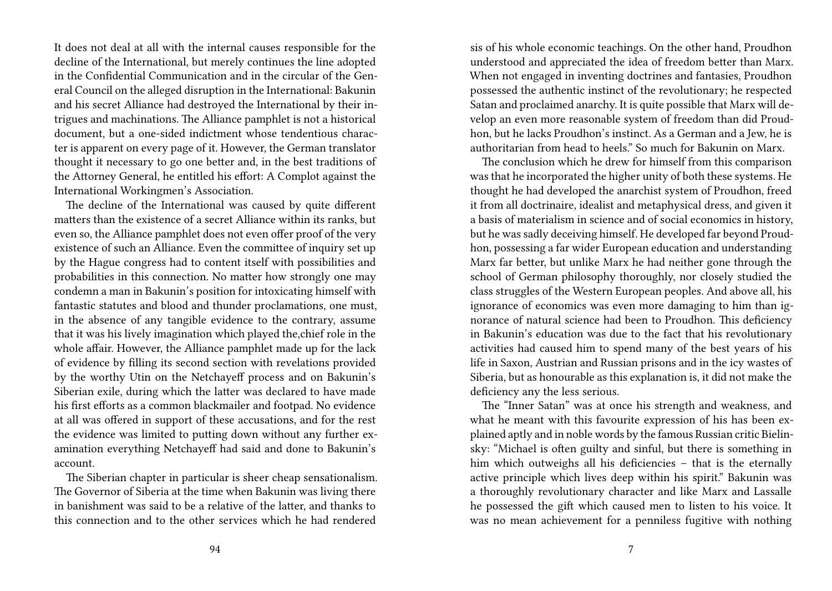It does not deal at all with the internal causes responsible for the decline of the International, but merely continues the line adopted in the Confidential Communication and in the circular of the General Council on the alleged disruption in the International: Bakunin and his secret Alliance had destroyed the International by their intrigues and machinations. The Alliance pamphlet is not a historical document, but a one-sided indictment whose tendentious character is apparent on every page of it. However, the German translator thought it necessary to go one better and, in the best traditions of the Attorney General, he entitled his effort: A Complot against the International Workingmen's Association.

The decline of the International was caused by quite different matters than the existence of a secret Alliance within its ranks, but even so, the Alliance pamphlet does not even offer proof of the very existence of such an Alliance. Even the committee of inquiry set up by the Hague congress had to content itself with possibilities and probabilities in this connection. No matter how strongly one may condemn a man in Bakunin's position for intoxicating himself with fantastic statutes and blood and thunder proclamations, one must, in the absence of any tangible evidence to the contrary, assume that it was his lively imagination which played the,chief role in the whole affair. However, the Alliance pamphlet made up for the lack of evidence by filling its second section with revelations provided by the worthy Utin on the Netchayeff process and on Bakunin's Siberian exile, during which the latter was declared to have made his first efforts as a common blackmailer and footpad. No evidence at all was offered in support of these accusations, and for the rest the evidence was limited to putting down without any further examination everything Netchayeff had said and done to Bakunin's account.

The Siberian chapter in particular is sheer cheap sensationalism. The Governor of Siberia at the time when Bakunin was living there in banishment was said to be a relative of the latter, and thanks to this connection and to the other services which he had rendered

sis of his whole economic teachings. On the other hand, Proudhon understood and appreciated the idea of freedom better than Marx. When not engaged in inventing doctrines and fantasies, Proudhon possessed the authentic instinct of the revolutionary; he respected Satan and proclaimed anarchy. It is quite possible that Marx will develop an even more reasonable system of freedom than did Proudhon, but he lacks Proudhon's instinct. As a German and a Jew, he is authoritarian from head to heels." So much for Bakunin on Marx.

The conclusion which he drew for himself from this comparison was that he incorporated the higher unity of both these systems. He thought he had developed the anarchist system of Proudhon, freed it from all doctrinaire, idealist and metaphysical dress, and given it a basis of materialism in science and of social economics in history, but he was sadly deceiving himself. He developed far beyond Proudhon, possessing a far wider European education and understanding Marx far better, but unlike Marx he had neither gone through the school of German philosophy thoroughly, nor closely studied the class struggles of the Western European peoples. And above all, his ignorance of economics was even more damaging to him than ignorance of natural science had been to Proudhon. This deficiency in Bakunin's education was due to the fact that his revolutionary activities had caused him to spend many of the best years of his life in Saxon, Austrian and Russian prisons and in the icy wastes of Siberia, but as honourable as this explanation is, it did not make the deficiency any the less serious.

The "Inner Satan" was at once his strength and weakness, and what he meant with this favourite expression of his has been explained aptly and in noble words by the famous Russian critic Bielinsky: "Michael is often guilty and sinful, but there is something in him which outweighs all his deficiencies – that is the eternally active principle which lives deep within his spirit." Bakunin was a thoroughly revolutionary character and like Marx and Lassalle he possessed the gift which caused men to listen to his voice. It was no mean achievement for a penniless fugitive with nothing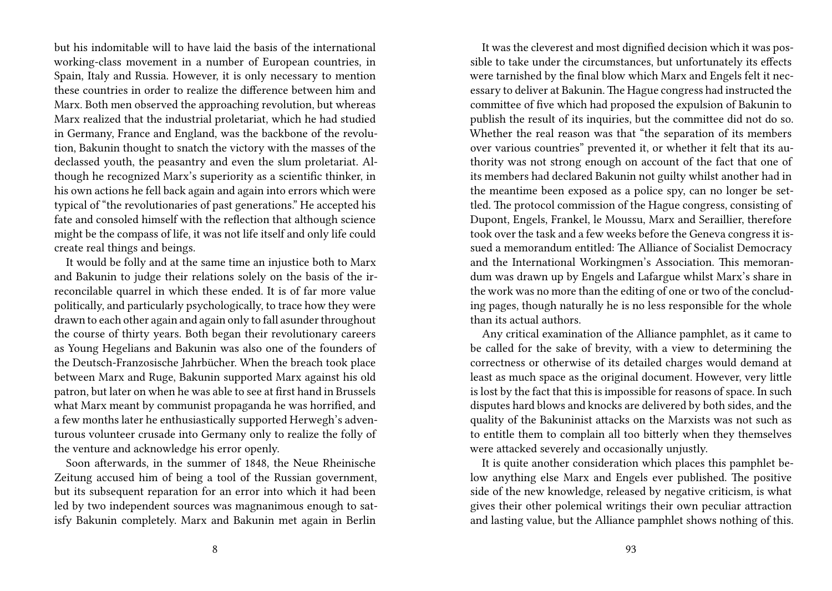but his indomitable will to have laid the basis of the international working-class movement in a number of European countries, in Spain, Italy and Russia. However, it is only necessary to mention these countries in order to realize the difference between him and Marx. Both men observed the approaching revolution, but whereas Marx realized that the industrial proletariat, which he had studied in Germany, France and England, was the backbone of the revolution, Bakunin thought to snatch the victory with the masses of the declassed youth, the peasantry and even the slum proletariat. Although he recognized Marx's superiority as a scientific thinker, in his own actions he fell back again and again into errors which were typical of "the revolutionaries of past generations." He accepted his fate and consoled himself with the reflection that although science might be the compass of life, it was not life itself and only life could create real things and beings.

It would be folly and at the same time an injustice both to Marx and Bakunin to judge their relations solely on the basis of the irreconcilable quarrel in which these ended. It is of far more value politically, and particularly psychologically, to trace how they were drawn to each other again and again only to fall asunder throughout the course of thirty years. Both began their revolutionary careers as Young Hegelians and Bakunin was also one of the founders of the Deutsch-Franzosische Jahrbücher. When the breach took place between Marx and Ruge, Bakunin supported Marx against his old patron, but later on when he was able to see at first hand in Brussels what Marx meant by communist propaganda he was horrified, and a few months later he enthusiastically supported Herwegh's adventurous volunteer crusade into Germany only to realize the folly of the venture and acknowledge his error openly.

Soon afterwards, in the summer of 1848, the Neue Rheinische Zeitung accused him of being a tool of the Russian government, but its subsequent reparation for an error into which it had been led by two independent sources was magnanimous enough to satisfy Bakunin completely. Marx and Bakunin met again in Berlin

It was the cleverest and most dignified decision which it was possible to take under the circumstances, but unfortunately its effects were tarnished by the final blow which Marx and Engels felt it necessary to deliver at Bakunin. The Hague congress had instructed the committee of five which had proposed the expulsion of Bakunin to publish the result of its inquiries, but the committee did not do so. Whether the real reason was that "the separation of its members over various countries" prevented it, or whether it felt that its authority was not strong enough on account of the fact that one of its members had declared Bakunin not guilty whilst another had in the meantime been exposed as a police spy, can no longer be settled. The protocol commission of the Hague congress, consisting of Dupont, Engels, Frankel, le Moussu, Marx and Seraillier, therefore took over the task and a few weeks before the Geneva congress it issued a memorandum entitled: The Alliance of Socialist Democracy and the International Workingmen's Association. This memorandum was drawn up by Engels and Lafargue whilst Marx's share in the work was no more than the editing of one or two of the concluding pages, though naturally he is no less responsible for the whole than its actual authors.

Any critical examination of the Alliance pamphlet, as it came to be called for the sake of brevity, with a view to determining the correctness or otherwise of its detailed charges would demand at least as much space as the original document. However, very little is lost by the fact that this is impossible for reasons of space. In such disputes hard blows and knocks are delivered by both sides, and the quality of the Bakuninist attacks on the Marxists was not such as to entitle them to complain all too bitterly when they themselves were attacked severely and occasionally unjustly.

It is quite another consideration which places this pamphlet below anything else Marx and Engels ever published. The positive side of the new knowledge, released by negative criticism, is what gives their other polemical writings their own peculiar attraction and lasting value, but the Alliance pamphlet shows nothing of this.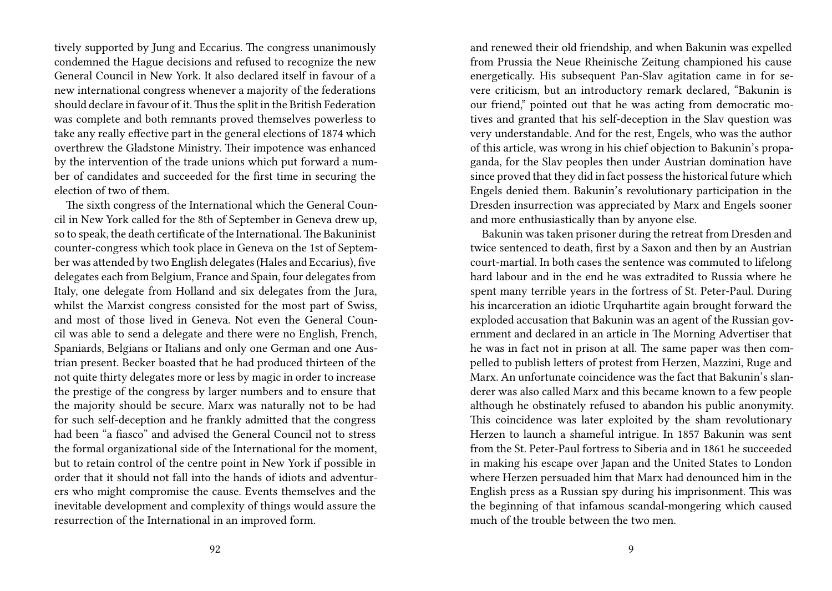tively supported by Jung and Eccarius. The congress unanimously condemned the Hague decisions and refused to recognize the new General Council in New York. It also declared itself in favour of a new international congress whenever a majority of the federations should declare in favour of it. Thus the split in the British Federation was complete and both remnants proved themselves powerless to take any really effective part in the general elections of 1874 which overthrew the Gladstone Ministry. Their impotence was enhanced by the intervention of the trade unions which put forward a number of candidates and succeeded for the first time in securing the election of two of them.

The sixth congress of the International which the General Council in New York called for the 8th of September in Geneva drew up, so to speak, the death certificate of the International.The Bakuninist counter-congress which took place in Geneva on the 1st of September was attended by two English delegates (Hales and Eccarius), five delegates each from Belgium, France and Spain, four delegates from Italy, one delegate from Holland and six delegates from the Jura, whilst the Marxist congress consisted for the most part of Swiss, and most of those lived in Geneva. Not even the General Council was able to send a delegate and there were no English, French, Spaniards, Belgians or Italians and only one German and one Austrian present. Becker boasted that he had produced thirteen of the not quite thirty delegates more or less by magic in order to increase the prestige of the congress by larger numbers and to ensure that the majority should be secure. Marx was naturally not to be had for such self-deception and he frankly admitted that the congress had been "a fiasco" and advised the General Council not to stress the formal organizational side of the International for the moment, but to retain control of the centre point in New York if possible in order that it should not fall into the hands of idiots and adventurers who might compromise the cause. Events themselves and the inevitable development and complexity of things would assure the resurrection of the International in an improved form.

and renewed their old friendship, and when Bakunin was expelled from Prussia the Neue Rheinische Zeitung championed his cause energetically. His subsequent Pan-Slav agitation came in for severe criticism, but an introductory remark declared, "Bakunin is our friend," pointed out that he was acting from democratic motives and granted that his self-deception in the Slav question was very understandable. And for the rest, Engels, who was the author of this article, was wrong in his chief objection to Bakunin's propaganda, for the Slav peoples then under Austrian domination have since proved that they did in fact possess the historical future which Engels denied them. Bakunin's revolutionary participation in the Dresden insurrection was appreciated by Marx and Engels sooner and more enthusiastically than by anyone else.

Bakunin was taken prisoner during the retreat from Dresden and twice sentenced to death, first by a Saxon and then by an Austrian court-martial. In both cases the sentence was commuted to lifelong hard labour and in the end he was extradited to Russia where he spent many terrible years in the fortress of St. Peter-Paul. During his incarceration an idiotic Urquhartite again brought forward the exploded accusation that Bakunin was an agent of the Russian government and declared in an article in The Morning Advertiser that he was in fact not in prison at all. The same paper was then compelled to publish letters of protest from Herzen, Mazzini, Ruge and Marx. An unfortunate coincidence was the fact that Bakunin's slanderer was also called Marx and this became known to a few people although he obstinately refused to abandon his public anonymity. This coincidence was later exploited by the sham revolutionary Herzen to launch a shameful intrigue. In 1857 Bakunin was sent from the St. Peter-Paul fortress to Siberia and in 1861 he succeeded in making his escape over Japan and the United States to London where Herzen persuaded him that Marx had denounced him in the English press as a Russian spy during his imprisonment. This was the beginning of that infamous scandal-mongering which caused much of the trouble between the two men.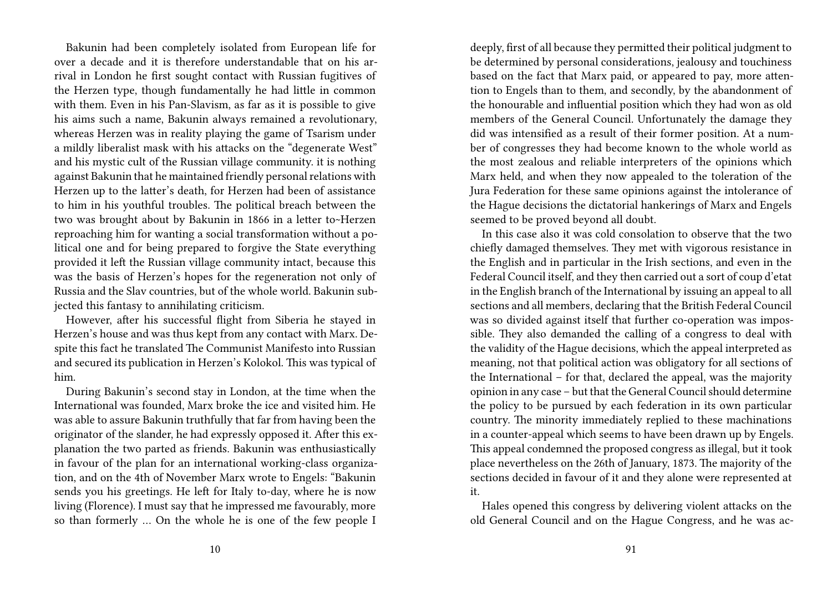Bakunin had been completely isolated from European life for over a decade and it is therefore understandable that on his arrival in London he first sought contact with Russian fugitives of the Herzen type, though fundamentally he had little in common with them. Even in his Pan-Slavism, as far as it is possible to give his aims such a name, Bakunin always remained a revolutionary, whereas Herzen was in reality playing the game of Tsarism under a mildly liberalist mask with his attacks on the "degenerate West" and his mystic cult of the Russian village community. it is nothing against Bakunin that he maintained friendly personal relations with Herzen up to the latter's death, for Herzen had been of assistance to him in his youthful troubles. The political breach between the two was brought about by Bakunin in 1866 in a letter to~Herzen reproaching him for wanting a social transformation without a political one and for being prepared to forgive the State everything provided it left the Russian village community intact, because this was the basis of Herzen's hopes for the regeneration not only of Russia and the Slav countries, but of the whole world. Bakunin subjected this fantasy to annihilating criticism.

However, after his successful flight from Siberia he stayed in Herzen's house and was thus kept from any contact with Marx. Despite this fact he translated The Communist Manifesto into Russian and secured its publication in Herzen's Kolokol. This was typical of him.

During Bakunin's second stay in London, at the time when the International was founded, Marx broke the ice and visited him. He was able to assure Bakunin truthfully that far from having been the originator of the slander, he had expressly opposed it. After this explanation the two parted as friends. Bakunin was enthusiastically in favour of the plan for an international working-class organization, and on the 4th of November Marx wrote to Engels: "Bakunin sends you his greetings. He left for Italy to-day, where he is now living (Florence). I must say that he impressed me favourably, more so than formerly … On the whole he is one of the few people I

deeply, first of all because they permitted their political judgment to be determined by personal considerations, jealousy and touchiness based on the fact that Marx paid, or appeared to pay, more attention to Engels than to them, and secondly, by the abandonment of the honourable and influential position which they had won as old members of the General Council. Unfortunately the damage they did was intensified as a result of their former position. At a number of congresses they had become known to the whole world as the most zealous and reliable interpreters of the opinions which Marx held, and when they now appealed to the toleration of the Jura Federation for these same opinions against the intolerance of the Hague decisions the dictatorial hankerings of Marx and Engels seemed to be proved beyond all doubt.

In this case also it was cold consolation to observe that the two chiefly damaged themselves. They met with vigorous resistance in the English and in particular in the Irish sections, and even in the Federal Council itself, and they then carried out a sort of coup d'etat in the English branch of the International by issuing an appeal to all sections and all members, declaring that the British Federal Council was so divided against itself that further co-operation was impossible. They also demanded the calling of a congress to deal with the validity of the Hague decisions, which the appeal interpreted as meaning, not that political action was obligatory for all sections of the International – for that, declared the appeal, was the majority opinion in any case – but that the General Council should determine the policy to be pursued by each federation in its own particular country. The minority immediately replied to these machinations in a counter-appeal which seems to have been drawn up by Engels. This appeal condemned the proposed congress as illegal, but it took place nevertheless on the 26th of January, 1873. The majority of the sections decided in favour of it and they alone were represented at it.

Hales opened this congress by delivering violent attacks on the old General Council and on the Hague Congress, and he was ac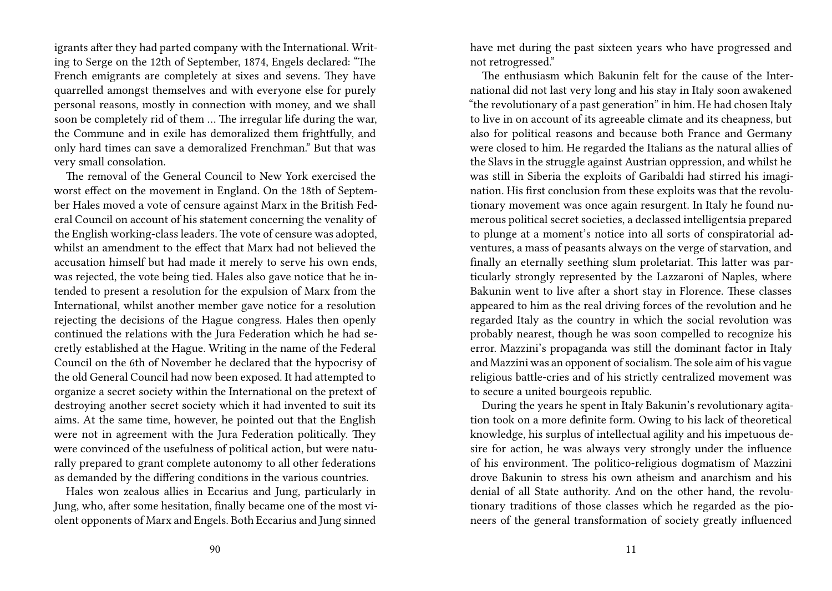igrants after they had parted company with the International. Writing to Serge on the 12th of September, 1874, Engels declared: "The French emigrants are completely at sixes and sevens. They have quarrelled amongst themselves and with everyone else for purely personal reasons, mostly in connection with money, and we shall soon be completely rid of them … The irregular life during the war, the Commune and in exile has demoralized them frightfully, and only hard times can save a demoralized Frenchman." But that was very small consolation.

The removal of the General Council to New York exercised the worst effect on the movement in England. On the 18th of September Hales moved a vote of censure against Marx in the British Federal Council on account of his statement concerning the venality of the English working-class leaders. The vote of censure was adopted, whilst an amendment to the effect that Marx had not believed the accusation himself but had made it merely to serve his own ends, was rejected, the vote being tied. Hales also gave notice that he intended to present a resolution for the expulsion of Marx from the International, whilst another member gave notice for a resolution rejecting the decisions of the Hague congress. Hales then openly continued the relations with the Jura Federation which he had secretly established at the Hague. Writing in the name of the Federal Council on the 6th of November he declared that the hypocrisy of the old General Council had now been exposed. It had attempted to organize a secret society within the International on the pretext of destroying another secret society which it had invented to suit its aims. At the same time, however, he pointed out that the English were not in agreement with the Jura Federation politically. They were convinced of the usefulness of political action, but were naturally prepared to grant complete autonomy to all other federations as demanded by the differing conditions in the various countries.

Hales won zealous allies in Eccarius and Jung, particularly in Jung, who, after some hesitation, finally became one of the most violent opponents of Marx and Engels. Both Eccarius and Jung sinned

have met during the past sixteen years who have progressed and not retrogressed."

The enthusiasm which Bakunin felt for the cause of the International did not last very long and his stay in Italy soon awakened "the revolutionary of a past generation" in him. He had chosen Italy to live in on account of its agreeable climate and its cheapness, but also for political reasons and because both France and Germany were closed to him. He regarded the Italians as the natural allies of the Slavs in the struggle against Austrian oppression, and whilst he was still in Siberia the exploits of Garibaldi had stirred his imagination. His first conclusion from these exploits was that the revolutionary movement was once again resurgent. In Italy he found numerous political secret societies, a declassed intelligentsia prepared to plunge at a moment's notice into all sorts of conspiratorial adventures, a mass of peasants always on the verge of starvation, and finally an eternally seething slum proletariat. This latter was particularly strongly represented by the Lazzaroni of Naples, where Bakunin went to live after a short stay in Florence. These classes appeared to him as the real driving forces of the revolution and he regarded Italy as the country in which the social revolution was probably nearest, though he was soon compelled to recognize his error. Mazzini's propaganda was still the dominant factor in Italy and Mazzini was an opponent of socialism.The sole aim of his vague religious battle-cries and of his strictly centralized movement was to secure a united bourgeois republic.

During the years he spent in Italy Bakunin's revolutionary agitation took on a more definite form. Owing to his lack of theoretical knowledge, his surplus of intellectual agility and his impetuous desire for action, he was always very strongly under the influence of his environment. The politico-religious dogmatism of Mazzini drove Bakunin to stress his own atheism and anarchism and his denial of all State authority. And on the other hand, the revolutionary traditions of those classes which he regarded as the pioneers of the general transformation of society greatly influenced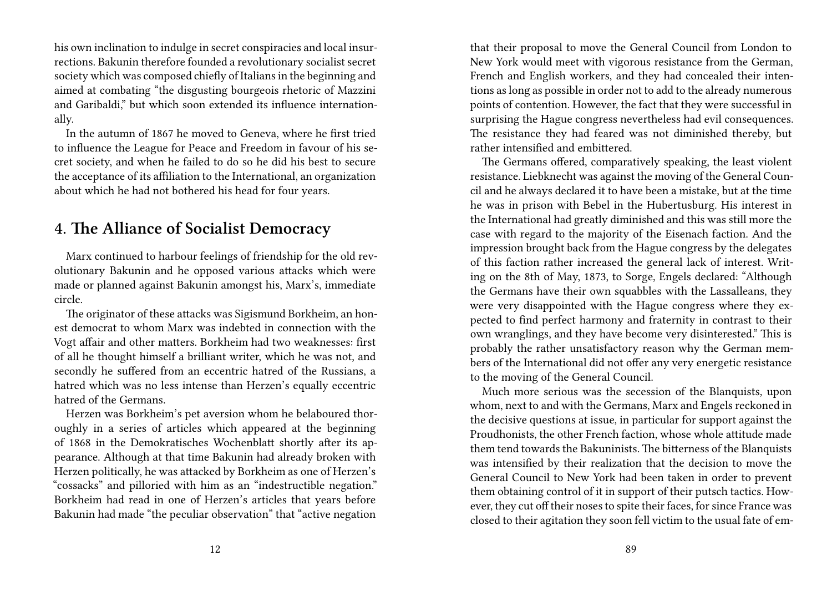his own inclination to indulge in secret conspiracies and local insurrections. Bakunin therefore founded a revolutionary socialist secret society which was composed chiefly of Italians in the beginning and aimed at combating "the disgusting bourgeois rhetoric of Mazzini and Garibaldi," but which soon extended its influence internationally.

In the autumn of 1867 he moved to Geneva, where he first tried to influence the League for Peace and Freedom in favour of his secret society, and when he failed to do so he did his best to secure the acceptance of its affiliation to the International, an organization about which he had not bothered his head for four years.

### **4. The Alliance of Socialist Democracy**

Marx continued to harbour feelings of friendship for the old revolutionary Bakunin and he opposed various attacks which were made or planned against Bakunin amongst his, Marx's, immediate circle.

The originator of these attacks was Sigismund Borkheim, an honest democrat to whom Marx was indebted in connection with the Vogt affair and other matters. Borkheim had two weaknesses: first of all he thought himself a brilliant writer, which he was not, and secondly he suffered from an eccentric hatred of the Russians, a hatred which was no less intense than Herzen's equally eccentric hatred of the Germans.

Herzen was Borkheim's pet aversion whom he belaboured thoroughly in a series of articles which appeared at the beginning of 1868 in the Demokratisches Wochenblatt shortly after its appearance. Although at that time Bakunin had already broken with Herzen politically, he was attacked by Borkheim as one of Herzen's "cossacks" and pilloried with him as an "indestructible negation." Borkheim had read in one of Herzen's articles that years before Bakunin had made "the peculiar observation" that "active negation

that their proposal to move the General Council from London to New York would meet with vigorous resistance from the German, French and English workers, and they had concealed their intentions as long as possible in order not to add to the already numerous points of contention. However, the fact that they were successful in surprising the Hague congress nevertheless had evil consequences. The resistance they had feared was not diminished thereby, but rather intensified and embittered.

The Germans offered, comparatively speaking, the least violent resistance. Liebknecht was against the moving of the General Council and he always declared it to have been a mistake, but at the time he was in prison with Bebel in the Hubertusburg. His interest in the International had greatly diminished and this was still more the case with regard to the majority of the Eisenach faction. And the impression brought back from the Hague congress by the delegates of this faction rather increased the general lack of interest. Writing on the 8th of May, 1873, to Sorge, Engels declared: "Although the Germans have their own squabbles with the Lassalleans, they were very disappointed with the Hague congress where they expected to find perfect harmony and fraternity in contrast to their own wranglings, and they have become very disinterested." This is probably the rather unsatisfactory reason why the German members of the International did not offer any very energetic resistance to the moving of the General Council.

Much more serious was the secession of the Blanquists, upon whom, next to and with the Germans, Marx and Engels reckoned in the decisive questions at issue, in particular for support against the Proudhonists, the other French faction, whose whole attitude made them tend towards the Bakuninists. The bitterness of the Blanquists was intensified by their realization that the decision to move the General Council to New York had been taken in order to prevent them obtaining control of it in support of their putsch tactics. However, they cut off their noses to spite their faces, for since France was closed to their agitation they soon fell victim to the usual fate of em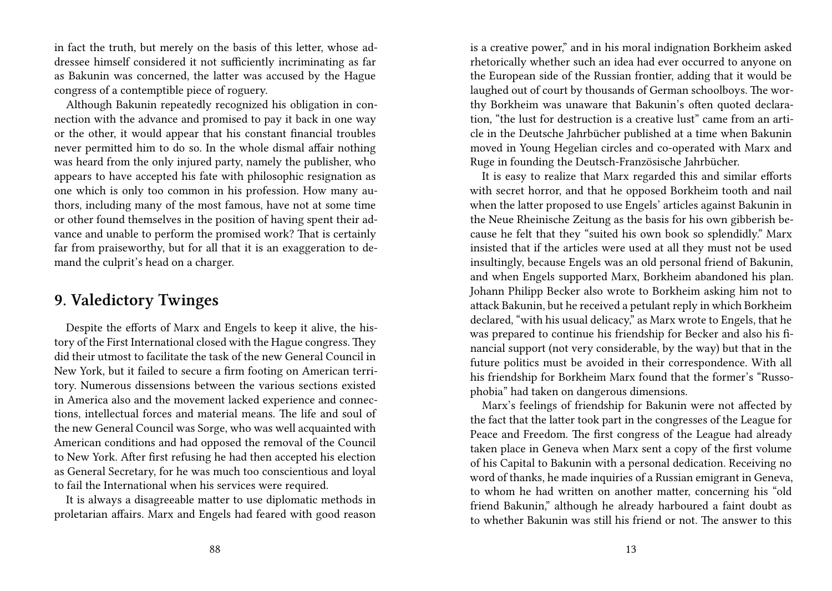in fact the truth, but merely on the basis of this letter, whose addressee himself considered it not sufficiently incriminating as far as Bakunin was concerned, the latter was accused by the Hague congress of a contemptible piece of roguery.

Although Bakunin repeatedly recognized his obligation in connection with the advance and promised to pay it back in one way or the other, it would appear that his constant financial troubles never permitted him to do so. In the whole dismal affair nothing was heard from the only injured party, namely the publisher, who appears to have accepted his fate with philosophic resignation as one which is only too common in his profession. How many authors, including many of the most famous, have not at some time or other found themselves in the position of having spent their advance and unable to perform the promised work? That is certainly far from praiseworthy, but for all that it is an exaggeration to demand the culprit's head on a charger.

### **9. Valedictory Twinges**

Despite the efforts of Marx and Engels to keep it alive, the history of the First International closed with the Hague congress. They did their utmost to facilitate the task of the new General Council in New York, but it failed to secure a firm footing on American territory. Numerous dissensions between the various sections existed in America also and the movement lacked experience and connections, intellectual forces and material means. The life and soul of the new General Council was Sorge, who was well acquainted with American conditions and had opposed the removal of the Council to New York. After first refusing he had then accepted his election as General Secretary, for he was much too conscientious and loyal to fail the International when his services were required.

It is always a disagreeable matter to use diplomatic methods in proletarian affairs. Marx and Engels had feared with good reason is a creative power," and in his moral indignation Borkheim asked rhetorically whether such an idea had ever occurred to anyone on the European side of the Russian frontier, adding that it would be laughed out of court by thousands of German schoolboys. The worthy Borkheim was unaware that Bakunin's often quoted declaration, "the lust for destruction is a creative lust" came from an article in the Deutsche Jahrbücher published at a time when Bakunin moved in Young Hegelian circles and co-operated with Marx and Ruge in founding the Deutsch-Französische Jahrbücher.

It is easy to realize that Marx regarded this and similar efforts with secret horror, and that he opposed Borkheim tooth and nail when the latter proposed to use Engels' articles against Bakunin in the Neue Rheinische Zeitung as the basis for his own gibberish because he felt that they "suited his own book so splendidly." Marx insisted that if the articles were used at all they must not be used insultingly, because Engels was an old personal friend of Bakunin, and when Engels supported Marx, Borkheim abandoned his plan. Johann Philipp Becker also wrote to Borkheim asking him not to attack Bakunin, but he received a petulant reply in which Borkheim declared, "with his usual delicacy," as Marx wrote to Engels, that he was prepared to continue his friendship for Becker and also his financial support (not very considerable, by the way) but that in the future politics must be avoided in their correspondence. With all his friendship for Borkheim Marx found that the former's "Russophobia" had taken on dangerous dimensions.

Marx's feelings of friendship for Bakunin were not affected by the fact that the latter took part in the congresses of the League for Peace and Freedom. The first congress of the League had already taken place in Geneva when Marx sent a copy of the first volume of his Capital to Bakunin with a personal dedication. Receiving no word of thanks, he made inquiries of a Russian emigrant in Geneva, to whom he had written on another matter, concerning his "old friend Bakunin," although he already harboured a faint doubt as to whether Bakunin was still his friend or not. The answer to this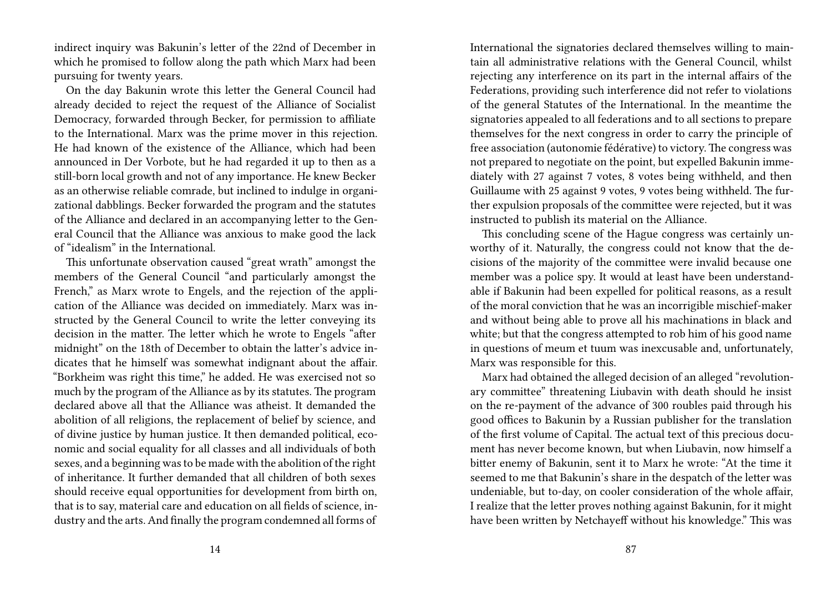indirect inquiry was Bakunin's letter of the 22nd of December in which he promised to follow along the path which Marx had been pursuing for twenty years.

On the day Bakunin wrote this letter the General Council had already decided to reject the request of the Alliance of Socialist Democracy, forwarded through Becker, for permission to affiliate to the International. Marx was the prime mover in this rejection. He had known of the existence of the Alliance, which had been announced in Der Vorbote, but he had regarded it up to then as a still-born local growth and not of any importance. He knew Becker as an otherwise reliable comrade, but inclined to indulge in organizational dabblings. Becker forwarded the program and the statutes of the Alliance and declared in an accompanying letter to the General Council that the Alliance was anxious to make good the lack of "idealism" in the International.

This unfortunate observation caused "great wrath" amongst the members of the General Council "and particularly amongst the French," as Marx wrote to Engels, and the rejection of the application of the Alliance was decided on immediately. Marx was instructed by the General Council to write the letter conveying its decision in the matter. The letter which he wrote to Engels "after midnight" on the 18th of December to obtain the latter's advice indicates that he himself was somewhat indignant about the affair. "Borkheim was right this time," he added. He was exercised not so much by the program of the Alliance as by its statutes. The program declared above all that the Alliance was atheist. It demanded the abolition of all religions, the replacement of belief by science, and of divine justice by human justice. It then demanded political, economic and social equality for all classes and all individuals of both sexes, and a beginning was to be made with the abolition of the right of inheritance. It further demanded that all children of both sexes should receive equal opportunities for development from birth on, that is to say, material care and education on all fields of science, industry and the arts. And finally the program condemned all forms of International the signatories declared themselves willing to maintain all administrative relations with the General Council, whilst rejecting any interference on its part in the internal affairs of the Federations, providing such interference did not refer to violations of the general Statutes of the International. In the meantime the signatories appealed to all federations and to all sections to prepare themselves for the next congress in order to carry the principle of free association (autonomie fédérative) to victory. The congress was not prepared to negotiate on the point, but expelled Bakunin immediately with 27 against 7 votes, 8 votes being withheld, and then Guillaume with 25 against 9 votes, 9 votes being withheld. The further expulsion proposals of the committee were rejected, but it was instructed to publish its material on the Alliance.

This concluding scene of the Hague congress was certainly unworthy of it. Naturally, the congress could not know that the decisions of the majority of the committee were invalid because one member was a police spy. It would at least have been understandable if Bakunin had been expelled for political reasons, as a result of the moral conviction that he was an incorrigible mischief-maker and without being able to prove all his machinations in black and white; but that the congress attempted to rob him of his good name in questions of meum et tuum was inexcusable and, unfortunately, Marx was responsible for this.

Marx had obtained the alleged decision of an alleged "revolutionary committee" threatening Liubavin with death should he insist on the re-payment of the advance of 300 roubles paid through his good offices to Bakunin by a Russian publisher for the translation of the first volume of Capital. The actual text of this precious document has never become known, but when Liubavin, now himself a bitter enemy of Bakunin, sent it to Marx he wrote: "At the time it seemed to me that Bakunin's share in the despatch of the letter was undeniable, but to-day, on cooler consideration of the whole affair, I realize that the letter proves nothing against Bakunin, for it might have been written by Netchayeff without his knowledge." This was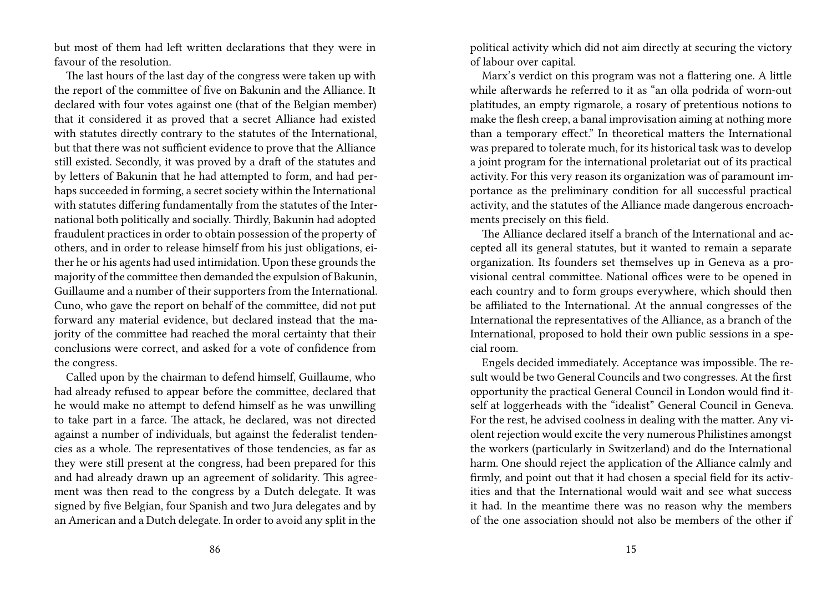but most of them had left written declarations that they were in favour of the resolution.

The last hours of the last day of the congress were taken up with the report of the committee of five on Bakunin and the Alliance. It declared with four votes against one (that of the Belgian member) that it considered it as proved that a secret Alliance had existed with statutes directly contrary to the statutes of the International, but that there was not sufficient evidence to prove that the Alliance still existed. Secondly, it was proved by a draft of the statutes and by letters of Bakunin that he had attempted to form, and had perhaps succeeded in forming, a secret society within the International with statutes differing fundamentally from the statutes of the International both politically and socially. Thirdly, Bakunin had adopted fraudulent practices in order to obtain possession of the property of others, and in order to release himself from his just obligations, either he or his agents had used intimidation. Upon these grounds the majority of the committee then demanded the expulsion of Bakunin, Guillaume and a number of their supporters from the International. Cuno, who gave the report on behalf of the committee, did not put forward any material evidence, but declared instead that the majority of the committee had reached the moral certainty that their conclusions were correct, and asked for a vote of confidence from the congress.

Called upon by the chairman to defend himself, Guillaume, who had already refused to appear before the committee, declared that he would make no attempt to defend himself as he was unwilling to take part in a farce. The attack, he declared, was not directed against a number of individuals, but against the federalist tendencies as a whole. The representatives of those tendencies, as far as they were still present at the congress, had been prepared for this and had already drawn up an agreement of solidarity. This agreement was then read to the congress by a Dutch delegate. It was signed by five Belgian, four Spanish and two Jura delegates and by an American and a Dutch delegate. In order to avoid any split in the

political activity which did not aim directly at securing the victory of labour over capital.

Marx's verdict on this program was not a flattering one. A little while afterwards he referred to it as "an olla podrida of worn-out platitudes, an empty rigmarole, a rosary of pretentious notions to make the flesh creep, a banal improvisation aiming at nothing more than a temporary effect." In theoretical matters the International was prepared to tolerate much, for its historical task was to develop a joint program for the international proletariat out of its practical activity. For this very reason its organization was of paramount importance as the preliminary condition for all successful practical activity, and the statutes of the Alliance made dangerous encroachments precisely on this field.

The Alliance declared itself a branch of the International and accepted all its general statutes, but it wanted to remain a separate organization. Its founders set themselves up in Geneva as a provisional central committee. National offices were to be opened in each country and to form groups everywhere, which should then be affiliated to the International. At the annual congresses of the International the representatives of the Alliance, as a branch of the International, proposed to hold their own public sessions in a special room.

Engels decided immediately. Acceptance was impossible. The result would be two General Councils and two congresses. At the first opportunity the practical General Council in London would find itself at loggerheads with the "idealist" General Council in Geneva. For the rest, he advised coolness in dealing with the matter. Any violent rejection would excite the very numerous Philistines amongst the workers (particularly in Switzerland) and do the International harm. One should reject the application of the Alliance calmly and firmly, and point out that it had chosen a special field for its activities and that the International would wait and see what success it had. In the meantime there was no reason why the members of the one association should not also be members of the other if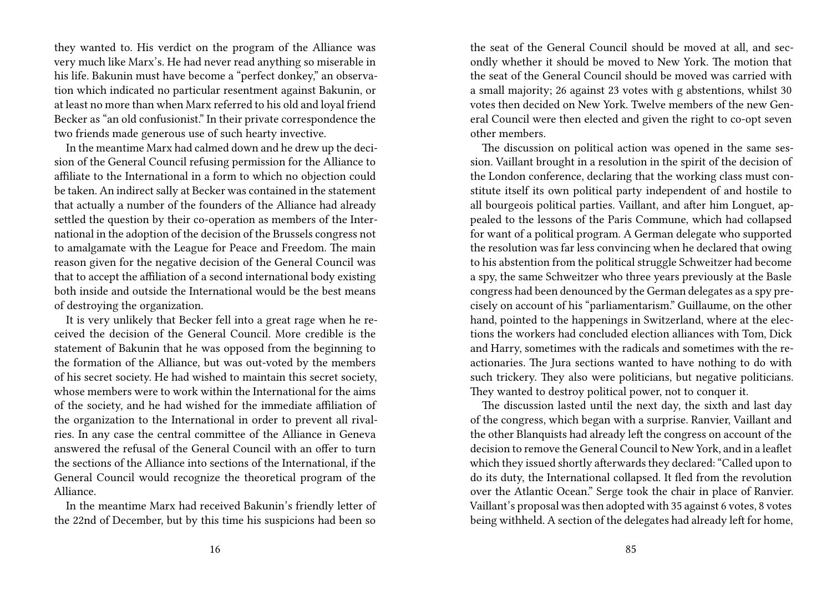they wanted to. His verdict on the program of the Alliance was very much like Marx's. He had never read anything so miserable in his life. Bakunin must have become a "perfect donkey," an observation which indicated no particular resentment against Bakunin, or at least no more than when Marx referred to his old and loyal friend Becker as "an old confusionist." In their private correspondence the two friends made generous use of such hearty invective.

In the meantime Marx had calmed down and he drew up the decision of the General Council refusing permission for the Alliance to affiliate to the International in a form to which no objection could be taken. An indirect sally at Becker was contained in the statement that actually a number of the founders of the Alliance had already settled the question by their co-operation as members of the International in the adoption of the decision of the Brussels congress not to amalgamate with the League for Peace and Freedom. The main reason given for the negative decision of the General Council was that to accept the affiliation of a second international body existing both inside and outside the International would be the best means of destroying the organization.

It is very unlikely that Becker fell into a great rage when he received the decision of the General Council. More credible is the statement of Bakunin that he was opposed from the beginning to the formation of the Alliance, but was out-voted by the members of his secret society. He had wished to maintain this secret society, whose members were to work within the International for the aims of the society, and he had wished for the immediate affiliation of the organization to the International in order to prevent all rivalries. In any case the central committee of the Alliance in Geneva answered the refusal of the General Council with an offer to turn the sections of the Alliance into sections of the International, if the General Council would recognize the theoretical program of the Alliance.

In the meantime Marx had received Bakunin's friendly letter of the 22nd of December, but by this time his suspicions had been so the seat of the General Council should be moved at all, and secondly whether it should be moved to New York. The motion that the seat of the General Council should be moved was carried with a small majority; 26 against 23 votes with g abstentions, whilst 30 votes then decided on New York. Twelve members of the new General Council were then elected and given the right to co-opt seven other members.

The discussion on political action was opened in the same session. Vaillant brought in a resolution in the spirit of the decision of the London conference, declaring that the working class must constitute itself its own political party independent of and hostile to all bourgeois political parties. Vaillant, and after him Longuet, appealed to the lessons of the Paris Commune, which had collapsed for want of a political program. A German delegate who supported the resolution was far less convincing when he declared that owing to his abstention from the political struggle Schweitzer had become a spy, the same Schweitzer who three years previously at the Basle congress had been denounced by the German delegates as a spy precisely on account of his "parliamentarism." Guillaume, on the other hand, pointed to the happenings in Switzerland, where at the elections the workers had concluded election alliances with Tom, Dick and Harry, sometimes with the radicals and sometimes with the reactionaries. The Jura sections wanted to have nothing to do with such trickery. They also were politicians, but negative politicians. They wanted to destroy political power, not to conquer it.

The discussion lasted until the next day, the sixth and last day of the congress, which began with a surprise. Ranvier, Vaillant and the other Blanquists had already left the congress on account of the decision to remove the General Council to New York, and in a leaflet which they issued shortly afterwards they declared: "Called upon to do its duty, the International collapsed. It fled from the revolution over the Atlantic Ocean." Serge took the chair in place of Ranvier. Vaillant's proposal was then adopted with 35 against 6 votes, 8 votes being withheld. A section of the delegates had already left for home,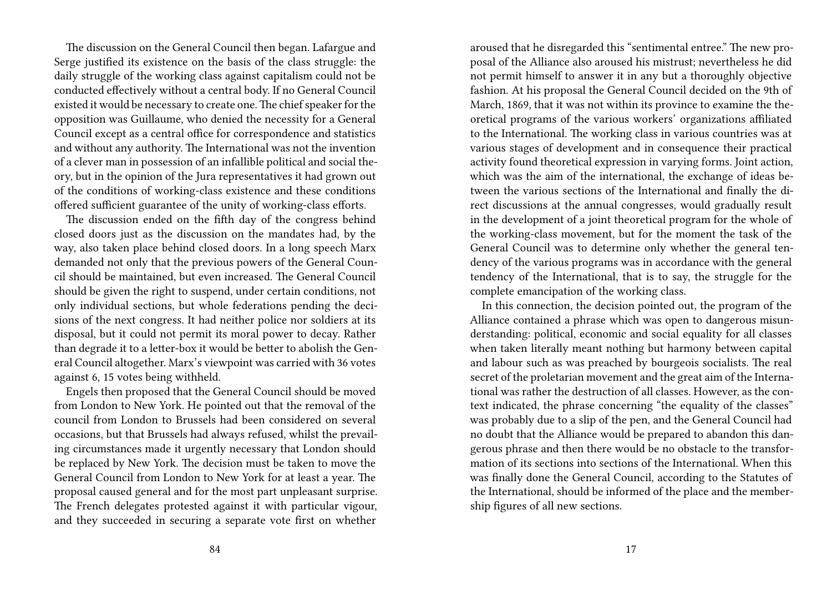The discussion on the General Council then began. Lafargue and Serge justified its existence on the basis of the class struggle: the daily struggle of the working class against capitalism could not be conducted effectively without a central body. If no General Council existed it would be necessary to create one.The chief speaker for the opposition was Guillaume, who denied the necessity for a General Council except as a central office for correspondence and statistics and without any authority. The International was not the invention of a clever man in possession of an infallible political and social theory, but in the opinion of the Jura representatives it had grown out of the conditions of working-class existence and these conditions offered sufficient guarantee of the unity of working-class efforts.

The discussion ended on the fifth day of the congress behind closed doors just as the discussion on the mandates had, by the way, also taken place behind closed doors. In a long speech Marx demanded not only that the previous powers of the General Council should be maintained, but even increased. The General Council should be given the right to suspend, under certain conditions, not only individual sections, but whole federations pending the decisions of the next congress. It had neither police nor soldiers at its disposal, but it could not permit its moral power to decay. Rather than degrade it to a letter-box it would be better to abolish the General Council altogether. Marx's viewpoint was carried with 36 votes against 6, 15 votes being withheld.

Engels then proposed that the General Council should be moved from London to New York. He pointed out that the removal of the council from London to Brussels had been considered on several occasions, but that Brussels had always refused, whilst the prevailing circumstances made it urgently necessary that London should be replaced by New York. The decision must be taken to move the General Council from London to New York for at least a year. The proposal caused general and for the most part unpleasant surprise. The French delegates protested against it with particular vigour, and they succeeded in securing a separate vote first on whether

aroused that he disregarded this "sentimental entree." The new proposal of the Alliance also aroused his mistrust; nevertheless he did not permit himself to answer it in any but a thoroughly objective fashion. At his proposal the General Council decided on the 9th of March, 1869, that it was not within its province to examine the theoretical programs of the various workers' organizations affiliated to the International. The working class in various countries was at various stages of development and in consequence their practical activity found theoretical expression in varying forms. Joint action, which was the aim of the international, the exchange of ideas between the various sections of the International and finally the direct discussions at the annual congresses, would gradually result in the development of a joint theoretical program for the whole of the working-class movement, but for the moment the task of the General Council was to determine only whether the general tendency of the various programs was in accordance with the general tendency of the International, that is to say, the struggle for the complete emancipation of the working class.

In this connection, the decision pointed out, the program of the Alliance contained a phrase which was open to dangerous misunderstanding: political, economic and social equality for all classes when taken literally meant nothing but harmony between capital and labour such as was preached by bourgeois socialists. The real secret of the proletarian movement and the great aim of the International was rather the destruction of all classes. However, as the context indicated, the phrase concerning "the equality of the classes" was probably due to a slip of the pen, and the General Council had no doubt that the Alliance would be prepared to abandon this dangerous phrase and then there would be no obstacle to the transformation of its sections into sections of the International. When this was finally done the General Council, according to the Statutes of the International, should be informed of the place and the membership figures of all new sections.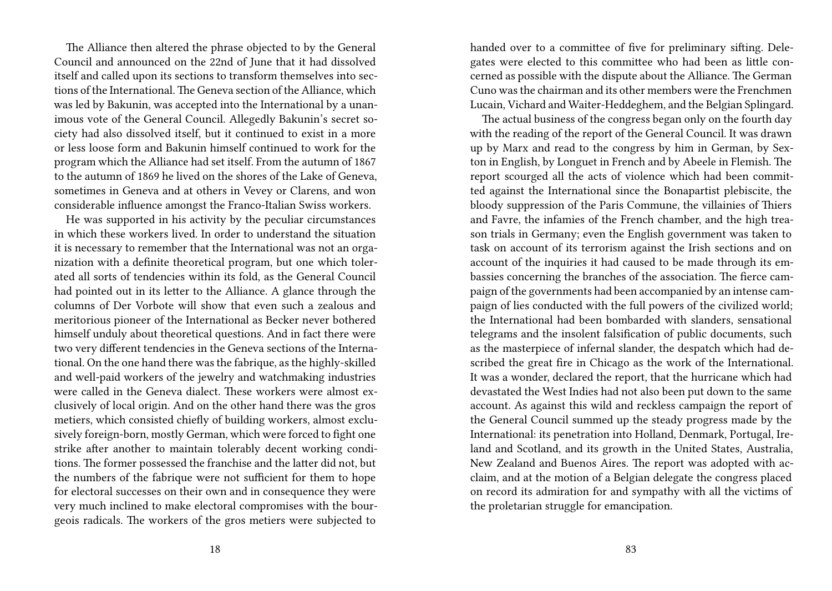The Alliance then altered the phrase objected to by the General Council and announced on the 22nd of June that it had dissolved itself and called upon its sections to transform themselves into sections of the International. The Geneva section of the Alliance, which was led by Bakunin, was accepted into the International by a unanimous vote of the General Council. Allegedly Bakunin's secret society had also dissolved itself, but it continued to exist in a more or less loose form and Bakunin himself continued to work for the program which the Alliance had set itself. From the autumn of 1867 to the autumn of 1869 he lived on the shores of the Lake of Geneva, sometimes in Geneva and at others in Vevey or Clarens, and won considerable influence amongst the Franco-Italian Swiss workers.

He was supported in his activity by the peculiar circumstances in which these workers lived. In order to understand the situation it is necessary to remember that the International was not an organization with a definite theoretical program, but one which tolerated all sorts of tendencies within its fold, as the General Council had pointed out in its letter to the Alliance. A glance through the columns of Der Vorbote will show that even such a zealous and meritorious pioneer of the International as Becker never bothered himself unduly about theoretical questions. And in fact there were two very different tendencies in the Geneva sections of the International. On the one hand there was the fabrique, as the highly-skilled and well-paid workers of the jewelry and watchmaking industries were called in the Geneva dialect. These workers were almost exclusively of local origin. And on the other hand there was the gros metiers, which consisted chiefly of building workers, almost exclusively foreign-born, mostly German, which were forced to fight one strike after another to maintain tolerably decent working conditions. The former possessed the franchise and the latter did not, but the numbers of the fabrique were not sufficient for them to hope for electoral successes on their own and in consequence they were very much inclined to make electoral compromises with the bourgeois radicals. The workers of the gros metiers were subjected to

handed over to a committee of five for preliminary sifting. Delegates were elected to this committee who had been as little concerned as possible with the dispute about the Alliance. The German Cuno was the chairman and its other members were the Frenchmen Lucain, Vichard and Waiter-Heddeghem, and the Belgian Splingard.

The actual business of the congress began only on the fourth day with the reading of the report of the General Council. It was drawn up by Marx and read to the congress by him in German, by Sexton in English, by Longuet in French and by Abeele in Flemish. The report scourged all the acts of violence which had been committed against the International since the Bonapartist plebiscite, the bloody suppression of the Paris Commune, the villainies of Thiers and Favre, the infamies of the French chamber, and the high treason trials in Germany; even the English government was taken to task on account of its terrorism against the Irish sections and on account of the inquiries it had caused to be made through its embassies concerning the branches of the association. The fierce campaign of the governments had been accompanied by an intense campaign of lies conducted with the full powers of the civilized world; the International had been bombarded with slanders, sensational telegrams and the insolent falsification of public documents, such as the masterpiece of infernal slander, the despatch which had described the great fire in Chicago as the work of the International. It was a wonder, declared the report, that the hurricane which had devastated the West Indies had not also been put down to the same account. As against this wild and reckless campaign the report of the General Council summed up the steady progress made by the International: its penetration into Holland, Denmark, Portugal, Ireland and Scotland, and its growth in the United States, Australia, New Zealand and Buenos Aires. The report was adopted with acclaim, and at the motion of a Belgian delegate the congress placed on record its admiration for and sympathy with all the victims of the proletarian struggle for emancipation.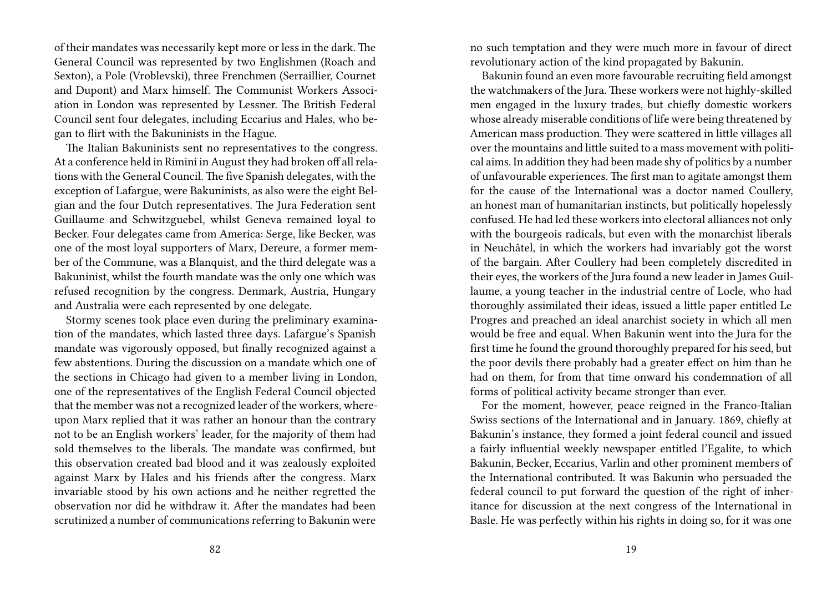of their mandates was necessarily kept more or less in the dark. The General Council was represented by two Englishmen (Roach and Sexton), a Pole (Vroblevski), three Frenchmen (Serraillier, Cournet and Dupont) and Marx himself. The Communist Workers Association in London was represented by Lessner. The British Federal Council sent four delegates, including Eccarius and Hales, who began to flirt with the Bakuninists in the Hague.

The Italian Bakuninists sent no representatives to the congress. At a conference held in Rimini in August they had broken off all relations with the General Council. The five Spanish delegates, with the exception of Lafargue, were Bakuninists, as also were the eight Belgian and the four Dutch representatives. The Jura Federation sent Guillaume and Schwitzguebel, whilst Geneva remained loyal to Becker. Four delegates came from America: Serge, like Becker, was one of the most loyal supporters of Marx, Dereure, a former member of the Commune, was a Blanquist, and the third delegate was a Bakuninist, whilst the fourth mandate was the only one which was refused recognition by the congress. Denmark, Austria, Hungary and Australia were each represented by one delegate.

Stormy scenes took place even during the preliminary examination of the mandates, which lasted three days. Lafargue's Spanish mandate was vigorously opposed, but finally recognized against a few abstentions. During the discussion on a mandate which one of the sections in Chicago had given to a member living in London, one of the representatives of the English Federal Council objected that the member was not a recognized leader of the workers, whereupon Marx replied that it was rather an honour than the contrary not to be an English workers' leader, for the majority of them had sold themselves to the liberals. The mandate was confirmed, but this observation created bad blood and it was zealously exploited against Marx by Hales and his friends after the congress. Marx invariable stood by his own actions and he neither regretted the observation nor did he withdraw it. After the mandates had been scrutinized a number of communications referring to Bakunin were

no such temptation and they were much more in favour of direct revolutionary action of the kind propagated by Bakunin.

Bakunin found an even more favourable recruiting field amongst the watchmakers of the Jura. These workers were not highly-skilled men engaged in the luxury trades, but chiefly domestic workers whose already miserable conditions of life were being threatened by American mass production. They were scattered in little villages all over the mountains and little suited to a mass movement with political aims. In addition they had been made shy of politics by a number of unfavourable experiences. The first man to agitate amongst them for the cause of the International was a doctor named Coullery, an honest man of humanitarian instincts, but politically hopelessly confused. He had led these workers into electoral alliances not only with the bourgeois radicals, but even with the monarchist liberals in Neuchâtel, in which the workers had invariably got the worst of the bargain. After Coullery had been completely discredited in their eyes, the workers of the Jura found a new leader in James Guillaume, a young teacher in the industrial centre of Locle, who had thoroughly assimilated their ideas, issued a little paper entitled Le Progres and preached an ideal anarchist society in which all men would be free and equal. When Bakunin went into the Jura for the first time he found the ground thoroughly prepared for his seed, but the poor devils there probably had a greater effect on him than he had on them, for from that time onward his condemnation of all forms of political activity became stronger than ever.

For the moment, however, peace reigned in the Franco-Italian Swiss sections of the International and in January. 1869, chiefly at Bakunin's instance, they formed a joint federal council and issued a fairly influential weekly newspaper entitled l'Egalite, to which Bakunin, Becker, Eccarius, Varlin and other prominent members of the International contributed. It was Bakunin who persuaded the federal council to put forward the question of the right of inheritance for discussion at the next congress of the International in Basle. He was perfectly within his rights in doing so, for it was one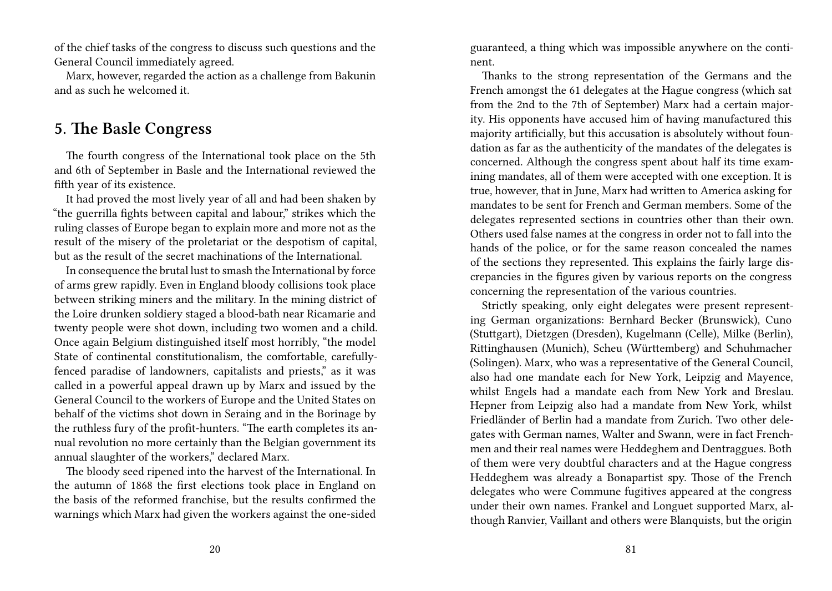of the chief tasks of the congress to discuss such questions and the General Council immediately agreed.

Marx, however, regarded the action as a challenge from Bakunin and as such he welcomed it.

### **5. The Basle Congress**

The fourth congress of the International took place on the 5th and 6th of September in Basle and the International reviewed the fifth year of its existence.

It had proved the most lively year of all and had been shaken by "the guerrilla fights between capital and labour," strikes which the ruling classes of Europe began to explain more and more not as the result of the misery of the proletariat or the despotism of capital, but as the result of the secret machinations of the International.

In consequence the brutal lust to smash the International by force of arms grew rapidly. Even in England bloody collisions took place between striking miners and the military. In the mining district of the Loire drunken soldiery staged a blood-bath near Ricamarie and twenty people were shot down, including two women and a child. Once again Belgium distinguished itself most horribly, "the model State of continental constitutionalism, the comfortable, carefullyfenced paradise of landowners, capitalists and priests," as it was called in a powerful appeal drawn up by Marx and issued by the General Council to the workers of Europe and the United States on behalf of the victims shot down in Seraing and in the Borinage by the ruthless fury of the profit-hunters. "The earth completes its annual revolution no more certainly than the Belgian government its annual slaughter of the workers," declared Marx.

The bloody seed ripened into the harvest of the International. In the autumn of 1868 the first elections took place in England on the basis of the reformed franchise, but the results confirmed the warnings which Marx had given the workers against the one-sided guaranteed, a thing which was impossible anywhere on the continent.

Thanks to the strong representation of the Germans and the French amongst the 61 delegates at the Hague congress (which sat from the 2nd to the 7th of September) Marx had a certain majority. His opponents have accused him of having manufactured this majority artificially, but this accusation is absolutely without foundation as far as the authenticity of the mandates of the delegates is concerned. Although the congress spent about half its time examining mandates, all of them were accepted with one exception. It is true, however, that in June, Marx had written to America asking for mandates to be sent for French and German members. Some of the delegates represented sections in countries other than their own. Others used false names at the congress in order not to fall into the hands of the police, or for the same reason concealed the names of the sections they represented. This explains the fairly large discrepancies in the figures given by various reports on the congress concerning the representation of the various countries.

Strictly speaking, only eight delegates were present representing German organizations: Bernhard Becker (Brunswick), Cuno (Stuttgart), Dietzgen (Dresden), Kugelmann (Celle), Milke (Berlin), Rittinghausen (Munich), Scheu (Württemberg) and Schuhmacher (Solingen). Marx, who was a representative of the General Council, also had one mandate each for New York, Leipzig and Mayence, whilst Engels had a mandate each from New York and Breslau. Hepner from Leipzig also had a mandate from New York, whilst Friedländer of Berlin had a mandate from Zurich. Two other delegates with German names, Walter and Swann, were in fact Frenchmen and their real names were Heddeghem and Dentraggues. Both of them were very doubtful characters and at the Hague congress Heddeghem was already a Bonapartist spy. Those of the French delegates who were Commune fugitives appeared at the congress under their own names. Frankel and Longuet supported Marx, although Ranvier, Vaillant and others were Blanquists, but the origin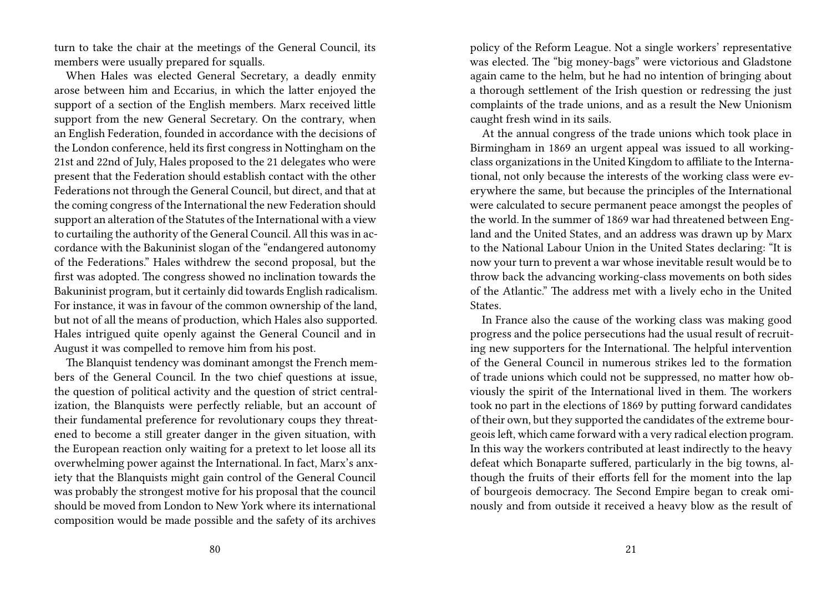turn to take the chair at the meetings of the General Council, its members were usually prepared for squalls.

When Hales was elected General Secretary, a deadly enmity arose between him and Eccarius, in which the latter enjoyed the support of a section of the English members. Marx received little support from the new General Secretary. On the contrary, when an English Federation, founded in accordance with the decisions of the London conference, held its first congress in Nottingham on the 21st and 22nd of July, Hales proposed to the 21 delegates who were present that the Federation should establish contact with the other Federations not through the General Council, but direct, and that at the coming congress of the International the new Federation should support an alteration of the Statutes of the International with a view to curtailing the authority of the General Council. All this was in accordance with the Bakuninist slogan of the "endangered autonomy of the Federations." Hales withdrew the second proposal, but the first was adopted. The congress showed no inclination towards the Bakuninist program, but it certainly did towards English radicalism. For instance, it was in favour of the common ownership of the land, but not of all the means of production, which Hales also supported. Hales intrigued quite openly against the General Council and in August it was compelled to remove him from his post.

The Blanquist tendency was dominant amongst the French members of the General Council. In the two chief questions at issue, the question of political activity and the question of strict centralization, the Blanquists were perfectly reliable, but an account of their fundamental preference for revolutionary coups they threatened to become a still greater danger in the given situation, with the European reaction only waiting for a pretext to let loose all its overwhelming power against the International. In fact, Marx's anxiety that the Blanquists might gain control of the General Council was probably the strongest motive for his proposal that the council should be moved from London to New York where its international composition would be made possible and the safety of its archives

policy of the Reform League. Not a single workers' representative was elected. The "big money-bags" were victorious and Gladstone again came to the helm, but he had no intention of bringing about a thorough settlement of the Irish question or redressing the just complaints of the trade unions, and as a result the New Unionism caught fresh wind in its sails.

At the annual congress of the trade unions which took place in Birmingham in 1869 an urgent appeal was issued to all workingclass organizations in the United Kingdom to affiliate to the International, not only because the interests of the working class were everywhere the same, but because the principles of the International were calculated to secure permanent peace amongst the peoples of the world. In the summer of 1869 war had threatened between England and the United States, and an address was drawn up by Marx to the National Labour Union in the United States declaring: "It is now your turn to prevent a war whose inevitable result would be to throw back the advancing working-class movements on both sides of the Atlantic." The address met with a lively echo in the United States.

In France also the cause of the working class was making good progress and the police persecutions had the usual result of recruiting new supporters for the International. The helpful intervention of the General Council in numerous strikes led to the formation of trade unions which could not be suppressed, no matter how obviously the spirit of the International lived in them. The workers took no part in the elections of 1869 by putting forward candidates of their own, but they supported the candidates of the extreme bourgeois left, which came forward with a very radical election program. In this way the workers contributed at least indirectly to the heavy defeat which Bonaparte suffered, particularly in the big towns, although the fruits of their efforts fell for the moment into the lap of bourgeois democracy. The Second Empire began to creak ominously and from outside it received a heavy blow as the result of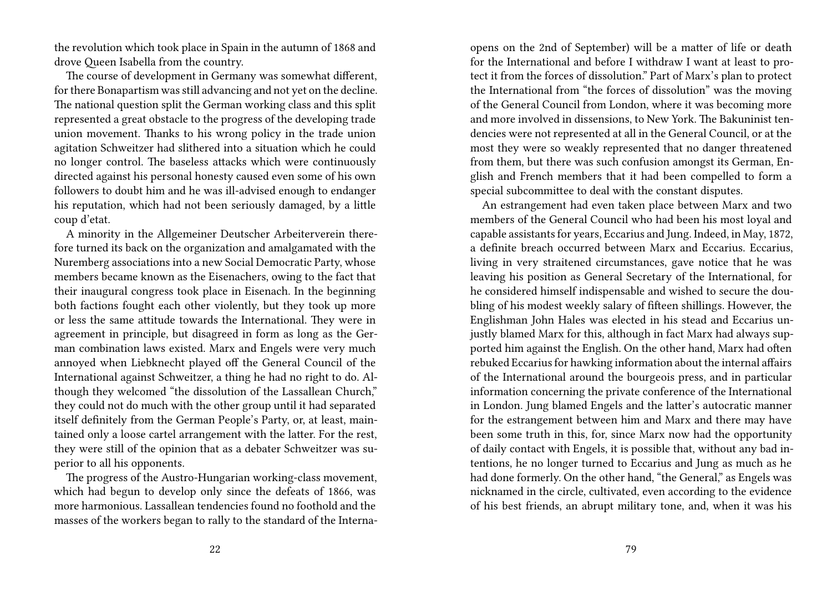the revolution which took place in Spain in the autumn of 1868 and drove Queen Isabella from the country.

The course of development in Germany was somewhat different, for there Bonapartism was still advancing and not yet on the decline. The national question split the German working class and this split represented a great obstacle to the progress of the developing trade union movement. Thanks to his wrong policy in the trade union agitation Schweitzer had slithered into a situation which he could no longer control. The baseless attacks which were continuously directed against his personal honesty caused even some of his own followers to doubt him and he was ill-advised enough to endanger his reputation, which had not been seriously damaged, by a little coup d'etat.

A minority in the Allgemeiner Deutscher Arbeiterverein therefore turned its back on the organization and amalgamated with the Nuremberg associations into a new Social Democratic Party, whose members became known as the Eisenachers, owing to the fact that their inaugural congress took place in Eisenach. In the beginning both factions fought each other violently, but they took up more or less the same attitude towards the International. They were in agreement in principle, but disagreed in form as long as the German combination laws existed. Marx and Engels were very much annoyed when Liebknecht played off the General Council of the International against Schweitzer, a thing he had no right to do. Although they welcomed "the dissolution of the Lassallean Church," they could not do much with the other group until it had separated itself definitely from the German People's Party, or, at least, maintained only a loose cartel arrangement with the latter. For the rest, they were still of the opinion that as a debater Schweitzer was superior to all his opponents.

The progress of the Austro-Hungarian working-class movement, which had begun to develop only since the defeats of 1866, was more harmonious. Lassallean tendencies found no foothold and the masses of the workers began to rally to the standard of the Internaopens on the 2nd of September) will be a matter of life or death for the International and before I withdraw I want at least to protect it from the forces of dissolution." Part of Marx's plan to protect the International from "the forces of dissolution" was the moving of the General Council from London, where it was becoming more and more involved in dissensions, to New York. The Bakuninist tendencies were not represented at all in the General Council, or at the most they were so weakly represented that no danger threatened from them, but there was such confusion amongst its German, English and French members that it had been compelled to form a special subcommittee to deal with the constant disputes.

An estrangement had even taken place between Marx and two members of the General Council who had been his most loyal and capable assistants for years, Eccarius and Jung. Indeed, in May, 1872, a definite breach occurred between Marx and Eccarius. Eccarius, living in very straitened circumstances, gave notice that he was leaving his position as General Secretary of the International, for he considered himself indispensable and wished to secure the doubling of his modest weekly salary of fifteen shillings. However, the Englishman John Hales was elected in his stead and Eccarius unjustly blamed Marx for this, although in fact Marx had always supported him against the English. On the other hand, Marx had often rebuked Eccarius for hawking information about the internal affairs of the International around the bourgeois press, and in particular information concerning the private conference of the International in London. Jung blamed Engels and the latter's autocratic manner for the estrangement between him and Marx and there may have been some truth in this, for, since Marx now had the opportunity of daily contact with Engels, it is possible that, without any bad intentions, he no longer turned to Eccarius and Jung as much as he had done formerly. On the other hand, "the General," as Engels was nicknamed in the circle, cultivated, even according to the evidence of his best friends, an abrupt military tone, and, when it was his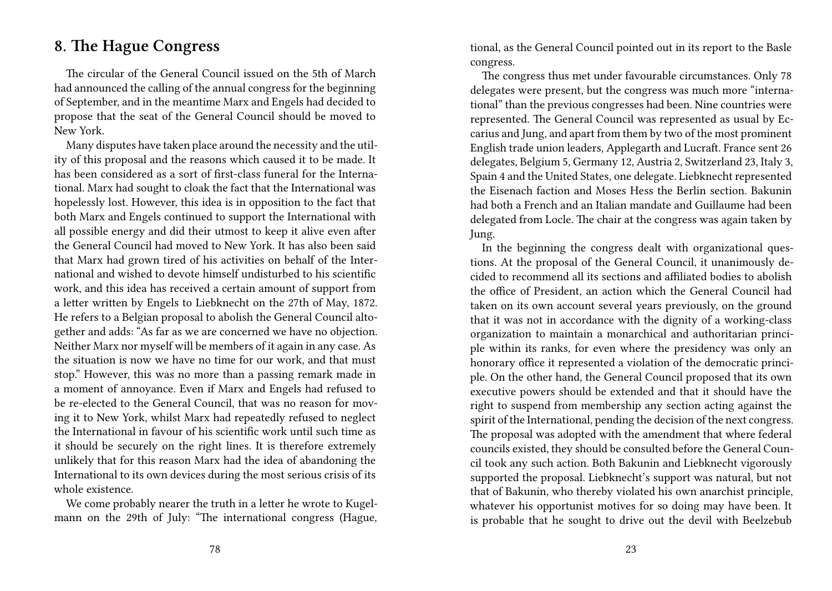## **8. The Hague Congress**

The circular of the General Council issued on the 5th of March had announced the calling of the annual congress for the beginning of September, and in the meantime Marx and Engels had decided to propose that the seat of the General Council should be moved to New York.

Many disputes have taken place around the necessity and the utility of this proposal and the reasons which caused it to be made. It has been considered as a sort of first-class funeral for the International. Marx had sought to cloak the fact that the International was hopelessly lost. However, this idea is in opposition to the fact that both Marx and Engels continued to support the International with all possible energy and did their utmost to keep it alive even after the General Council had moved to New York. It has also been said that Marx had grown tired of his activities on behalf of the International and wished to devote himself undisturbed to his scientific work, and this idea has received a certain amount of support from a letter written by Engels to Liebknecht on the 27th of May, 1872. He refers to a Belgian proposal to abolish the General Council altogether and adds: "As far as we are concerned we have no objection. Neither Marx nor myself will be members of it again in any case. As the situation is now we have no time for our work, and that must stop." However, this was no more than a passing remark made in a moment of annoyance. Even if Marx and Engels had refused to be re-elected to the General Council, that was no reason for moving it to New York, whilst Marx had repeatedly refused to neglect the International in favour of his scientific work until such time as it should be securely on the right lines. It is therefore extremely unlikely that for this reason Marx had the idea of abandoning the International to its own devices during the most serious crisis of its whole existence.

We come probably nearer the truth in a letter he wrote to Kugelmann on the 29th of July: "The international congress (Hague,

tional, as the General Council pointed out in its report to the Basle congress.

The congress thus met under favourable circumstances. Only 78 delegates were present, but the congress was much more "international" than the previous congresses had been. Nine countries were represented. The General Council was represented as usual by Eccarius and Jung, and apart from them by two of the most prominent English trade union leaders, Applegarth and Lucraft. France sent 26 delegates, Belgium 5, Germany 12, Austria 2, Switzerland 23, Italy 3, Spain 4 and the United States, one delegate. Liebknecht represented the Eisenach faction and Moses Hess the Berlin section. Bakunin had both a French and an Italian mandate and Guillaume had been delegated from Locle. The chair at the congress was again taken by Jung.

In the beginning the congress dealt with organizational questions. At the proposal of the General Council, it unanimously decided to recommend all its sections and affiliated bodies to abolish the office of President, an action which the General Council had taken on its own account several years previously, on the ground that it was not in accordance with the dignity of a working-class organization to maintain a monarchical and authoritarian principle within its ranks, for even where the presidency was only an honorary office it represented a violation of the democratic principle. On the other hand, the General Council proposed that its own executive powers should be extended and that it should have the right to suspend from membership any section acting against the spirit of the International, pending the decision of the next congress. The proposal was adopted with the amendment that where federal councils existed, they should be consulted before the General Council took any such action. Both Bakunin and Liebknecht vigorously supported the proposal. Liebknecht's support was natural, but not that of Bakunin, who thereby violated his own anarchist principle, whatever his opportunist motives for so doing may have been. It is probable that he sought to drive out the devil with Beelzebub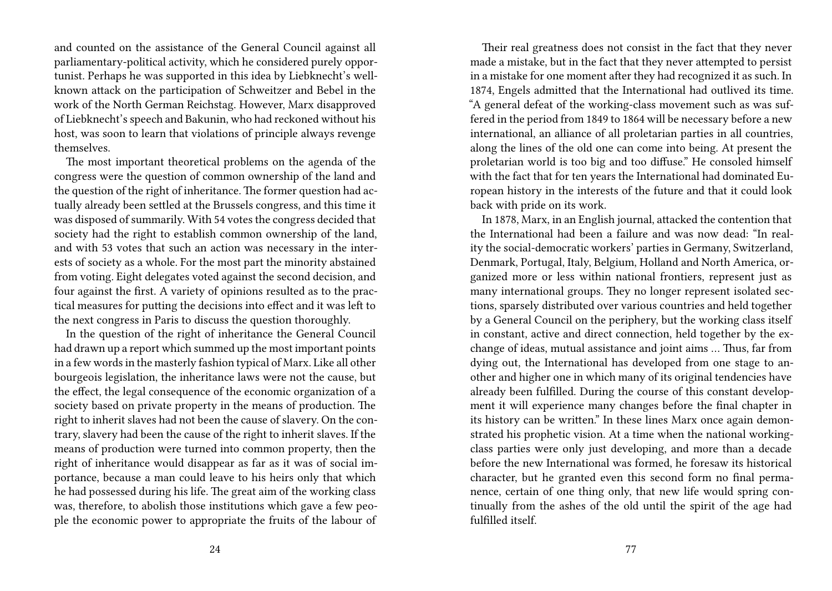and counted on the assistance of the General Council against all parliamentary-political activity, which he considered purely opportunist. Perhaps he was supported in this idea by Liebknecht's wellknown attack on the participation of Schweitzer and Bebel in the work of the North German Reichstag. However, Marx disapproved of Liebknecht's speech and Bakunin, who had reckoned without his host, was soon to learn that violations of principle always revenge themselves.

The most important theoretical problems on the agenda of the congress were the question of common ownership of the land and the question of the right of inheritance. The former question had actually already been settled at the Brussels congress, and this time it was disposed of summarily. With 54 votes the congress decided that society had the right to establish common ownership of the land, and with 53 votes that such an action was necessary in the interests of society as a whole. For the most part the minority abstained from voting. Eight delegates voted against the second decision, and four against the first. A variety of opinions resulted as to the practical measures for putting the decisions into effect and it was left to the next congress in Paris to discuss the question thoroughly.

In the question of the right of inheritance the General Council had drawn up a report which summed up the most important points in a few words in the masterly fashion typical of Marx. Like all other bourgeois legislation, the inheritance laws were not the cause, but the effect, the legal consequence of the economic organization of a society based on private property in the means of production. The right to inherit slaves had not been the cause of slavery. On the contrary, slavery had been the cause of the right to inherit slaves. If the means of production were turned into common property, then the right of inheritance would disappear as far as it was of social importance, because a man could leave to his heirs only that which he had possessed during his life. The great aim of the working class was, therefore, to abolish those institutions which gave a few people the economic power to appropriate the fruits of the labour of

Their real greatness does not consist in the fact that they never made a mistake, but in the fact that they never attempted to persist in a mistake for one moment after they had recognized it as such. In 1874, Engels admitted that the International had outlived its time. "A general defeat of the working-class movement such as was suffered in the period from 1849 to 1864 will be necessary before a new international, an alliance of all proletarian parties in all countries, along the lines of the old one can come into being. At present the proletarian world is too big and too diffuse." He consoled himself with the fact that for ten years the International had dominated European history in the interests of the future and that it could look back with pride on its work.

In 1878, Marx, in an English journal, attacked the contention that the International had been a failure and was now dead: "In reality the social-democratic workers' parties in Germany, Switzerland, Denmark, Portugal, Italy, Belgium, Holland and North America, organized more or less within national frontiers, represent just as many international groups. They no longer represent isolated sections, sparsely distributed over various countries and held together by a General Council on the periphery, but the working class itself in constant, active and direct connection, held together by the exchange of ideas, mutual assistance and joint aims … Thus, far from dying out, the International has developed from one stage to another and higher one in which many of its original tendencies have already been fulfilled. During the course of this constant development it will experience many changes before the final chapter in its history can be written." In these lines Marx once again demonstrated his prophetic vision. At a time when the national workingclass parties were only just developing, and more than a decade before the new International was formed, he foresaw its historical character, but he granted even this second form no final permanence, certain of one thing only, that new life would spring continually from the ashes of the old until the spirit of the age had fulfilled itself.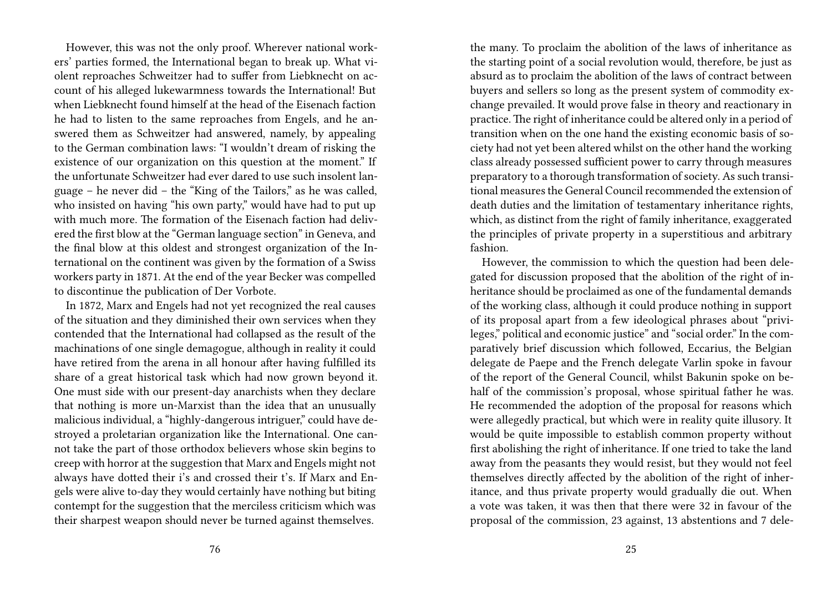However, this was not the only proof. Wherever national workers' parties formed, the International began to break up. What violent reproaches Schweitzer had to suffer from Liebknecht on account of his alleged lukewarmness towards the International! But when Liebknecht found himself at the head of the Eisenach faction he had to listen to the same reproaches from Engels, and he answered them as Schweitzer had answered, namely, by appealing to the German combination laws: "I wouldn't dream of risking the existence of our organization on this question at the moment." If the unfortunate Schweitzer had ever dared to use such insolent language – he never did – the "King of the Tailors," as he was called, who insisted on having "his own party," would have had to put up with much more. The formation of the Eisenach faction had delivered the first blow at the "German language section" in Geneva, and the final blow at this oldest and strongest organization of the International on the continent was given by the formation of a Swiss workers party in 1871. At the end of the year Becker was compelled to discontinue the publication of Der Vorbote.

In 1872, Marx and Engels had not yet recognized the real causes of the situation and they diminished their own services when they contended that the International had collapsed as the result of the machinations of one single demagogue, although in reality it could have retired from the arena in all honour after having fulfilled its share of a great historical task which had now grown beyond it. One must side with our present-day anarchists when they declare that nothing is more un-Marxist than the idea that an unusually malicious individual, a "highly-dangerous intriguer," could have destroyed a proletarian organization like the International. One cannot take the part of those orthodox believers whose skin begins to creep with horror at the suggestion that Marx and Engels might not always have dotted their i's and crossed their t's. If Marx and Engels were alive to-day they would certainly have nothing but biting contempt for the suggestion that the merciless criticism which was their sharpest weapon should never be turned against themselves.

the many. To proclaim the abolition of the laws of inheritance as the starting point of a social revolution would, therefore, be just as absurd as to proclaim the abolition of the laws of contract between buyers and sellers so long as the present system of commodity exchange prevailed. It would prove false in theory and reactionary in practice. The right of inheritance could be altered only in a period of transition when on the one hand the existing economic basis of society had not yet been altered whilst on the other hand the working class already possessed sufficient power to carry through measures preparatory to a thorough transformation of society. As such transitional measures the General Council recommended the extension of death duties and the limitation of testamentary inheritance rights, which, as distinct from the right of family inheritance, exaggerated the principles of private property in a superstitious and arbitrary fashion.

However, the commission to which the question had been delegated for discussion proposed that the abolition of the right of inheritance should be proclaimed as one of the fundamental demands of the working class, although it could produce nothing in support of its proposal apart from a few ideological phrases about "privileges," political and economic justice" and "social order." In the comparatively brief discussion which followed, Eccarius, the Belgian delegate de Paepe and the French delegate Varlin spoke in favour of the report of the General Council, whilst Bakunin spoke on behalf of the commission's proposal, whose spiritual father he was. He recommended the adoption of the proposal for reasons which were allegedly practical, but which were in reality quite illusory. It would be quite impossible to establish common property without first abolishing the right of inheritance. If one tried to take the land away from the peasants they would resist, but they would not feel themselves directly affected by the abolition of the right of inheritance, and thus private property would gradually die out. When a vote was taken, it was then that there were 32 in favour of the proposal of the commission, 23 against, 13 abstentions and 7 dele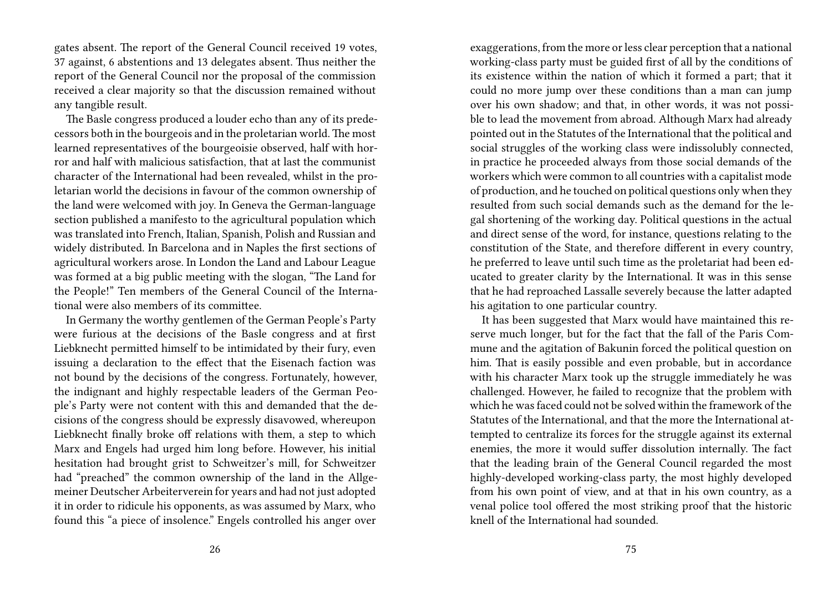gates absent. The report of the General Council received 19 votes, 37 against, 6 abstentions and 13 delegates absent. Thus neither the report of the General Council nor the proposal of the commission received a clear majority so that the discussion remained without any tangible result.

The Basle congress produced a louder echo than any of its predecessors both in the bourgeois and in the proletarian world. The most learned representatives of the bourgeoisie observed, half with horror and half with malicious satisfaction, that at last the communist character of the International had been revealed, whilst in the proletarian world the decisions in favour of the common ownership of the land were welcomed with joy. In Geneva the German-language section published a manifesto to the agricultural population which was translated into French, Italian, Spanish, Polish and Russian and widely distributed. In Barcelona and in Naples the first sections of agricultural workers arose. In London the Land and Labour League was formed at a big public meeting with the slogan, "The Land for the People!" Ten members of the General Council of the International were also members of its committee.

In Germany the worthy gentlemen of the German People's Party were furious at the decisions of the Basle congress and at first Liebknecht permitted himself to be intimidated by their fury, even issuing a declaration to the effect that the Eisenach faction was not bound by the decisions of the congress. Fortunately, however, the indignant and highly respectable leaders of the German People's Party were not content with this and demanded that the decisions of the congress should be expressly disavowed, whereupon Liebknecht finally broke off relations with them, a step to which Marx and Engels had urged him long before. However, his initial hesitation had brought grist to Schweitzer's mill, for Schweitzer had "preached" the common ownership of the land in the Allgemeiner Deutscher Arbeiterverein for years and had not just adopted it in order to ridicule his opponents, as was assumed by Marx, who found this "a piece of insolence." Engels controlled his anger over

exaggerations, from the more or less clear perception that a national working-class party must be guided first of all by the conditions of its existence within the nation of which it formed a part; that it could no more jump over these conditions than a man can jump over his own shadow; and that, in other words, it was not possible to lead the movement from abroad. Although Marx had already pointed out in the Statutes of the International that the political and social struggles of the working class were indissolubly connected, in practice he proceeded always from those social demands of the workers which were common to all countries with a capitalist mode of production, and he touched on political questions only when they resulted from such social demands such as the demand for the legal shortening of the working day. Political questions in the actual and direct sense of the word, for instance, questions relating to the constitution of the State, and therefore different in every country, he preferred to leave until such time as the proletariat had been educated to greater clarity by the International. It was in this sense that he had reproached Lassalle severely because the latter adapted his agitation to one particular country.

It has been suggested that Marx would have maintained this reserve much longer, but for the fact that the fall of the Paris Commune and the agitation of Bakunin forced the political question on him. That is easily possible and even probable, but in accordance with his character Marx took up the struggle immediately he was challenged. However, he failed to recognize that the problem with which he was faced could not be solved within the framework of the Statutes of the International, and that the more the International attempted to centralize its forces for the struggle against its external enemies, the more it would suffer dissolution internally. The fact that the leading brain of the General Council regarded the most highly-developed working-class party, the most highly developed from his own point of view, and at that in his own country, as a venal police tool offered the most striking proof that the historic knell of the International had sounded.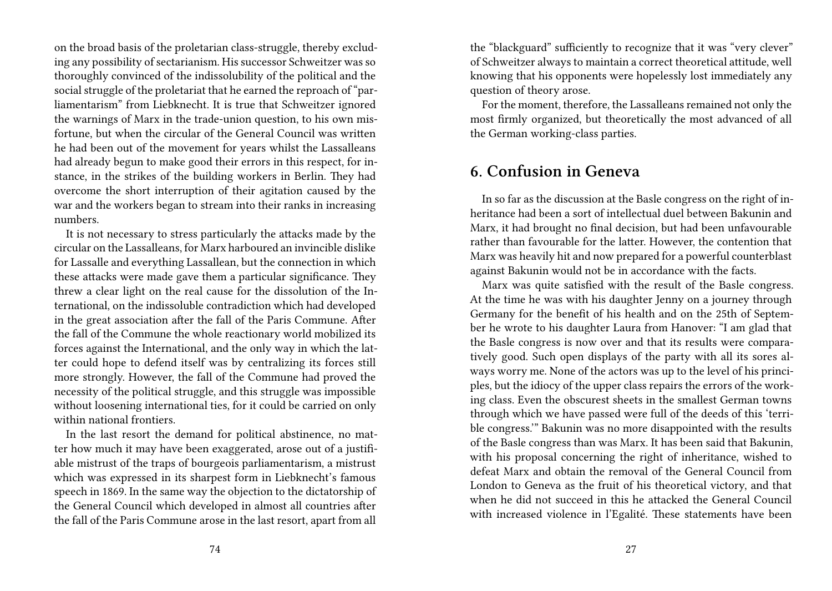on the broad basis of the proletarian class-struggle, thereby excluding any possibility of sectarianism. His successor Schweitzer was so thoroughly convinced of the indissolubility of the political and the social struggle of the proletariat that he earned the reproach of "parliamentarism" from Liebknecht. It is true that Schweitzer ignored the warnings of Marx in the trade-union question, to his own misfortune, but when the circular of the General Council was written he had been out of the movement for years whilst the Lassalleans had already begun to make good their errors in this respect, for instance, in the strikes of the building workers in Berlin. They had overcome the short interruption of their agitation caused by the war and the workers began to stream into their ranks in increasing numbers.

It is not necessary to stress particularly the attacks made by the circular on the Lassalleans, for Marx harboured an invincible dislike for Lassalle and everything Lassallean, but the connection in which these attacks were made gave them a particular significance. They threw a clear light on the real cause for the dissolution of the International, on the indissoluble contradiction which had developed in the great association after the fall of the Paris Commune. After the fall of the Commune the whole reactionary world mobilized its forces against the International, and the only way in which the latter could hope to defend itself was by centralizing its forces still more strongly. However, the fall of the Commune had proved the necessity of the political struggle, and this struggle was impossible without loosening international ties, for it could be carried on only within national frontiers.

In the last resort the demand for political abstinence, no matter how much it may have been exaggerated, arose out of a justifiable mistrust of the traps of bourgeois parliamentarism, a mistrust which was expressed in its sharpest form in Liebknecht's famous speech in 1869. In the same way the objection to the dictatorship of the General Council which developed in almost all countries after the fall of the Paris Commune arose in the last resort, apart from all

the "blackguard" sufficiently to recognize that it was "very clever" of Schweitzer always to maintain a correct theoretical attitude, well knowing that his opponents were hopelessly lost immediately any question of theory arose.

For the moment, therefore, the Lassalleans remained not only the most firmly organized, but theoretically the most advanced of all the German working-class parties.

## **6. Confusion in Geneva**

In so far as the discussion at the Basle congress on the right of inheritance had been a sort of intellectual duel between Bakunin and Marx, it had brought no final decision, but had been unfavourable rather than favourable for the latter. However, the contention that Marx was heavily hit and now prepared for a powerful counterblast against Bakunin would not be in accordance with the facts.

Marx was quite satisfied with the result of the Basle congress. At the time he was with his daughter Jenny on a journey through Germany for the benefit of his health and on the 25th of September he wrote to his daughter Laura from Hanover: "I am glad that the Basle congress is now over and that its results were comparatively good. Such open displays of the party with all its sores always worry me. None of the actors was up to the level of his principles, but the idiocy of the upper class repairs the errors of the working class. Even the obscurest sheets in the smallest German towns through which we have passed were full of the deeds of this 'terrible congress.'" Bakunin was no more disappointed with the results of the Basle congress than was Marx. It has been said that Bakunin, with his proposal concerning the right of inheritance, wished to defeat Marx and obtain the removal of the General Council from London to Geneva as the fruit of his theoretical victory, and that when he did not succeed in this he attacked the General Council with increased violence in l'Egalité. These statements have been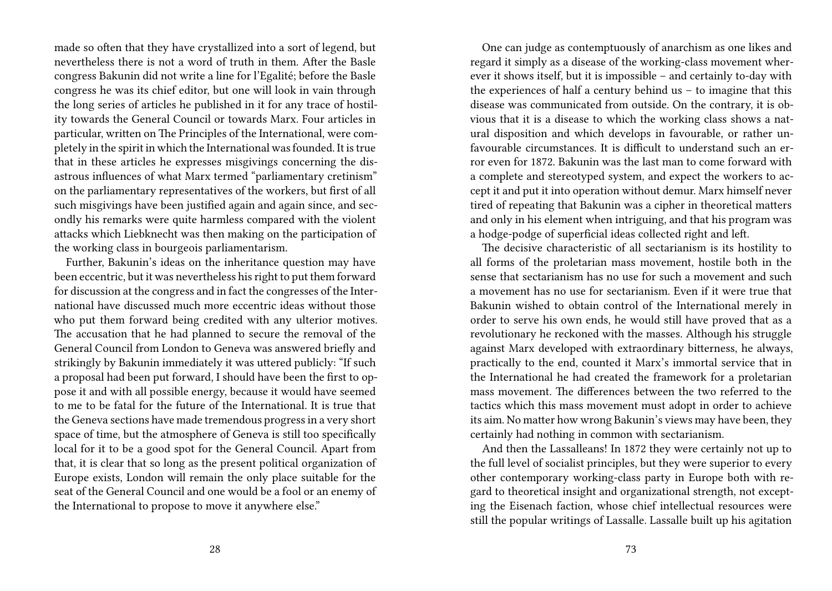made so often that they have crystallized into a sort of legend, but nevertheless there is not a word of truth in them. After the Basle congress Bakunin did not write a line for l'Egalité; before the Basle congress he was its chief editor, but one will look in vain through the long series of articles he published in it for any trace of hostility towards the General Council or towards Marx. Four articles in particular, written on The Principles of the International, were completely in the spirit in which the International was founded. It is true that in these articles he expresses misgivings concerning the disastrous influences of what Marx termed "parliamentary cretinism" on the parliamentary representatives of the workers, but first of all such misgivings have been justified again and again since, and secondly his remarks were quite harmless compared with the violent attacks which Liebknecht was then making on the participation of the working class in bourgeois parliamentarism.

Further, Bakunin's ideas on the inheritance question may have been eccentric, but it was nevertheless his right to put them forward for discussion at the congress and in fact the congresses of the International have discussed much more eccentric ideas without those who put them forward being credited with any ulterior motives. The accusation that he had planned to secure the removal of the General Council from London to Geneva was answered briefly and strikingly by Bakunin immediately it was uttered publicly: "If such a proposal had been put forward, I should have been the first to oppose it and with all possible energy, because it would have seemed to me to be fatal for the future of the International. It is true that the Geneva sections have made tremendous progress in a very short space of time, but the atmosphere of Geneva is still too specifically local for it to be a good spot for the General Council. Apart from that, it is clear that so long as the present political organization of Europe exists, London will remain the only place suitable for the seat of the General Council and one would be a fool or an enemy of the International to propose to move it anywhere else."

One can judge as contemptuously of anarchism as one likes and regard it simply as a disease of the working-class movement wherever it shows itself, but it is impossible – and certainly to-day with the experiences of half a century behind us – to imagine that this disease was communicated from outside. On the contrary, it is obvious that it is a disease to which the working class shows a natural disposition and which develops in favourable, or rather unfavourable circumstances. It is difficult to understand such an error even for 1872. Bakunin was the last man to come forward with a complete and stereotyped system, and expect the workers to accept it and put it into operation without demur. Marx himself never tired of repeating that Bakunin was a cipher in theoretical matters and only in his element when intriguing, and that his program was a hodge-podge of superficial ideas collected right and left.

The decisive characteristic of all sectarianism is its hostility to all forms of the proletarian mass movement, hostile both in the sense that sectarianism has no use for such a movement and such a movement has no use for sectarianism. Even if it were true that Bakunin wished to obtain control of the International merely in order to serve his own ends, he would still have proved that as a revolutionary he reckoned with the masses. Although his struggle against Marx developed with extraordinary bitterness, he always, practically to the end, counted it Marx's immortal service that in the International he had created the framework for a proletarian mass movement. The differences between the two referred to the tactics which this mass movement must adopt in order to achieve its aim. No matter how wrong Bakunin's views may have been, they certainly had nothing in common with sectarianism.

And then the Lassalleans! In 1872 they were certainly not up to the full level of socialist principles, but they were superior to every other contemporary working-class party in Europe both with regard to theoretical insight and organizational strength, not excepting the Eisenach faction, whose chief intellectual resources were still the popular writings of Lassalle. Lassalle built up his agitation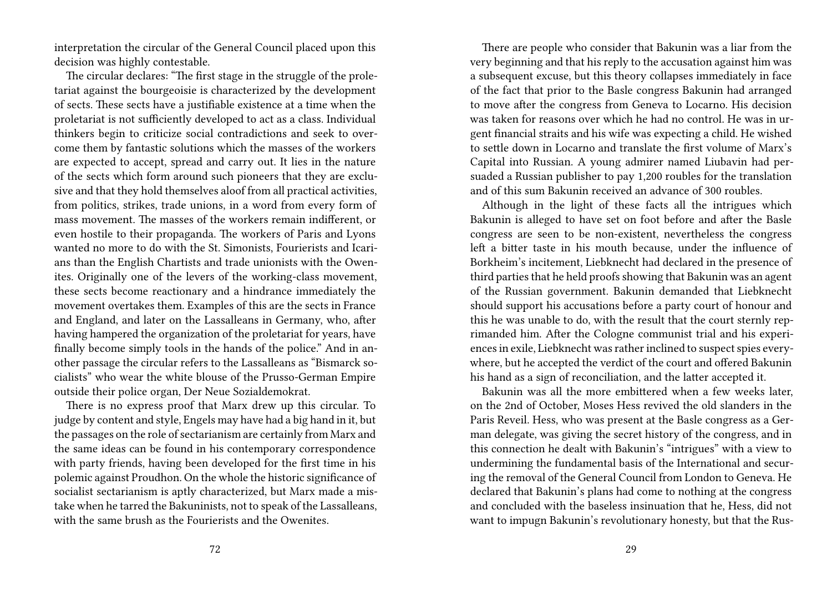interpretation the circular of the General Council placed upon this decision was highly contestable.

The circular declares: "The first stage in the struggle of the proletariat against the bourgeoisie is characterized by the development of sects. These sects have a justifiable existence at a time when the proletariat is not sufficiently developed to act as a class. Individual thinkers begin to criticize social contradictions and seek to overcome them by fantastic solutions which the masses of the workers are expected to accept, spread and carry out. It lies in the nature of the sects which form around such pioneers that they are exclusive and that they hold themselves aloof from all practical activities, from politics, strikes, trade unions, in a word from every form of mass movement. The masses of the workers remain indifferent, or even hostile to their propaganda. The workers of Paris and Lyons wanted no more to do with the St. Simonists, Fourierists and Icarians than the English Chartists and trade unionists with the Owenites. Originally one of the levers of the working-class movement, these sects become reactionary and a hindrance immediately the movement overtakes them. Examples of this are the sects in France and England, and later on the Lassalleans in Germany, who, after having hampered the organization of the proletariat for years, have finally become simply tools in the hands of the police." And in another passage the circular refers to the Lassalleans as "Bismarck socialists" who wear the white blouse of the Prusso-German Empire outside their police organ, Der Neue Sozialdemokrat.

There is no express proof that Marx drew up this circular. To judge by content and style, Engels may have had a big hand in it, but the passages on the role of sectarianism are certainly from Marx and the same ideas can be found in his contemporary correspondence with party friends, having been developed for the first time in his polemic against Proudhon. On the whole the historic significance of socialist sectarianism is aptly characterized, but Marx made a mistake when he tarred the Bakuninists, not to speak of the Lassalleans, with the same brush as the Fourierists and the Owenites.

There are people who consider that Bakunin was a liar from the very beginning and that his reply to the accusation against him was a subsequent excuse, but this theory collapses immediately in face of the fact that prior to the Basle congress Bakunin had arranged to move after the congress from Geneva to Locarno. His decision was taken for reasons over which he had no control. He was in urgent financial straits and his wife was expecting a child. He wished to settle down in Locarno and translate the first volume of Marx's Capital into Russian. A young admirer named Liubavin had persuaded a Russian publisher to pay 1,200 roubles for the translation and of this sum Bakunin received an advance of 300 roubles.

Although in the light of these facts all the intrigues which Bakunin is alleged to have set on foot before and after the Basle congress are seen to be non-existent, nevertheless the congress left a bitter taste in his mouth because, under the influence of Borkheim's incitement, Liebknecht had declared in the presence of third parties that he held proofs showing that Bakunin was an agent of the Russian government. Bakunin demanded that Liebknecht should support his accusations before a party court of honour and this he was unable to do, with the result that the court sternly reprimanded him. After the Cologne communist trial and his experiences in exile, Liebknecht was rather inclined to suspect spies everywhere, but he accepted the verdict of the court and offered Bakunin his hand as a sign of reconciliation, and the latter accepted it.

Bakunin was all the more embittered when a few weeks later, on the 2nd of October, Moses Hess revived the old slanders in the Paris Reveil. Hess, who was present at the Basle congress as a German delegate, was giving the secret history of the congress, and in this connection he dealt with Bakunin's "intrigues" with a view to undermining the fundamental basis of the International and securing the removal of the General Council from London to Geneva. He declared that Bakunin's plans had come to nothing at the congress and concluded with the baseless insinuation that he, Hess, did not want to impugn Bakunin's revolutionary honesty, but that the Rus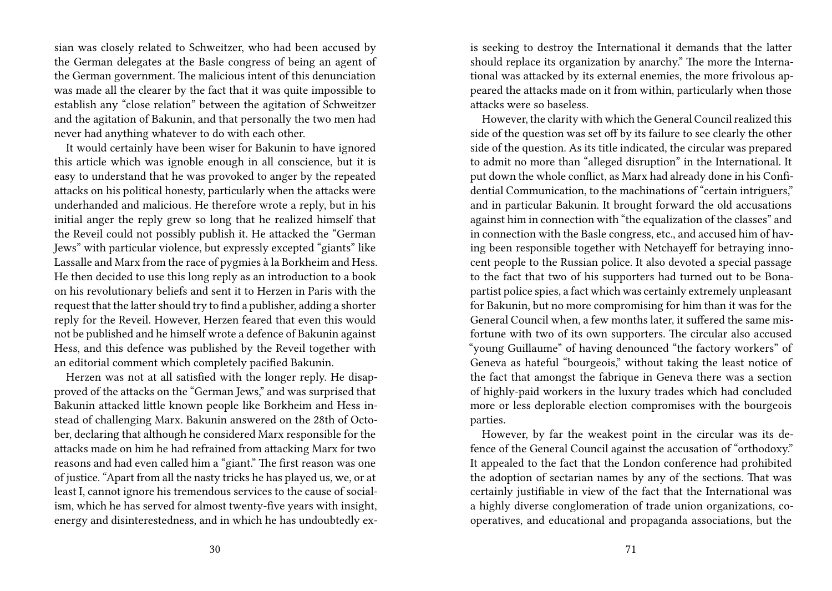sian was closely related to Schweitzer, who had been accused by the German delegates at the Basle congress of being an agent of the German government. The malicious intent of this denunciation was made all the clearer by the fact that it was quite impossible to establish any "close relation" between the agitation of Schweitzer and the agitation of Bakunin, and that personally the two men had never had anything whatever to do with each other.

It would certainly have been wiser for Bakunin to have ignored this article which was ignoble enough in all conscience, but it is easy to understand that he was provoked to anger by the repeated attacks on his political honesty, particularly when the attacks were underhanded and malicious. He therefore wrote a reply, but in his initial anger the reply grew so long that he realized himself that the Reveil could not possibly publish it. He attacked the "German Jews" with particular violence, but expressly excepted "giants" like Lassalle and Marx from the race of pygmies à la Borkheim and Hess. He then decided to use this long reply as an introduction to a book on his revolutionary beliefs and sent it to Herzen in Paris with the request that the latter should try to find a publisher, adding a shorter reply for the Reveil. However, Herzen feared that even this would not be published and he himself wrote a defence of Bakunin against Hess, and this defence was published by the Reveil together with an editorial comment which completely pacified Bakunin.

Herzen was not at all satisfied with the longer reply. He disapproved of the attacks on the "German Jews," and was surprised that Bakunin attacked little known people like Borkheim and Hess instead of challenging Marx. Bakunin answered on the 28th of October, declaring that although he considered Marx responsible for the attacks made on him he had refrained from attacking Marx for two reasons and had even called him a "giant." The first reason was one of justice. "Apart from all the nasty tricks he has played us, we, or at least I, cannot ignore his tremendous services to the cause of socialism, which he has served for almost twenty-five years with insight, energy and disinterestedness, and in which he has undoubtedly exis seeking to destroy the International it demands that the latter should replace its organization by anarchy." The more the International was attacked by its external enemies, the more frivolous appeared the attacks made on it from within, particularly when those attacks were so baseless.

However, the clarity with which the General Council realized this side of the question was set off by its failure to see clearly the other side of the question. As its title indicated, the circular was prepared to admit no more than "alleged disruption" in the International. It put down the whole conflict, as Marx had already done in his Confidential Communication, to the machinations of "certain intriguers," and in particular Bakunin. It brought forward the old accusations against him in connection with "the equalization of the classes" and in connection with the Basle congress, etc., and accused him of having been responsible together with Netchayeff for betraying innocent people to the Russian police. It also devoted a special passage to the fact that two of his supporters had turned out to be Bonapartist police spies, a fact which was certainly extremely unpleasant for Bakunin, but no more compromising for him than it was for the General Council when, a few months later, it suffered the same misfortune with two of its own supporters. The circular also accused "young Guillaume" of having denounced "the factory workers" of Geneva as hateful "bourgeois," without taking the least notice of the fact that amongst the fabrique in Geneva there was a section of highly-paid workers in the luxury trades which had concluded more or less deplorable election compromises with the bourgeois parties.

However, by far the weakest point in the circular was its defence of the General Council against the accusation of "orthodoxy." It appealed to the fact that the London conference had prohibited the adoption of sectarian names by any of the sections. That was certainly justifiable in view of the fact that the International was a highly diverse conglomeration of trade union organizations, cooperatives, and educational and propaganda associations, but the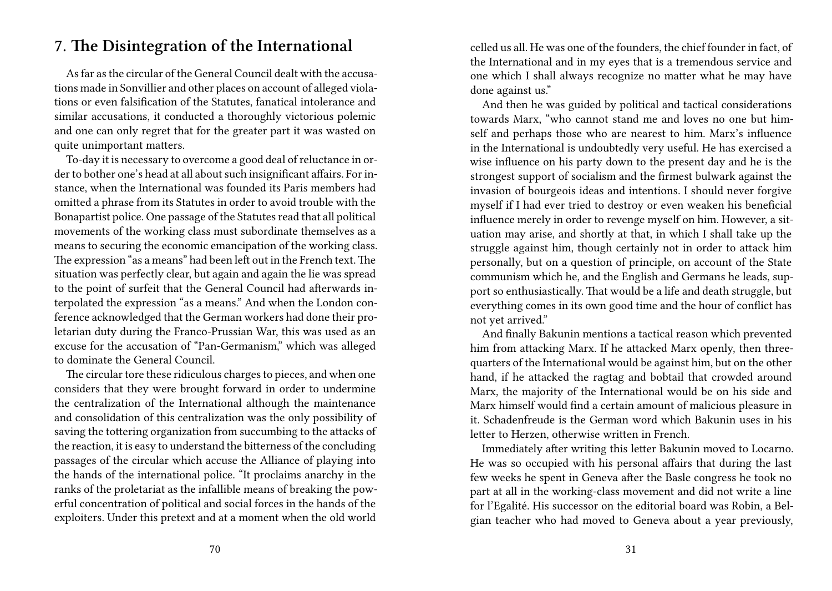## **7. The Disintegration of the International**

As far as the circular of the General Council dealt with the accusations made in Sonvillier and other places on account of alleged violations or even falsification of the Statutes, fanatical intolerance and similar accusations, it conducted a thoroughly victorious polemic and one can only regret that for the greater part it was wasted on quite unimportant matters.

To-day it is necessary to overcome a good deal of reluctance in order to bother one's head at all about such insignificant affairs. For instance, when the International was founded its Paris members had omitted a phrase from its Statutes in order to avoid trouble with the Bonapartist police. One passage of the Statutes read that all political movements of the working class must subordinate themselves as a means to securing the economic emancipation of the working class. The expression "as a means" had been left out in the French text. The situation was perfectly clear, but again and again the lie was spread to the point of surfeit that the General Council had afterwards interpolated the expression "as a means." And when the London conference acknowledged that the German workers had done their proletarian duty during the Franco-Prussian War, this was used as an excuse for the accusation of "Pan-Germanism," which was alleged to dominate the General Council.

The circular tore these ridiculous charges to pieces, and when one considers that they were brought forward in order to undermine the centralization of the International although the maintenance and consolidation of this centralization was the only possibility of saving the tottering organization from succumbing to the attacks of the reaction, it is easy to understand the bitterness of the concluding passages of the circular which accuse the Alliance of playing into the hands of the international police. "It proclaims anarchy in the ranks of the proletariat as the infallible means of breaking the powerful concentration of political and social forces in the hands of the exploiters. Under this pretext and at a moment when the old world

celled us all. He was one of the founders, the chief founder in fact, of the International and in my eyes that is a tremendous service and one which I shall always recognize no matter what he may have done against us."

And then he was guided by political and tactical considerations towards Marx, "who cannot stand me and loves no one but himself and perhaps those who are nearest to him. Marx's influence in the International is undoubtedly very useful. He has exercised a wise influence on his party down to the present day and he is the strongest support of socialism and the firmest bulwark against the invasion of bourgeois ideas and intentions. I should never forgive myself if I had ever tried to destroy or even weaken his beneficial influence merely in order to revenge myself on him. However, a situation may arise, and shortly at that, in which I shall take up the struggle against him, though certainly not in order to attack him personally, but on a question of principle, on account of the State communism which he, and the English and Germans he leads, support so enthusiastically. That would be a life and death struggle, but everything comes in its own good time and the hour of conflict has not yet arrived."

And finally Bakunin mentions a tactical reason which prevented him from attacking Marx. If he attacked Marx openly, then threequarters of the International would be against him, but on the other hand, if he attacked the ragtag and bobtail that crowded around Marx, the majority of the International would be on his side and Marx himself would find a certain amount of malicious pleasure in it. Schadenfreude is the German word which Bakunin uses in his letter to Herzen, otherwise written in French.

Immediately after writing this letter Bakunin moved to Locarno. He was so occupied with his personal affairs that during the last few weeks he spent in Geneva after the Basle congress he took no part at all in the working-class movement and did not write a line for l'Egalité. His successor on the editorial board was Robin, a Belgian teacher who had moved to Geneva about a year previously,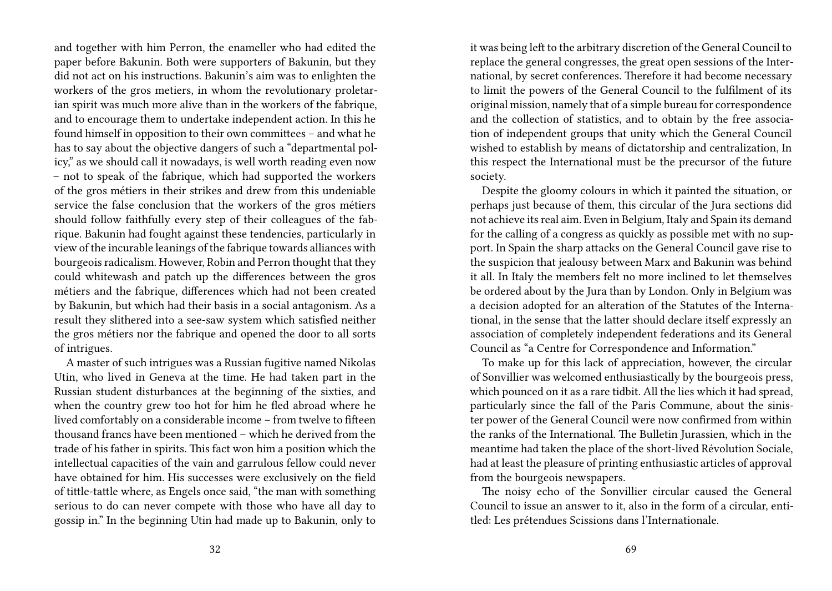and together with him Perron, the enameller who had edited the paper before Bakunin. Both were supporters of Bakunin, but they did not act on his instructions. Bakunin's aim was to enlighten the workers of the gros metiers, in whom the revolutionary proletarian spirit was much more alive than in the workers of the fabrique, and to encourage them to undertake independent action. In this he found himself in opposition to their own committees – and what he has to say about the objective dangers of such a "departmental policy," as we should call it nowadays, is well worth reading even now – not to speak of the fabrique, which had supported the workers of the gros métiers in their strikes and drew from this undeniable service the false conclusion that the workers of the gros métiers should follow faithfully every step of their colleagues of the fabrique. Bakunin had fought against these tendencies, particularly in view of the incurable leanings of the fabrique towards alliances with bourgeois radicalism. However, Robin and Perron thought that they could whitewash and patch up the differences between the gros métiers and the fabrique, differences which had not been created by Bakunin, but which had their basis in a social antagonism. As a result they slithered into a see-saw system which satisfied neither the gros métiers nor the fabrique and opened the door to all sorts of intrigues.

A master of such intrigues was a Russian fugitive named Nikolas Utin, who lived in Geneva at the time. He had taken part in the Russian student disturbances at the beginning of the sixties, and when the country grew too hot for him he fled abroad where he lived comfortably on a considerable income – from twelve to fifteen thousand francs have been mentioned – which he derived from the trade of his father in spirits. This fact won him a position which the intellectual capacities of the vain and garrulous fellow could never have obtained for him. His successes were exclusively on the field of tittle-tattle where, as Engels once said, "the man with something serious to do can never compete with those who have all day to gossip in." In the beginning Utin had made up to Bakunin, only to it was being left to the arbitrary discretion of the General Council to replace the general congresses, the great open sessions of the International, by secret conferences. Therefore it had become necessary to limit the powers of the General Council to the fulfilment of its original mission, namely that of a simple bureau for correspondence and the collection of statistics, and to obtain by the free association of independent groups that unity which the General Council wished to establish by means of dictatorship and centralization, In this respect the International must be the precursor of the future society.

Despite the gloomy colours in which it painted the situation, or perhaps just because of them, this circular of the Jura sections did not achieve its real aim. Even in Belgium, Italy and Spain its demand for the calling of a congress as quickly as possible met with no support. In Spain the sharp attacks on the General Council gave rise to the suspicion that jealousy between Marx and Bakunin was behind it all. In Italy the members felt no more inclined to let themselves be ordered about by the Jura than by London. Only in Belgium was a decision adopted for an alteration of the Statutes of the International, in the sense that the latter should declare itself expressly an association of completely independent federations and its General Council as "a Centre for Correspondence and Information."

To make up for this lack of appreciation, however, the circular of Sonvillier was welcomed enthusiastically by the bourgeois press, which pounced on it as a rare tidbit. All the lies which it had spread, particularly since the fall of the Paris Commune, about the sinister power of the General Council were now confirmed from within the ranks of the International. The Bulletin Jurassien, which in the meantime had taken the place of the short-lived Révolution Sociale, had at least the pleasure of printing enthusiastic articles of approval from the bourgeois newspapers.

The noisy echo of the Sonvillier circular caused the General Council to issue an answer to it, also in the form of a circular, entitled: Les prétendues Scissions dans l'Internationale.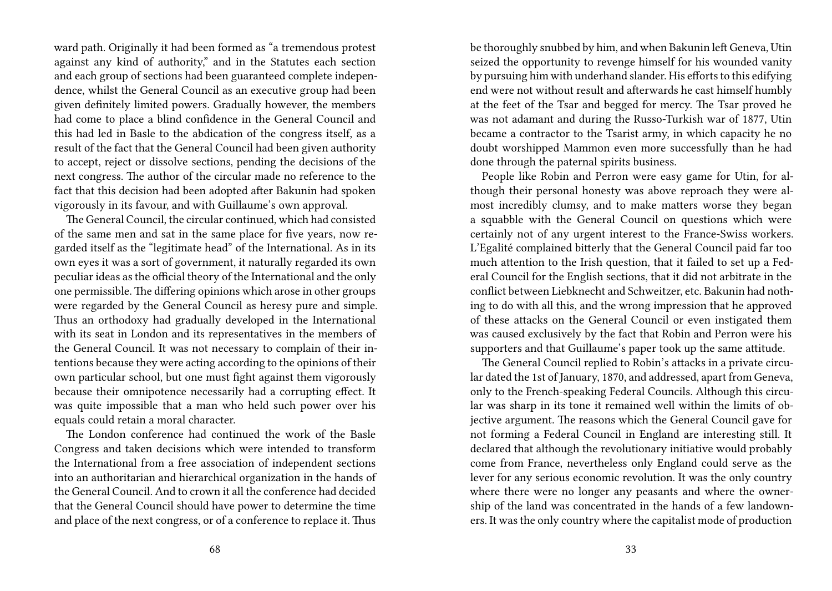ward path. Originally it had been formed as "a tremendous protest against any kind of authority," and in the Statutes each section and each group of sections had been guaranteed complete independence, whilst the General Council as an executive group had been given definitely limited powers. Gradually however, the members had come to place a blind confidence in the General Council and this had led in Basle to the abdication of the congress itself, as a result of the fact that the General Council had been given authority to accept, reject or dissolve sections, pending the decisions of the next congress. The author of the circular made no reference to the fact that this decision had been adopted after Bakunin had spoken vigorously in its favour, and with Guillaume's own approval.

The General Council, the circular continued, which had consisted of the same men and sat in the same place for five years, now regarded itself as the "legitimate head" of the International. As in its own eyes it was a sort of government, it naturally regarded its own peculiar ideas as the official theory of the International and the only one permissible. The differing opinions which arose in other groups were regarded by the General Council as heresy pure and simple. Thus an orthodoxy had gradually developed in the International with its seat in London and its representatives in the members of the General Council. It was not necessary to complain of their intentions because they were acting according to the opinions of their own particular school, but one must fight against them vigorously because their omnipotence necessarily had a corrupting effect. It was quite impossible that a man who held such power over his equals could retain a moral character.

The London conference had continued the work of the Basle Congress and taken decisions which were intended to transform the International from a free association of independent sections into an authoritarian and hierarchical organization in the hands of the General Council. And to crown it all the conference had decided that the General Council should have power to determine the time and place of the next congress, or of a conference to replace it. Thus

be thoroughly snubbed by him, and when Bakunin left Geneva, Utin seized the opportunity to revenge himself for his wounded vanity by pursuing him with underhand slander. His efforts to this edifying end were not without result and afterwards he cast himself humbly at the feet of the Tsar and begged for mercy. The Tsar proved he was not adamant and during the Russo-Turkish war of 1877, Utin became a contractor to the Tsarist army, in which capacity he no doubt worshipped Mammon even more successfully than he had done through the paternal spirits business.

People like Robin and Perron were easy game for Utin, for although their personal honesty was above reproach they were almost incredibly clumsy, and to make matters worse they began a squabble with the General Council on questions which were certainly not of any urgent interest to the France-Swiss workers. L'Egalité complained bitterly that the General Council paid far too much attention to the Irish question, that it failed to set up a Federal Council for the English sections, that it did not arbitrate in the conflict between Liebknecht and Schweitzer, etc. Bakunin had nothing to do with all this, and the wrong impression that he approved of these attacks on the General Council or even instigated them was caused exclusively by the fact that Robin and Perron were his supporters and that Guillaume's paper took up the same attitude.

The General Council replied to Robin's attacks in a private circular dated the 1st of January, 1870, and addressed, apart from Geneva, only to the French-speaking Federal Councils. Although this circular was sharp in its tone it remained well within the limits of objective argument. The reasons which the General Council gave for not forming a Federal Council in England are interesting still. It declared that although the revolutionary initiative would probably come from France, nevertheless only England could serve as the lever for any serious economic revolution. It was the only country where there were no longer any peasants and where the ownership of the land was concentrated in the hands of a few landowners. It was the only country where the capitalist mode of production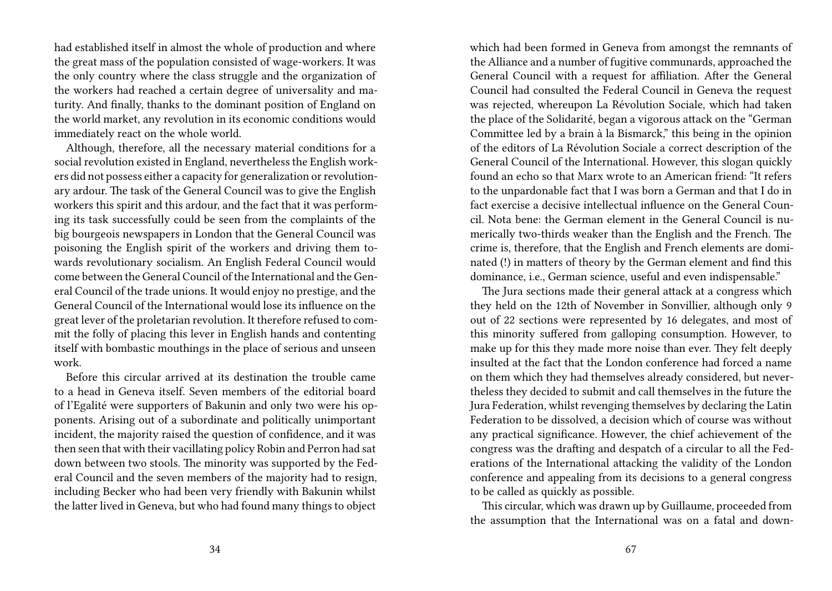had established itself in almost the whole of production and where the great mass of the population consisted of wage-workers. It was the only country where the class struggle and the organization of the workers had reached a certain degree of universality and maturity. And finally, thanks to the dominant position of England on the world market, any revolution in its economic conditions would immediately react on the whole world.

Although, therefore, all the necessary material conditions for a social revolution existed in England, nevertheless the English workers did not possess either a capacity for generalization or revolutionary ardour. The task of the General Council was to give the English workers this spirit and this ardour, and the fact that it was performing its task successfully could be seen from the complaints of the big bourgeois newspapers in London that the General Council was poisoning the English spirit of the workers and driving them towards revolutionary socialism. An English Federal Council would come between the General Council of the International and the General Council of the trade unions. It would enjoy no prestige, and the General Council of the International would lose its influence on the great lever of the proletarian revolution. It therefore refused to commit the folly of placing this lever in English hands and contenting itself with bombastic mouthings in the place of serious and unseen work.

Before this circular arrived at its destination the trouble came to a head in Geneva itself. Seven members of the editorial board of l'Egalité were supporters of Bakunin and only two were his opponents. Arising out of a subordinate and politically unimportant incident, the majority raised the question of confidence, and it was then seen that with their vacillating policy Robin and Perron had sat down between two stools. The minority was supported by the Federal Council and the seven members of the majority had to resign, including Becker who had been very friendly with Bakunin whilst the latter lived in Geneva, but who had found many things to object

which had been formed in Geneva from amongst the remnants of the Alliance and a number of fugitive communards, approached the General Council with a request for affiliation. After the General Council had consulted the Federal Council in Geneva the request was rejected, whereupon La Révolution Sociale, which had taken the place of the Solidarité, began a vigorous attack on the "German Committee led by a brain à la Bismarck," this being in the opinion of the editors of La Révolution Sociale a correct description of the General Council of the International. However, this slogan quickly found an echo so that Marx wrote to an American friend: "It refers to the unpardonable fact that I was born a German and that I do in fact exercise a decisive intellectual influence on the General Council. Nota bene: the German element in the General Council is numerically two-thirds weaker than the English and the French. The crime is, therefore, that the English and French elements are dominated (!) in matters of theory by the German element and find this dominance, i.e., German science, useful and even indispensable."

The Jura sections made their general attack at a congress which they held on the 12th of November in Sonvillier, although only 9 out of 22 sections were represented by 16 delegates, and most of this minority suffered from galloping consumption. However, to make up for this they made more noise than ever. They felt deeply insulted at the fact that the London conference had forced a name on them which they had themselves already considered, but nevertheless they decided to submit and call themselves in the future the Jura Federation, whilst revenging themselves by declaring the Latin Federation to be dissolved, a decision which of course was without any practical significance. However, the chief achievement of the congress was the drafting and despatch of a circular to all the Federations of the International attacking the validity of the London conference and appealing from its decisions to a general congress to be called as quickly as possible.

This circular, which was drawn up by Guillaume, proceeded from the assumption that the International was on a fatal and down-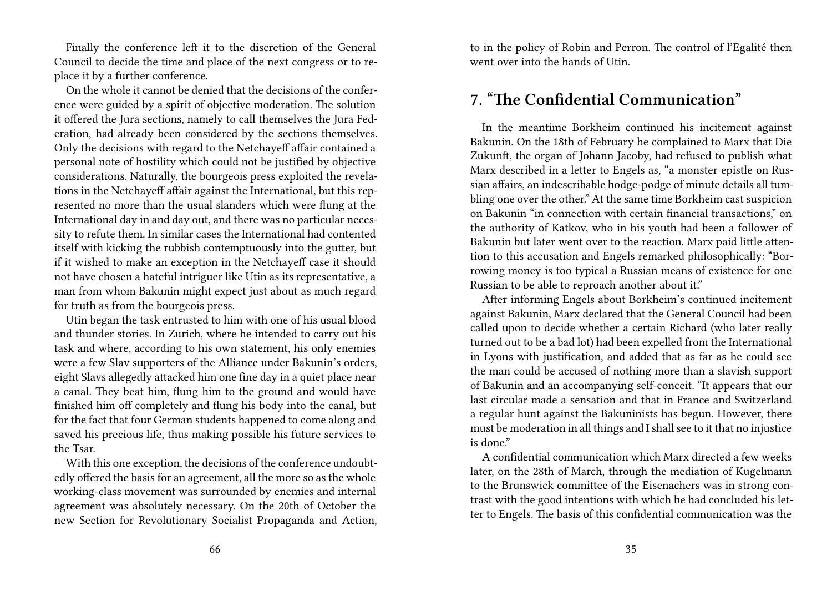Finally the conference left it to the discretion of the General Council to decide the time and place of the next congress or to replace it by a further conference.

On the whole it cannot be denied that the decisions of the conference were guided by a spirit of objective moderation. The solution it offered the Jura sections, namely to call themselves the Jura Federation, had already been considered by the sections themselves. Only the decisions with regard to the Netchayeff affair contained a personal note of hostility which could not be justified by objective considerations. Naturally, the bourgeois press exploited the revelations in the Netchayeff affair against the International, but this represented no more than the usual slanders which were flung at the International day in and day out, and there was no particular necessity to refute them. In similar cases the International had contented itself with kicking the rubbish contemptuously into the gutter, but if it wished to make an exception in the Netchayeff case it should not have chosen a hateful intriguer like Utin as its representative, a man from whom Bakunin might expect just about as much regard for truth as from the bourgeois press.

Utin began the task entrusted to him with one of his usual blood and thunder stories. In Zurich, where he intended to carry out his task and where, according to his own statement, his only enemies were a few Slav supporters of the Alliance under Bakunin's orders, eight Slavs allegedly attacked him one fine day in a quiet place near a canal. They beat him, flung him to the ground and would have finished him off completely and flung his body into the canal, but for the fact that four German students happened to come along and saved his precious life, thus making possible his future services to the Tsar.

With this one exception, the decisions of the conference undoubtedly offered the basis for an agreement, all the more so as the whole working-class movement was surrounded by enemies and internal agreement was absolutely necessary. On the 20th of October the new Section for Revolutionary Socialist Propaganda and Action, to in the policy of Robin and Perron. The control of l'Egalité then went over into the hands of Utin.

### **7. "The Confidential Communication"**

In the meantime Borkheim continued his incitement against Bakunin. On the 18th of February he complained to Marx that Die Zukunft, the organ of Johann Jacoby, had refused to publish what Marx described in a letter to Engels as, "a monster epistle on Russian affairs, an indescribable hodge-podge of minute details all tumbling one over the other." At the same time Borkheim cast suspicion on Bakunin "in connection with certain financial transactions," on the authority of Katkov, who in his youth had been a follower of Bakunin but later went over to the reaction. Marx paid little attention to this accusation and Engels remarked philosophically: "Borrowing money is too typical a Russian means of existence for one Russian to be able to reproach another about it."

After informing Engels about Borkheim's continued incitement against Bakunin, Marx declared that the General Council had been called upon to decide whether a certain Richard (who later really turned out to be a bad lot) had been expelled from the International in Lyons with justification, and added that as far as he could see the man could be accused of nothing more than a slavish support of Bakunin and an accompanying self-conceit. "It appears that our last circular made a sensation and that in France and Switzerland a regular hunt against the Bakuninists has begun. However, there must be moderation in all things and I shall see to it that no injustice is done"

A confidential communication which Marx directed a few weeks later, on the 28th of March, through the mediation of Kugelmann to the Brunswick committee of the Eisenachers was in strong contrast with the good intentions with which he had concluded his letter to Engels. The basis of this confidential communication was the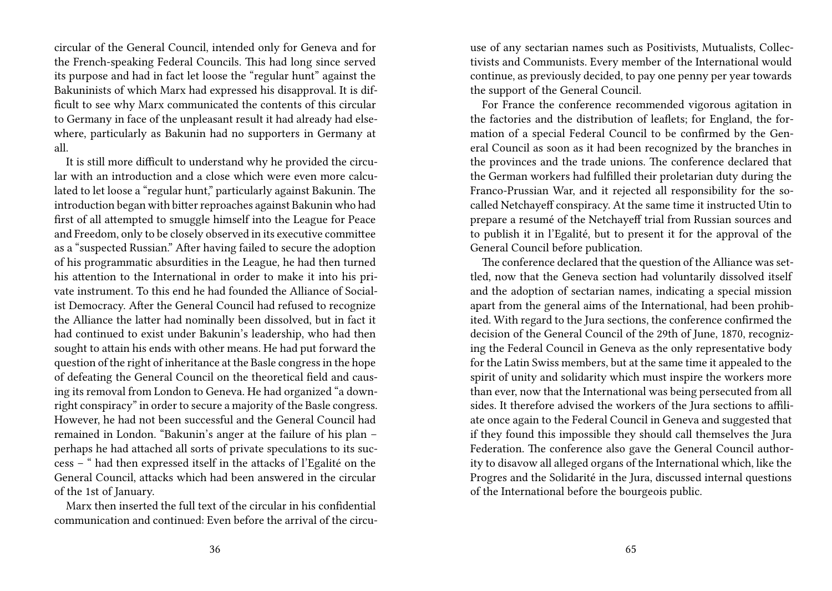circular of the General Council, intended only for Geneva and for the French-speaking Federal Councils. This had long since served its purpose and had in fact let loose the "regular hunt" against the Bakuninists of which Marx had expressed his disapproval. It is difficult to see why Marx communicated the contents of this circular to Germany in face of the unpleasant result it had already had elsewhere, particularly as Bakunin had no supporters in Germany at all.

It is still more difficult to understand why he provided the circular with an introduction and a close which were even more calculated to let loose a "regular hunt," particularly against Bakunin. The introduction began with bitter reproaches against Bakunin who had first of all attempted to smuggle himself into the League for Peace and Freedom, only to be closely observed in its executive committee as a "suspected Russian." After having failed to secure the adoption of his programmatic absurdities in the League, he had then turned his attention to the International in order to make it into his private instrument. To this end he had founded the Alliance of Socialist Democracy. After the General Council had refused to recognize the Alliance the latter had nominally been dissolved, but in fact it had continued to exist under Bakunin's leadership, who had then sought to attain his ends with other means. He had put forward the question of the right of inheritance at the Basle congress in the hope of defeating the General Council on the theoretical field and causing its removal from London to Geneva. He had organized "a downright conspiracy" in order to secure a majority of the Basle congress. However, he had not been successful and the General Council had remained in London. "Bakunin's anger at the failure of his plan – perhaps he had attached all sorts of private speculations to its success – " had then expressed itself in the attacks of l'Egalité on the General Council, attacks which had been answered in the circular of the 1st of January.

Marx then inserted the full text of the circular in his confidential communication and continued: Even before the arrival of the circuuse of any sectarian names such as Positivists, Mutualists, Collectivists and Communists. Every member of the International would continue, as previously decided, to pay one penny per year towards the support of the General Council.

For France the conference recommended vigorous agitation in the factories and the distribution of leaflets; for England, the formation of a special Federal Council to be confirmed by the General Council as soon as it had been recognized by the branches in the provinces and the trade unions. The conference declared that the German workers had fulfilled their proletarian duty during the Franco-Prussian War, and it rejected all responsibility for the socalled Netchayeff conspiracy. At the same time it instructed Utin to prepare a resumé of the Netchayeff trial from Russian sources and to publish it in l'Egalité, but to present it for the approval of the General Council before publication.

The conference declared that the question of the Alliance was settled, now that the Geneva section had voluntarily dissolved itself and the adoption of sectarian names, indicating a special mission apart from the general aims of the International, had been prohibited. With regard to the Jura sections, the conference confirmed the decision of the General Council of the 29th of June, 1870, recognizing the Federal Council in Geneva as the only representative body for the Latin Swiss members, but at the same time it appealed to the spirit of unity and solidarity which must inspire the workers more than ever, now that the International was being persecuted from all sides. It therefore advised the workers of the Jura sections to affiliate once again to the Federal Council in Geneva and suggested that if they found this impossible they should call themselves the Jura Federation. The conference also gave the General Council authority to disavow all alleged organs of the International which, like the Progres and the Solidarité in the Jura, discussed internal questions of the International before the bourgeois public.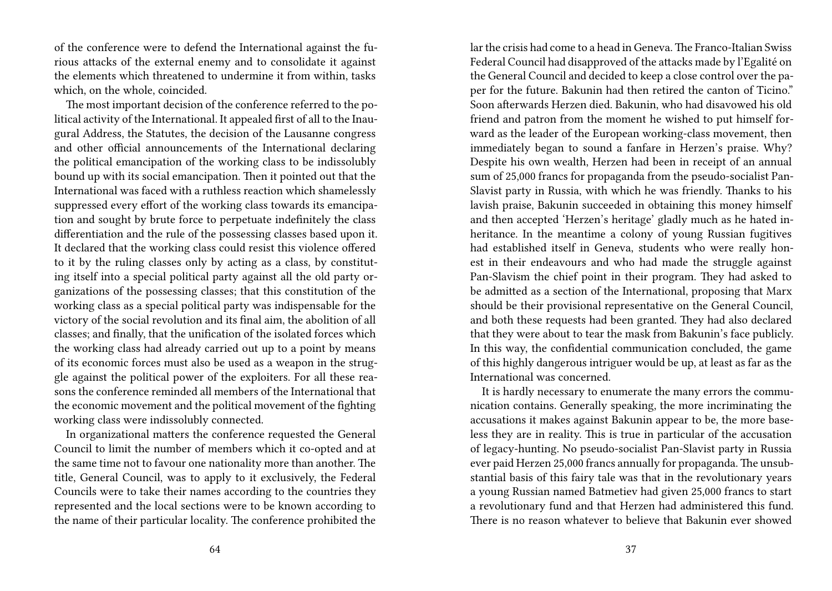of the conference were to defend the International against the furious attacks of the external enemy and to consolidate it against the elements which threatened to undermine it from within, tasks which, on the whole, coincided.

The most important decision of the conference referred to the political activity of the International. It appealed first of all to the Inaugural Address, the Statutes, the decision of the Lausanne congress and other official announcements of the International declaring the political emancipation of the working class to be indissolubly bound up with its social emancipation. Then it pointed out that the International was faced with a ruthless reaction which shamelessly suppressed every effort of the working class towards its emancipation and sought by brute force to perpetuate indefinitely the class differentiation and the rule of the possessing classes based upon it. It declared that the working class could resist this violence offered to it by the ruling classes only by acting as a class, by constituting itself into a special political party against all the old party organizations of the possessing classes; that this constitution of the working class as a special political party was indispensable for the victory of the social revolution and its final aim, the abolition of all classes; and finally, that the unification of the isolated forces which the working class had already carried out up to a point by means of its economic forces must also be used as a weapon in the struggle against the political power of the exploiters. For all these reasons the conference reminded all members of the International that the economic movement and the political movement of the fighting working class were indissolubly connected.

In organizational matters the conference requested the General Council to limit the number of members which it co-opted and at the same time not to favour one nationality more than another. The title, General Council, was to apply to it exclusively, the Federal Councils were to take their names according to the countries they represented and the local sections were to be known according to the name of their particular locality. The conference prohibited the lar the crisis had come to a head in Geneva. The Franco-Italian Swiss Federal Council had disapproved of the attacks made by l'Egalité on the General Council and decided to keep a close control over the paper for the future. Bakunin had then retired the canton of Ticino." Soon afterwards Herzen died. Bakunin, who had disavowed his old friend and patron from the moment he wished to put himself forward as the leader of the European working-class movement, then immediately began to sound a fanfare in Herzen's praise. Why? Despite his own wealth, Herzen had been in receipt of an annual sum of 25,000 francs for propaganda from the pseudo-socialist Pan-Slavist party in Russia, with which he was friendly. Thanks to his lavish praise, Bakunin succeeded in obtaining this money himself and then accepted 'Herzen's heritage' gladly much as he hated inheritance. In the meantime a colony of young Russian fugitives had established itself in Geneva, students who were really honest in their endeavours and who had made the struggle against Pan-Slavism the chief point in their program. They had asked to be admitted as a section of the International, proposing that Marx should be their provisional representative on the General Council, and both these requests had been granted. They had also declared that they were about to tear the mask from Bakunin's face publicly. In this way, the confidential communication concluded, the game of this highly dangerous intriguer would be up, at least as far as the International was concerned.

It is hardly necessary to enumerate the many errors the communication contains. Generally speaking, the more incriminating the accusations it makes against Bakunin appear to be, the more baseless they are in reality. This is true in particular of the accusation of legacy-hunting. No pseudo-socialist Pan-Slavist party in Russia ever paid Herzen 25,000 francs annually for propaganda. The unsubstantial basis of this fairy tale was that in the revolutionary years a young Russian named Batmetiev had given 25,000 francs to start a revolutionary fund and that Herzen had administered this fund. There is no reason whatever to believe that Bakunin ever showed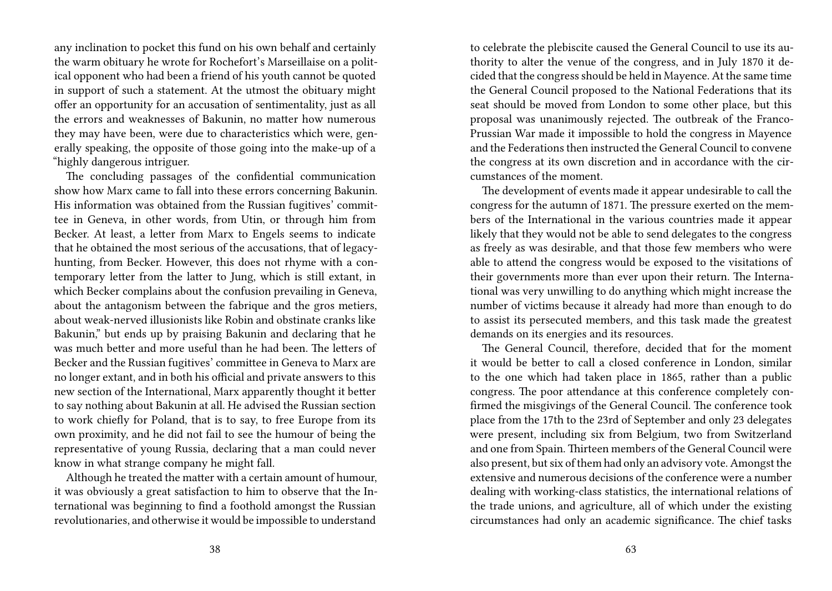any inclination to pocket this fund on his own behalf and certainly the warm obituary he wrote for Rochefort's Marseillaise on a political opponent who had been a friend of his youth cannot be quoted in support of such a statement. At the utmost the obituary might offer an opportunity for an accusation of sentimentality, just as all the errors and weaknesses of Bakunin, no matter how numerous they may have been, were due to characteristics which were, generally speaking, the opposite of those going into the make-up of a "highly dangerous intriguer.

The concluding passages of the confidential communication show how Marx came to fall into these errors concerning Bakunin. His information was obtained from the Russian fugitives' committee in Geneva, in other words, from Utin, or through him from Becker. At least, a letter from Marx to Engels seems to indicate that he obtained the most serious of the accusations, that of legacyhunting, from Becker. However, this does not rhyme with a contemporary letter from the latter to Jung, which is still extant, in which Becker complains about the confusion prevailing in Geneva, about the antagonism between the fabrique and the gros metiers, about weak-nerved illusionists like Robin and obstinate cranks like Bakunin," but ends up by praising Bakunin and declaring that he was much better and more useful than he had been. The letters of Becker and the Russian fugitives' committee in Geneva to Marx are no longer extant, and in both his official and private answers to this new section of the International, Marx apparently thought it better to say nothing about Bakunin at all. He advised the Russian section to work chiefly for Poland, that is to say, to free Europe from its own proximity, and he did not fail to see the humour of being the representative of young Russia, declaring that a man could never know in what strange company he might fall.

Although he treated the matter with a certain amount of humour, it was obviously a great satisfaction to him to observe that the International was beginning to find a foothold amongst the Russian revolutionaries, and otherwise it would be impossible to understand

to celebrate the plebiscite caused the General Council to use its authority to alter the venue of the congress, and in July 1870 it decided that the congress should be held in Mayence. At the same time the General Council proposed to the National Federations that its seat should be moved from London to some other place, but this proposal was unanimously rejected. The outbreak of the Franco-Prussian War made it impossible to hold the congress in Mayence and the Federations then instructed the General Council to convene the congress at its own discretion and in accordance with the circumstances of the moment.

The development of events made it appear undesirable to call the congress for the autumn of 1871. The pressure exerted on the members of the International in the various countries made it appear likely that they would not be able to send delegates to the congress as freely as was desirable, and that those few members who were able to attend the congress would be exposed to the visitations of their governments more than ever upon their return. The International was very unwilling to do anything which might increase the number of victims because it already had more than enough to do to assist its persecuted members, and this task made the greatest demands on its energies and its resources.

The General Council, therefore, decided that for the moment it would be better to call a closed conference in London, similar to the one which had taken place in 1865, rather than a public congress. The poor attendance at this conference completely confirmed the misgivings of the General Council. The conference took place from the 17th to the 23rd of September and only 23 delegates were present, including six from Belgium, two from Switzerland and one from Spain. Thirteen members of the General Council were also present, but six of them had only an advisory vote. Amongst the extensive and numerous decisions of the conference were a number dealing with working-class statistics, the international relations of the trade unions, and agriculture, all of which under the existing circumstances had only an academic significance. The chief tasks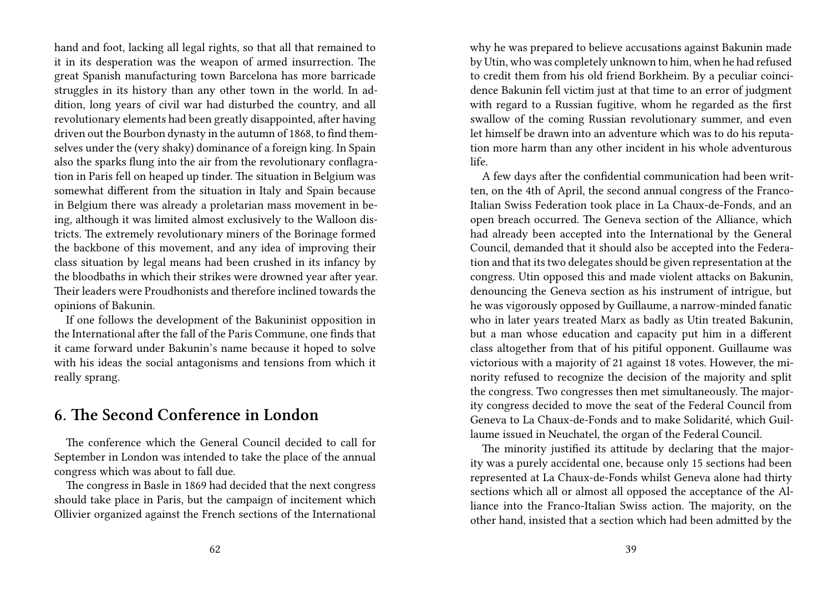hand and foot, lacking all legal rights, so that all that remained to it in its desperation was the weapon of armed insurrection. The great Spanish manufacturing town Barcelona has more barricade struggles in its history than any other town in the world. In addition, long years of civil war had disturbed the country, and all revolutionary elements had been greatly disappointed, after having driven out the Bourbon dynasty in the autumn of 1868, to find themselves under the (very shaky) dominance of a foreign king. In Spain also the sparks flung into the air from the revolutionary conflagration in Paris fell on heaped up tinder. The situation in Belgium was somewhat different from the situation in Italy and Spain because in Belgium there was already a proletarian mass movement in being, although it was limited almost exclusively to the Walloon districts. The extremely revolutionary miners of the Borinage formed the backbone of this movement, and any idea of improving their class situation by legal means had been crushed in its infancy by the bloodbaths in which their strikes were drowned year after year. Their leaders were Proudhonists and therefore inclined towards the opinions of Bakunin.

If one follows the development of the Bakuninist opposition in the International after the fall of the Paris Commune, one finds that it came forward under Bakunin's name because it hoped to solve with his ideas the social antagonisms and tensions from which it really sprang.

## **6. The Second Conference in London**

The conference which the General Council decided to call for September in London was intended to take the place of the annual congress which was about to fall due.

The congress in Basle in 1869 had decided that the next congress should take place in Paris, but the campaign of incitement which Ollivier organized against the French sections of the International

why he was prepared to believe accusations against Bakunin made by Utin, who was completely unknown to him, when he had refused to credit them from his old friend Borkheim. By a peculiar coincidence Bakunin fell victim just at that time to an error of judgment with regard to a Russian fugitive, whom he regarded as the first swallow of the coming Russian revolutionary summer, and even let himself be drawn into an adventure which was to do his reputation more harm than any other incident in his whole adventurous life.

A few days after the confidential communication had been written, on the 4th of April, the second annual congress of the Franco-Italian Swiss Federation took place in La Chaux-de-Fonds, and an open breach occurred. The Geneva section of the Alliance, which had already been accepted into the International by the General Council, demanded that it should also be accepted into the Federation and that its two delegates should be given representation at the congress. Utin opposed this and made violent attacks on Bakunin, denouncing the Geneva section as his instrument of intrigue, but he was vigorously opposed by Guillaume, a narrow-minded fanatic who in later years treated Marx as badly as Utin treated Bakunin, but a man whose education and capacity put him in a different class altogether from that of his pitiful opponent. Guillaume was victorious with a majority of 21 against 18 votes. However, the minority refused to recognize the decision of the majority and split the congress. Two congresses then met simultaneously. The majority congress decided to move the seat of the Federal Council from Geneva to La Chaux-de-Fonds and to make Solidarité, which Guillaume issued in Neuchatel, the organ of the Federal Council.

The minority justified its attitude by declaring that the majority was a purely accidental one, because only 15 sections had been represented at La Chaux-de-Fonds whilst Geneva alone had thirty sections which all or almost all opposed the acceptance of the Alliance into the Franco-Italian Swiss action. The majority, on the other hand, insisted that a section which had been admitted by the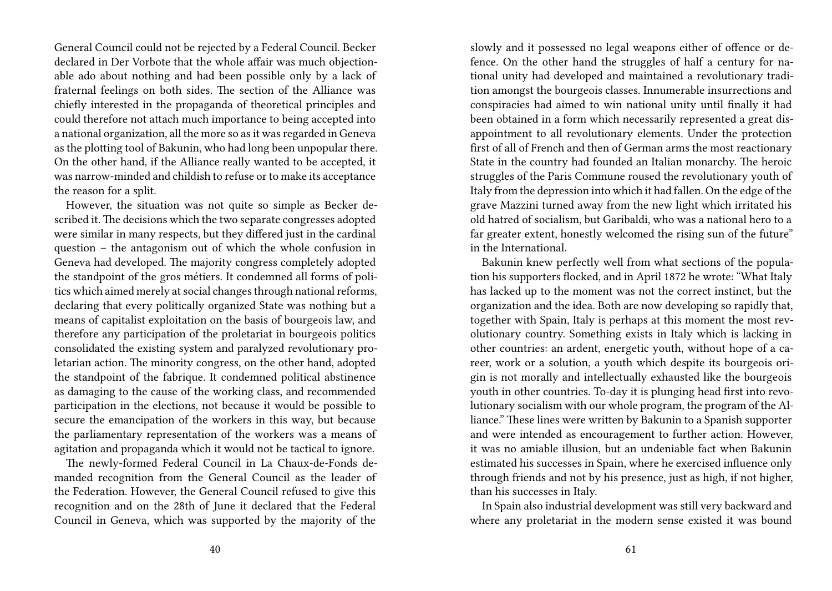General Council could not be rejected by a Federal Council. Becker declared in Der Vorbote that the whole affair was much objectionable ado about nothing and had been possible only by a lack of fraternal feelings on both sides. The section of the Alliance was chiefly interested in the propaganda of theoretical principles and could therefore not attach much importance to being accepted into a national organization, all the more so as it was regarded in Geneva as the plotting tool of Bakunin, who had long been unpopular there. On the other hand, if the Alliance really wanted to be accepted, it was narrow-minded and childish to refuse or to make its acceptance the reason for a split.

However, the situation was not quite so simple as Becker described it. The decisions which the two separate congresses adopted were similar in many respects, but they differed just in the cardinal question – the antagonism out of which the whole confusion in Geneva had developed. The majority congress completely adopted the standpoint of the gros métiers. It condemned all forms of politics which aimed merely at social changes through national reforms, declaring that every politically organized State was nothing but a means of capitalist exploitation on the basis of bourgeois law, and therefore any participation of the proletariat in bourgeois politics consolidated the existing system and paralyzed revolutionary proletarian action. The minority congress, on the other hand, adopted the standpoint of the fabrique. It condemned political abstinence as damaging to the cause of the working class, and recommended participation in the elections, not because it would be possible to secure the emancipation of the workers in this way, but because the parliamentary representation of the workers was a means of agitation and propaganda which it would not be tactical to ignore.

The newly-formed Federal Council in La Chaux-de-Fonds demanded recognition from the General Council as the leader of the Federation. However, the General Council refused to give this recognition and on the 28th of June it declared that the Federal Council in Geneva, which was supported by the majority of the

slowly and it possessed no legal weapons either of offence or defence. On the other hand the struggles of half a century for national unity had developed and maintained a revolutionary tradition amongst the bourgeois classes. Innumerable insurrections and conspiracies had aimed to win national unity until finally it had been obtained in a form which necessarily represented a great disappointment to all revolutionary elements. Under the protection first of all of French and then of German arms the most reactionary State in the country had founded an Italian monarchy. The heroic struggles of the Paris Commune roused the revolutionary youth of Italy from the depression into which it had fallen. On the edge of the grave Mazzini turned away from the new light which irritated his old hatred of socialism, but Garibaldi, who was a national hero to a far greater extent, honestly welcomed the rising sun of the future" in the International.

Bakunin knew perfectly well from what sections of the population his supporters flocked, and in April 1872 he wrote: "What Italy has lacked up to the moment was not the correct instinct, but the organization and the idea. Both are now developing so rapidly that, together with Spain, Italy is perhaps at this moment the most revolutionary country. Something exists in Italy which is lacking in other countries: an ardent, energetic youth, without hope of a career, work or a solution, a youth which despite its bourgeois origin is not morally and intellectually exhausted like the bourgeois youth in other countries. To-day it is plunging head first into revolutionary socialism with our whole program, the program of the Alliance." These lines were written by Bakunin to a Spanish supporter and were intended as encouragement to further action. However, it was no amiable illusion, but an undeniable fact when Bakunin estimated his successes in Spain, where he exercised influence only through friends and not by his presence, just as high, if not higher, than his successes in Italy.

In Spain also industrial development was still very backward and where any proletariat in the modern sense existed it was bound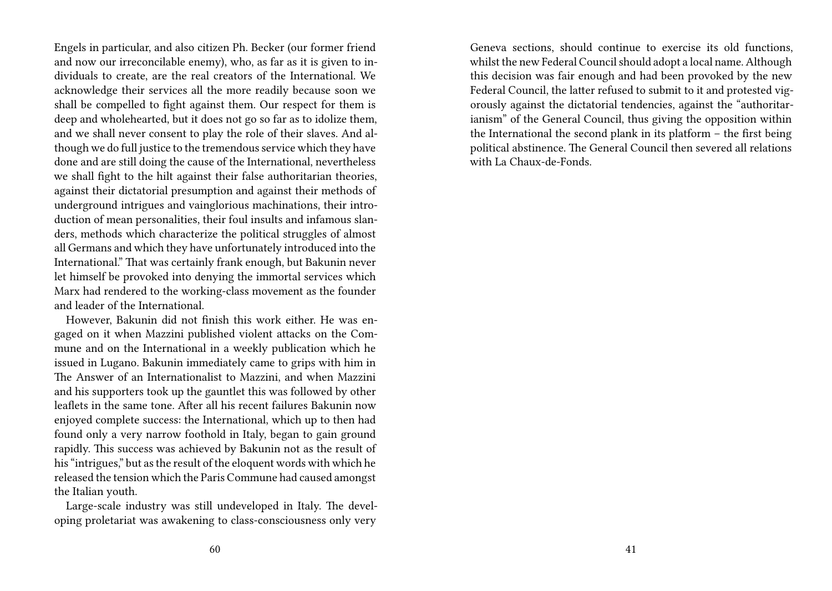Engels in particular, and also citizen Ph. Becker (our former friend and now our irreconcilable enemy), who, as far as it is given to individuals to create, are the real creators of the International. We acknowledge their services all the more readily because soon we shall be compelled to fight against them. Our respect for them is deep and wholehearted, but it does not go so far as to idolize them, and we shall never consent to play the role of their slaves. And although we do full justice to the tremendous service which they have done and are still doing the cause of the International, nevertheless we shall fight to the hilt against their false authoritarian theories, against their dictatorial presumption and against their methods of underground intrigues and vainglorious machinations, their introduction of mean personalities, their foul insults and infamous slanders, methods which characterize the political struggles of almost all Germans and which they have unfortunately introduced into the International." That was certainly frank enough, but Bakunin never let himself be provoked into denying the immortal services which Marx had rendered to the working-class movement as the founder and leader of the International.

However, Bakunin did not finish this work either. He was engaged on it when Mazzini published violent attacks on the Commune and on the International in a weekly publication which he issued in Lugano. Bakunin immediately came to grips with him in The Answer of an Internationalist to Mazzini, and when Mazzini and his supporters took up the gauntlet this was followed by other leaflets in the same tone. After all his recent failures Bakunin now enjoyed complete success: the International, which up to then had found only a very narrow foothold in Italy, began to gain ground rapidly. This success was achieved by Bakunin not as the result of his "intrigues," but as the result of the eloquent words with which he released the tension which the Paris Commune had caused amongst the Italian youth.

Large-scale industry was still undeveloped in Italy. The developing proletariat was awakening to class-consciousness only very

Geneva sections, should continue to exercise its old functions, whilst the new Federal Council should adopt a local name. Although this decision was fair enough and had been provoked by the new Federal Council, the latter refused to submit to it and protested vigorously against the dictatorial tendencies, against the "authoritarianism" of the General Council, thus giving the opposition within the International the second plank in its platform – the first being political abstinence. The General Council then severed all relations with La Chaux-de-Fonds.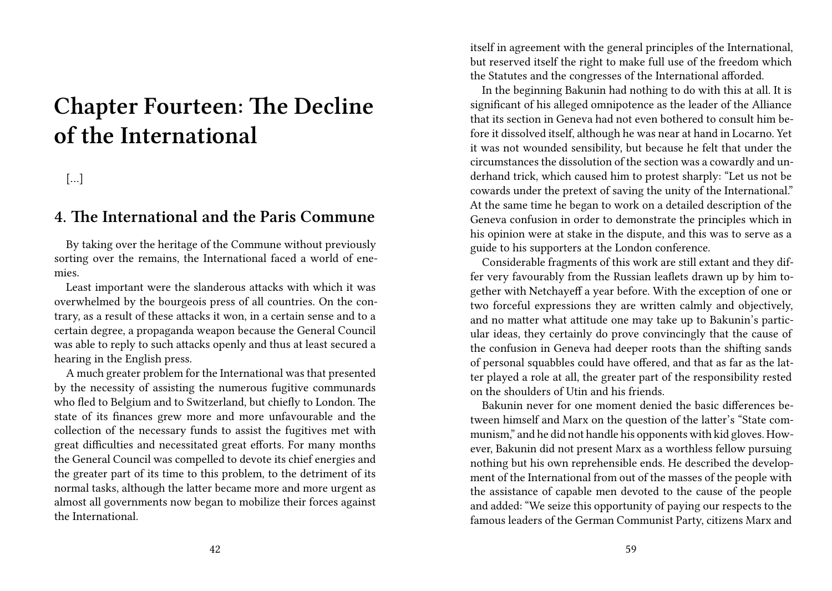# **Chapter Fourteen: The Decline of the International**

#### […]

### **4. The International and the Paris Commune**

By taking over the heritage of the Commune without previously sorting over the remains, the International faced a world of enemies.

Least important were the slanderous attacks with which it was overwhelmed by the bourgeois press of all countries. On the contrary, as a result of these attacks it won, in a certain sense and to a certain degree, a propaganda weapon because the General Council was able to reply to such attacks openly and thus at least secured a hearing in the English press.

A much greater problem for the International was that presented by the necessity of assisting the numerous fugitive communards who fled to Belgium and to Switzerland, but chiefly to London. The state of its finances grew more and more unfavourable and the collection of the necessary funds to assist the fugitives met with great difficulties and necessitated great efforts. For many months the General Council was compelled to devote its chief energies and the greater part of its time to this problem, to the detriment of its normal tasks, although the latter became more and more urgent as almost all governments now began to mobilize their forces against the International.

itself in agreement with the general principles of the International, but reserved itself the right to make full use of the freedom which the Statutes and the congresses of the International afforded.

In the beginning Bakunin had nothing to do with this at all. It is significant of his alleged omnipotence as the leader of the Alliance that its section in Geneva had not even bothered to consult him before it dissolved itself, although he was near at hand in Locarno. Yet it was not wounded sensibility, but because he felt that under the circumstances the dissolution of the section was a cowardly and underhand trick, which caused him to protest sharply: "Let us not be cowards under the pretext of saving the unity of the International." At the same time he began to work on a detailed description of the Geneva confusion in order to demonstrate the principles which in his opinion were at stake in the dispute, and this was to serve as a guide to his supporters at the London conference.

Considerable fragments of this work are still extant and they differ very favourably from the Russian leaflets drawn up by him together with Netchayeff a year before. With the exception of one or two forceful expressions they are written calmly and objectively, and no matter what attitude one may take up to Bakunin's particular ideas, they certainly do prove convincingly that the cause of the confusion in Geneva had deeper roots than the shifting sands of personal squabbles could have offered, and that as far as the latter played a role at all, the greater part of the responsibility rested on the shoulders of Utin and his friends.

Bakunin never for one moment denied the basic differences between himself and Marx on the question of the latter's "State communism," and he did not handle his opponents with kid gloves. However, Bakunin did not present Marx as a worthless fellow pursuing nothing but his own reprehensible ends. He described the development of the International from out of the masses of the people with the assistance of capable men devoted to the cause of the people and added: "We seize this opportunity of paying our respects to the famous leaders of the German Communist Party, citizens Marx and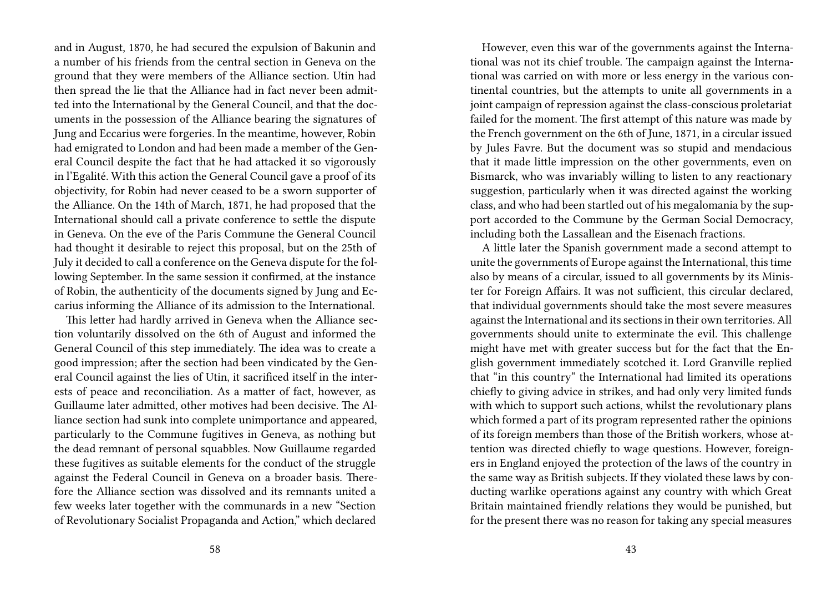and in August, 1870, he had secured the expulsion of Bakunin and a number of his friends from the central section in Geneva on the ground that they were members of the Alliance section. Utin had then spread the lie that the Alliance had in fact never been admitted into the International by the General Council, and that the documents in the possession of the Alliance bearing the signatures of Jung and Eccarius were forgeries. In the meantime, however, Robin had emigrated to London and had been made a member of the General Council despite the fact that he had attacked it so vigorously in l'Egalité. With this action the General Council gave a proof of its objectivity, for Robin had never ceased to be a sworn supporter of the Alliance. On the 14th of March, 1871, he had proposed that the International should call a private conference to settle the dispute in Geneva. On the eve of the Paris Commune the General Council had thought it desirable to reject this proposal, but on the 25th of July it decided to call a conference on the Geneva dispute for the following September. In the same session it confirmed, at the instance of Robin, the authenticity of the documents signed by Jung and Eccarius informing the Alliance of its admission to the International.

This letter had hardly arrived in Geneva when the Alliance section voluntarily dissolved on the 6th of August and informed the General Council of this step immediately. The idea was to create a good impression; after the section had been vindicated by the General Council against the lies of Utin, it sacrificed itself in the interests of peace and reconciliation. As a matter of fact, however, as Guillaume later admitted, other motives had been decisive. The Alliance section had sunk into complete unimportance and appeared, particularly to the Commune fugitives in Geneva, as nothing but the dead remnant of personal squabbles. Now Guillaume regarded these fugitives as suitable elements for the conduct of the struggle against the Federal Council in Geneva on a broader basis. Therefore the Alliance section was dissolved and its remnants united a few weeks later together with the communards in a new "Section of Revolutionary Socialist Propaganda and Action," which declared

However, even this war of the governments against the International was not its chief trouble. The campaign against the International was carried on with more or less energy in the various continental countries, but the attempts to unite all governments in a joint campaign of repression against the class-conscious proletariat failed for the moment. The first attempt of this nature was made by the French government on the 6th of June, 1871, in a circular issued by Jules Favre. But the document was so stupid and mendacious that it made little impression on the other governments, even on Bismarck, who was invariably willing to listen to any reactionary suggestion, particularly when it was directed against the working class, and who had been startled out of his megalomania by the support accorded to the Commune by the German Social Democracy, including both the Lassallean and the Eisenach fractions.

A little later the Spanish government made a second attempt to unite the governments of Europe against the International, this time also by means of a circular, issued to all governments by its Minister for Foreign Affairs. It was not sufficient, this circular declared, that individual governments should take the most severe measures against the International and its sections in their own territories. All governments should unite to exterminate the evil. This challenge might have met with greater success but for the fact that the English government immediately scotched it. Lord Granville replied that "in this country" the International had limited its operations chiefly to giving advice in strikes, and had only very limited funds with which to support such actions, whilst the revolutionary plans which formed a part of its program represented rather the opinions of its foreign members than those of the British workers, whose attention was directed chiefly to wage questions. However, foreigners in England enjoyed the protection of the laws of the country in the same way as British subjects. If they violated these laws by conducting warlike operations against any country with which Great Britain maintained friendly relations they would be punished, but for the present there was no reason for taking any special measures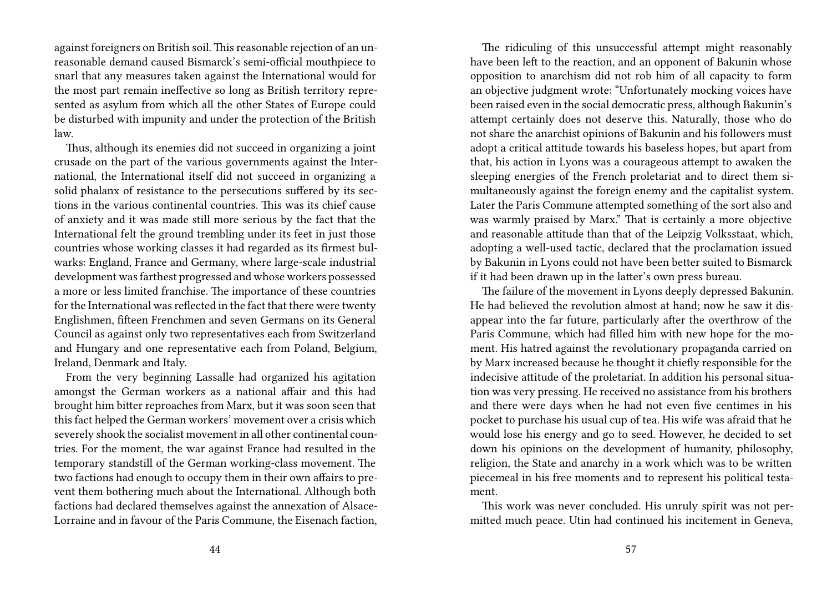against foreigners on British soil. This reasonable rejection of an unreasonable demand caused Bismarck's semi-official mouthpiece to snarl that any measures taken against the International would for the most part remain ineffective so long as British territory represented as asylum from which all the other States of Europe could be disturbed with impunity and under the protection of the British law.

Thus, although its enemies did not succeed in organizing a joint crusade on the part of the various governments against the International, the International itself did not succeed in organizing a solid phalanx of resistance to the persecutions suffered by its sections in the various continental countries. This was its chief cause of anxiety and it was made still more serious by the fact that the International felt the ground trembling under its feet in just those countries whose working classes it had regarded as its firmest bulwarks: England, France and Germany, where large-scale industrial development was farthest progressed and whose workers possessed a more or less limited franchise. The importance of these countries for the International was reflected in the fact that there were twenty Englishmen, fifteen Frenchmen and seven Germans on its General Council as against only two representatives each from Switzerland and Hungary and one representative each from Poland, Belgium, Ireland, Denmark and Italy.

From the very beginning Lassalle had organized his agitation amongst the German workers as a national affair and this had brought him bitter reproaches from Marx, but it was soon seen that this fact helped the German workers' movement over a crisis which severely shook the socialist movement in all other continental countries. For the moment, the war against France had resulted in the temporary standstill of the German working-class movement. The two factions had enough to occupy them in their own affairs to prevent them bothering much about the International. Although both factions had declared themselves against the annexation of Alsace-Lorraine and in favour of the Paris Commune, the Eisenach faction,

The ridiculing of this unsuccessful attempt might reasonably have been left to the reaction, and an opponent of Bakunin whose opposition to anarchism did not rob him of all capacity to form an objective judgment wrote: "Unfortunately mocking voices have been raised even in the social democratic press, although Bakunin's attempt certainly does not deserve this. Naturally, those who do not share the anarchist opinions of Bakunin and his followers must adopt a critical attitude towards his baseless hopes, but apart from that, his action in Lyons was a courageous attempt to awaken the sleeping energies of the French proletariat and to direct them simultaneously against the foreign enemy and the capitalist system. Later the Paris Commune attempted something of the sort also and was warmly praised by Marx." That is certainly a more objective and reasonable attitude than that of the Leipzig Volksstaat, which, adopting a well-used tactic, declared that the proclamation issued by Bakunin in Lyons could not have been better suited to Bismarck if it had been drawn up in the latter's own press bureau.

The failure of the movement in Lyons deeply depressed Bakunin. He had believed the revolution almost at hand; now he saw it disappear into the far future, particularly after the overthrow of the Paris Commune, which had filled him with new hope for the moment. His hatred against the revolutionary propaganda carried on by Marx increased because he thought it chiefly responsible for the indecisive attitude of the proletariat. In addition his personal situation was very pressing. He received no assistance from his brothers and there were days when he had not even five centimes in his pocket to purchase his usual cup of tea. His wife was afraid that he would lose his energy and go to seed. However, he decided to set down his opinions on the development of humanity, philosophy, religion, the State and anarchy in a work which was to be written piecemeal in his free moments and to represent his political testament.

This work was never concluded. His unruly spirit was not permitted much peace. Utin had continued his incitement in Geneva,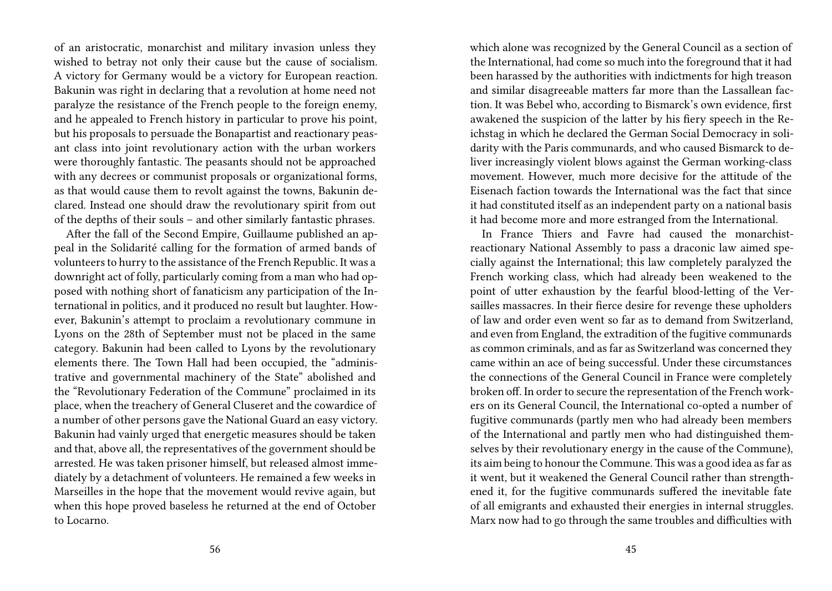of an aristocratic, monarchist and military invasion unless they wished to betray not only their cause but the cause of socialism. A victory for Germany would be a victory for European reaction. Bakunin was right in declaring that a revolution at home need not paralyze the resistance of the French people to the foreign enemy, and he appealed to French history in particular to prove his point, but his proposals to persuade the Bonapartist and reactionary peasant class into joint revolutionary action with the urban workers were thoroughly fantastic. The peasants should not be approached with any decrees or communist proposals or organizational forms, as that would cause them to revolt against the towns, Bakunin declared. Instead one should draw the revolutionary spirit from out of the depths of their souls – and other similarly fantastic phrases.

After the fall of the Second Empire, Guillaume published an appeal in the Solidarité calling for the formation of armed bands of volunteers to hurry to the assistance of the French Republic. It was a downright act of folly, particularly coming from a man who had opposed with nothing short of fanaticism any participation of the International in politics, and it produced no result but laughter. However, Bakunin's attempt to proclaim a revolutionary commune in Lyons on the 28th of September must not be placed in the same category. Bakunin had been called to Lyons by the revolutionary elements there. The Town Hall had been occupied, the "administrative and governmental machinery of the State" abolished and the "Revolutionary Federation of the Commune" proclaimed in its place, when the treachery of General Cluseret and the cowardice of a number of other persons gave the National Guard an easy victory. Bakunin had vainly urged that energetic measures should be taken and that, above all, the representatives of the government should be arrested. He was taken prisoner himself, but released almost immediately by a detachment of volunteers. He remained a few weeks in Marseilles in the hope that the movement would revive again, but when this hope proved baseless he returned at the end of October to Locarno.

which alone was recognized by the General Council as a section of the International, had come so much into the foreground that it had been harassed by the authorities with indictments for high treason and similar disagreeable matters far more than the Lassallean faction. It was Bebel who, according to Bismarck's own evidence, first awakened the suspicion of the latter by his fiery speech in the Reichstag in which he declared the German Social Democracy in solidarity with the Paris communards, and who caused Bismarck to deliver increasingly violent blows against the German working-class movement. However, much more decisive for the attitude of the Eisenach faction towards the International was the fact that since it had constituted itself as an independent party on a national basis it had become more and more estranged from the International.

In France Thiers and Favre had caused the monarchistreactionary National Assembly to pass a draconic law aimed specially against the International; this law completely paralyzed the French working class, which had already been weakened to the point of utter exhaustion by the fearful blood-letting of the Versailles massacres. In their fierce desire for revenge these upholders of law and order even went so far as to demand from Switzerland, and even from England, the extradition of the fugitive communards as common criminals, and as far as Switzerland was concerned they came within an ace of being successful. Under these circumstances the connections of the General Council in France were completely broken off. In order to secure the representation of the French workers on its General Council, the International co-opted a number of fugitive communards (partly men who had already been members of the International and partly men who had distinguished themselves by their revolutionary energy in the cause of the Commune), its aim being to honour the Commune. This was a good idea as far as it went, but it weakened the General Council rather than strengthened it, for the fugitive communards suffered the inevitable fate of all emigrants and exhausted their energies in internal struggles. Marx now had to go through the same troubles and difficulties with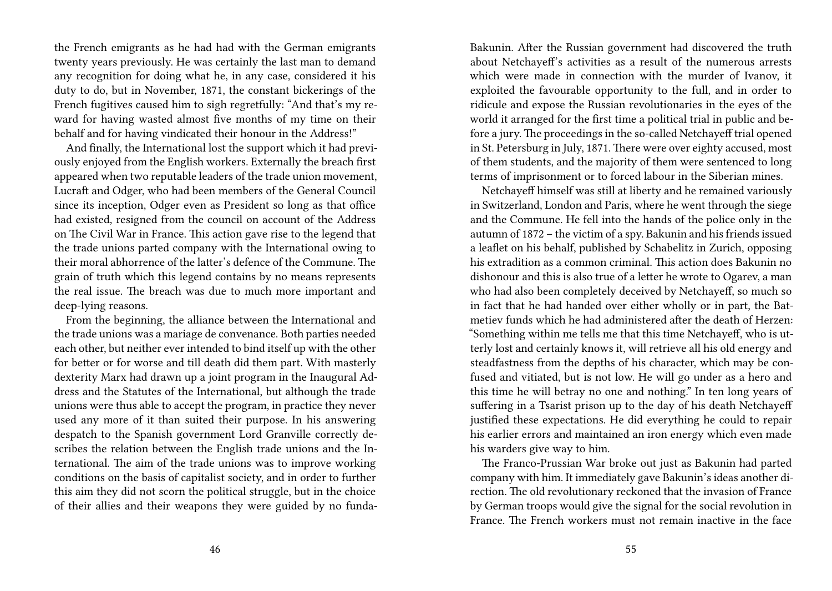the French emigrants as he had had with the German emigrants twenty years previously. He was certainly the last man to demand any recognition for doing what he, in any case, considered it his duty to do, but in November, 1871, the constant bickerings of the French fugitives caused him to sigh regretfully: "And that's my reward for having wasted almost five months of my time on their behalf and for having vindicated their honour in the Address!"

And finally, the International lost the support which it had previously enjoyed from the English workers. Externally the breach first appeared when two reputable leaders of the trade union movement, Lucraft and Odger, who had been members of the General Council since its inception, Odger even as President so long as that office had existed, resigned from the council on account of the Address on The Civil War in France. This action gave rise to the legend that the trade unions parted company with the International owing to their moral abhorrence of the latter's defence of the Commune. The grain of truth which this legend contains by no means represents the real issue. The breach was due to much more important and deep-lying reasons.

From the beginning, the alliance between the International and the trade unions was a mariage de convenance. Both parties needed each other, but neither ever intended to bind itself up with the other for better or for worse and till death did them part. With masterly dexterity Marx had drawn up a joint program in the Inaugural Address and the Statutes of the International, but although the trade unions were thus able to accept the program, in practice they never used any more of it than suited their purpose. In his answering despatch to the Spanish government Lord Granville correctly describes the relation between the English trade unions and the International. The aim of the trade unions was to improve working conditions on the basis of capitalist society, and in order to further this aim they did not scorn the political struggle, but in the choice of their allies and their weapons they were guided by no fundaBakunin. After the Russian government had discovered the truth about Netchayeff's activities as a result of the numerous arrests which were made in connection with the murder of Ivanov, it exploited the favourable opportunity to the full, and in order to ridicule and expose the Russian revolutionaries in the eyes of the world it arranged for the first time a political trial in public and before a jury. The proceedings in the so-called Netchayeff trial opened in St. Petersburg in July, 1871. There were over eighty accused, most of them students, and the majority of them were sentenced to long terms of imprisonment or to forced labour in the Siberian mines.

Netchayeff himself was still at liberty and he remained variously in Switzerland, London and Paris, where he went through the siege and the Commune. He fell into the hands of the police only in the autumn of 1872 – the victim of a spy. Bakunin and his friends issued a leaflet on his behalf, published by Schabelitz in Zurich, opposing his extradition as a common criminal. This action does Bakunin no dishonour and this is also true of a letter he wrote to Ogarev, a man who had also been completely deceived by Netchayeff, so much so in fact that he had handed over either wholly or in part, the Batmetiev funds which he had administered after the death of Herzen: "Something within me tells me that this time Netchayeff, who is utterly lost and certainly knows it, will retrieve all his old energy and steadfastness from the depths of his character, which may be confused and vitiated, but is not low. He will go under as a hero and this time he will betray no one and nothing." In ten long years of suffering in a Tsarist prison up to the day of his death Netchayeff justified these expectations. He did everything he could to repair his earlier errors and maintained an iron energy which even made his warders give way to him.

The Franco-Prussian War broke out just as Bakunin had parted company with him. It immediately gave Bakunin's ideas another direction. The old revolutionary reckoned that the invasion of France by German troops would give the signal for the social revolution in France. The French workers must not remain inactive in the face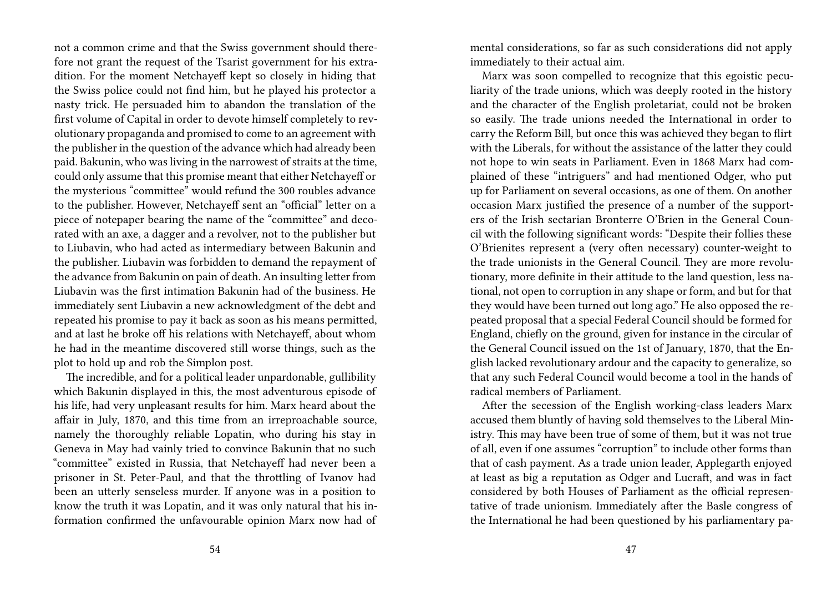not a common crime and that the Swiss government should therefore not grant the request of the Tsarist government for his extradition. For the moment Netchayeff kept so closely in hiding that the Swiss police could not find him, but he played his protector a nasty trick. He persuaded him to abandon the translation of the first volume of Capital in order to devote himself completely to revolutionary propaganda and promised to come to an agreement with the publisher in the question of the advance which had already been paid. Bakunin, who was living in the narrowest of straits at the time, could only assume that this promise meant that either Netchayeff or the mysterious "committee" would refund the 300 roubles advance to the publisher. However, Netchayeff sent an "official" letter on a piece of notepaper bearing the name of the "committee" and decorated with an axe, a dagger and a revolver, not to the publisher but to Liubavin, who had acted as intermediary between Bakunin and the publisher. Liubavin was forbidden to demand the repayment of the advance from Bakunin on pain of death. An insulting letter from Liubavin was the first intimation Bakunin had of the business. He immediately sent Liubavin a new acknowledgment of the debt and repeated his promise to pay it back as soon as his means permitted, and at last he broke off his relations with Netchayeff, about whom he had in the meantime discovered still worse things, such as the plot to hold up and rob the Simplon post.

The incredible, and for a political leader unpardonable, gullibility which Bakunin displayed in this, the most adventurous episode of his life, had very unpleasant results for him. Marx heard about the affair in July, 1870, and this time from an irreproachable source, namely the thoroughly reliable Lopatin, who during his stay in Geneva in May had vainly tried to convince Bakunin that no such "committee" existed in Russia, that Netchayeff had never been a prisoner in St. Peter-Paul, and that the throttling of Ivanov had been an utterly senseless murder. If anyone was in a position to know the truth it was Lopatin, and it was only natural that his information confirmed the unfavourable opinion Marx now had of mental considerations, so far as such considerations did not apply immediately to their actual aim.

Marx was soon compelled to recognize that this egoistic peculiarity of the trade unions, which was deeply rooted in the history and the character of the English proletariat, could not be broken so easily. The trade unions needed the International in order to carry the Reform Bill, but once this was achieved they began to flirt with the Liberals, for without the assistance of the latter they could not hope to win seats in Parliament. Even in 1868 Marx had complained of these "intriguers" and had mentioned Odger, who put up for Parliament on several occasions, as one of them. On another occasion Marx justified the presence of a number of the supporters of the Irish sectarian Bronterre O'Brien in the General Council with the following significant words: "Despite their follies these O'Brienites represent a (very often necessary) counter-weight to the trade unionists in the General Council. They are more revolutionary, more definite in their attitude to the land question, less national, not open to corruption in any shape or form, and but for that they would have been turned out long ago." He also opposed the repeated proposal that a special Federal Council should be formed for England, chiefly on the ground, given for instance in the circular of the General Council issued on the 1st of January, 1870, that the English lacked revolutionary ardour and the capacity to generalize, so that any such Federal Council would become a tool in the hands of radical members of Parliament.

After the secession of the English working-class leaders Marx accused them bluntly of having sold themselves to the Liberal Ministry. This may have been true of some of them, but it was not true of all, even if one assumes "corruption" to include other forms than that of cash payment. As a trade union leader, Applegarth enjoyed at least as big a reputation as Odger and Lucraft, and was in fact considered by both Houses of Parliament as the official representative of trade unionism. Immediately after the Basle congress of the International he had been questioned by his parliamentary pa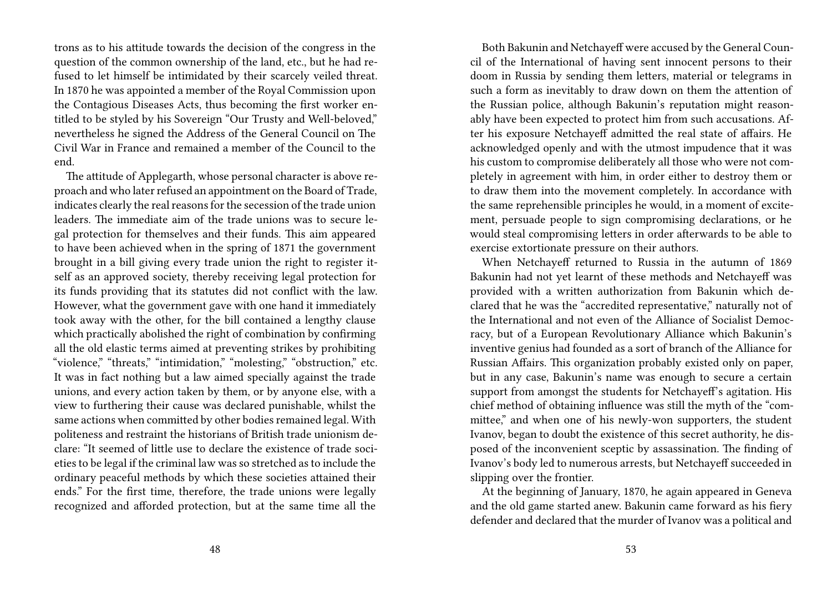trons as to his attitude towards the decision of the congress in the question of the common ownership of the land, etc., but he had refused to let himself be intimidated by their scarcely veiled threat. In 1870 he was appointed a member of the Royal Commission upon the Contagious Diseases Acts, thus becoming the first worker entitled to be styled by his Sovereign "Our Trusty and Well-beloved," nevertheless he signed the Address of the General Council on The Civil War in France and remained a member of the Council to the end.

The attitude of Applegarth, whose personal character is above reproach and who later refused an appointment on the Board of Trade, indicates clearly the real reasons for the secession of the trade union leaders. The immediate aim of the trade unions was to secure legal protection for themselves and their funds. This aim appeared to have been achieved when in the spring of 1871 the government brought in a bill giving every trade union the right to register itself as an approved society, thereby receiving legal protection for its funds providing that its statutes did not conflict with the law. However, what the government gave with one hand it immediately took away with the other, for the bill contained a lengthy clause which practically abolished the right of combination by confirming all the old elastic terms aimed at preventing strikes by prohibiting "violence," "threats," "intimidation," "molesting," "obstruction," etc. It was in fact nothing but a law aimed specially against the trade unions, and every action taken by them, or by anyone else, with a view to furthering their cause was declared punishable, whilst the same actions when committed by other bodies remained legal. With politeness and restraint the historians of British trade unionism declare: "It seemed of little use to declare the existence of trade societies to be legal if the criminal law was so stretched as to include the ordinary peaceful methods by which these societies attained their ends." For the first time, therefore, the trade unions were legally recognized and afforded protection, but at the same time all the

Both Bakunin and Netchayeff were accused by the General Council of the International of having sent innocent persons to their doom in Russia by sending them letters, material or telegrams in such a form as inevitably to draw down on them the attention of the Russian police, although Bakunin's reputation might reasonably have been expected to protect him from such accusations. After his exposure Netchayeff admitted the real state of affairs. He acknowledged openly and with the utmost impudence that it was his custom to compromise deliberately all those who were not completely in agreement with him, in order either to destroy them or to draw them into the movement completely. In accordance with the same reprehensible principles he would, in a moment of excitement, persuade people to sign compromising declarations, or he would steal compromising letters in order afterwards to be able to exercise extortionate pressure on their authors.

When Netchayeff returned to Russia in the autumn of 1869 Bakunin had not yet learnt of these methods and Netchayeff was provided with a written authorization from Bakunin which declared that he was the "accredited representative," naturally not of the International and not even of the Alliance of Socialist Democracy, but of a European Revolutionary Alliance which Bakunin's inventive genius had founded as a sort of branch of the Alliance for Russian Affairs. This organization probably existed only on paper, but in any case, Bakunin's name was enough to secure a certain support from amongst the students for Netchayeff's agitation. His chief method of obtaining influence was still the myth of the "committee," and when one of his newly-won supporters, the student Ivanov, began to doubt the existence of this secret authority, he disposed of the inconvenient sceptic by assassination. The finding of Ivanov's body led to numerous arrests, but Netchayeff succeeded in slipping over the frontier.

At the beginning of January, 1870, he again appeared in Geneva and the old game started anew. Bakunin came forward as his fiery defender and declared that the murder of Ivanov was a political and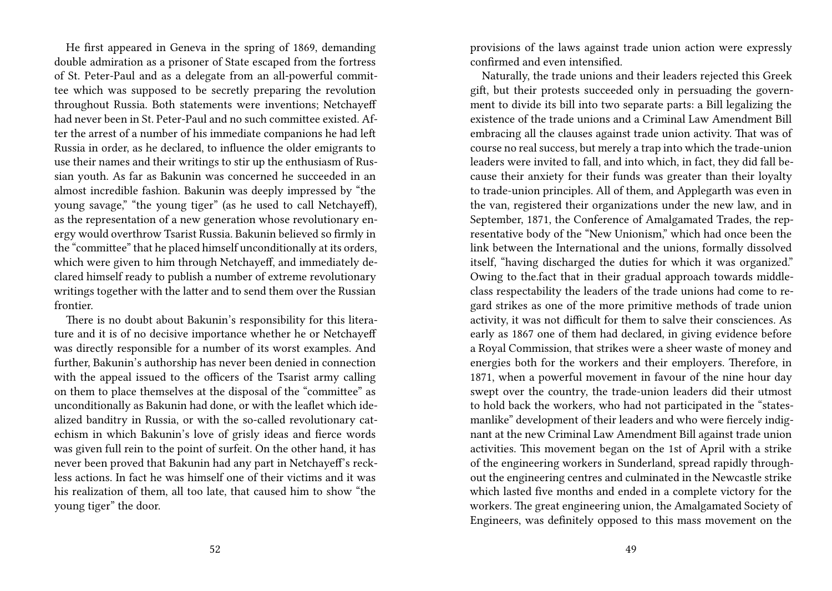He first appeared in Geneva in the spring of 1869, demanding double admiration as a prisoner of State escaped from the fortress of St. Peter-Paul and as a delegate from an all-powerful committee which was supposed to be secretly preparing the revolution throughout Russia. Both statements were inventions; Netchayeff had never been in St. Peter-Paul and no such committee existed. After the arrest of a number of his immediate companions he had left Russia in order, as he declared, to influence the older emigrants to use their names and their writings to stir up the enthusiasm of Russian youth. As far as Bakunin was concerned he succeeded in an almost incredible fashion. Bakunin was deeply impressed by "the young savage," "the young tiger" (as he used to call Netchayeff), as the representation of a new generation whose revolutionary energy would overthrow Tsarist Russia. Bakunin believed so firmly in the "committee" that he placed himself unconditionally at its orders, which were given to him through Netchayeff, and immediately declared himself ready to publish a number of extreme revolutionary writings together with the latter and to send them over the Russian frontier.

There is no doubt about Bakunin's responsibility for this literature and it is of no decisive importance whether he or Netchayeff was directly responsible for a number of its worst examples. And further, Bakunin's authorship has never been denied in connection with the appeal issued to the officers of the Tsarist army calling on them to place themselves at the disposal of the "committee" as unconditionally as Bakunin had done, or with the leaflet which idealized banditry in Russia, or with the so-called revolutionary catechism in which Bakunin's love of grisly ideas and fierce words was given full rein to the point of surfeit. On the other hand, it has never been proved that Bakunin had any part in Netchayeff's reckless actions. In fact he was himself one of their victims and it was his realization of them, all too late, that caused him to show "the young tiger" the door.

provisions of the laws against trade union action were expressly confirmed and even intensified.

Naturally, the trade unions and their leaders rejected this Greek gift, but their protests succeeded only in persuading the government to divide its bill into two separate parts: a Bill legalizing the existence of the trade unions and a Criminal Law Amendment Bill embracing all the clauses against trade union activity. That was of course no real success, but merely a trap into which the trade-union leaders were invited to fall, and into which, in fact, they did fall because their anxiety for their funds was greater than their loyalty to trade-union principles. All of them, and Applegarth was even in the van, registered their organizations under the new law, and in September, 1871, the Conference of Amalgamated Trades, the representative body of the "New Unionism," which had once been the link between the International and the unions, formally dissolved itself, "having discharged the duties for which it was organized." Owing to the.fact that in their gradual approach towards middleclass respectability the leaders of the trade unions had come to regard strikes as one of the more primitive methods of trade union activity, it was not difficult for them to salve their consciences. As early as 1867 one of them had declared, in giving evidence before a Royal Commission, that strikes were a sheer waste of money and energies both for the workers and their employers. Therefore, in 1871, when a powerful movement in favour of the nine hour day swept over the country, the trade-union leaders did their utmost to hold back the workers, who had not participated in the "statesmanlike" development of their leaders and who were fiercely indignant at the new Criminal Law Amendment Bill against trade union activities. This movement began on the 1st of April with a strike of the engineering workers in Sunderland, spread rapidly throughout the engineering centres and culminated in the Newcastle strike which lasted five months and ended in a complete victory for the workers. The great engineering union, the Amalgamated Society of Engineers, was definitely opposed to this mass movement on the